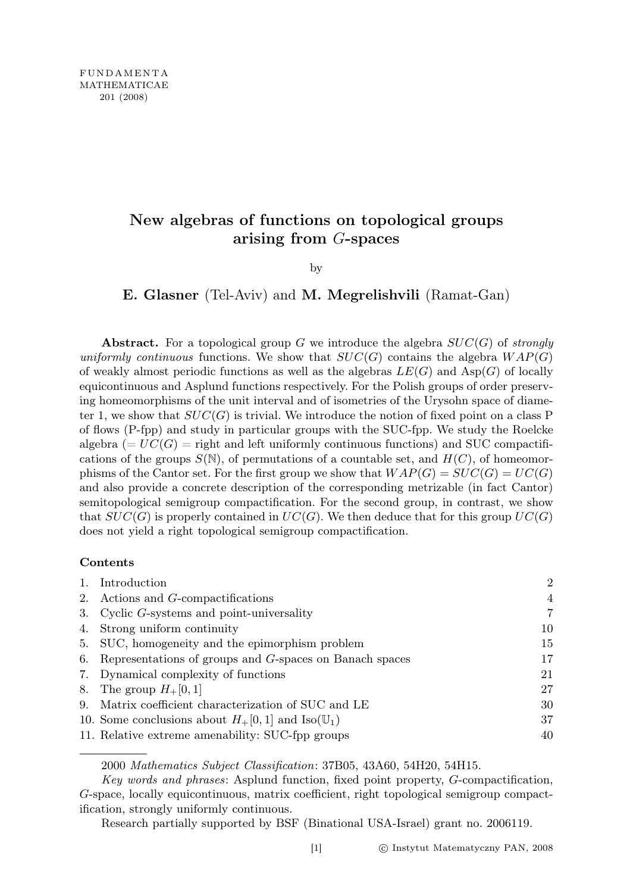## New algebras of functions on topological groups arising from G-spaces

by

E. Glasner (Tel-Aviv) and M. Megrelishvili (Ramat-Gan)

Abstract. For a topological group G we introduce the algebra  $SUC(G)$  of strongly uniformly continuous functions. We show that  $SUC(G)$  contains the algebra  $WAP(G)$ of weakly almost periodic functions as well as the algebras  $LE(G)$  and  $Asp(G)$  of locally equicontinuous and Asplund functions respectively. For the Polish groups of order preserving homeomorphisms of the unit interval and of isometries of the Urysohn space of diameter 1, we show that  $SUC(G)$  is trivial. We introduce the notion of fixed point on a class P of flows (P-fpp) and study in particular groups with the SUC-fpp. We study the Roelcke algebra  $(= UC(G)$  = right and left uniformly continuous functions) and SUC compactifications of the groups  $S(\mathbb{N})$ , of permutations of a countable set, and  $H(C)$ , of homeomorphisms of the Cantor set. For the first group we show that  $WAP(G) = SUC(G) = UC(G)$ and also provide a concrete description of the corresponding metrizable (in fact Cantor) semitopological semigroup compactification. For the second group, in contrast, we show that  $SUC(G)$  is properly contained in  $UC(G)$ . We then deduce that for this group  $UC(G)$ does not yield a right topological semigroup compactification.

## Contents

| Introduction                                                      | $\overline{2}$ |
|-------------------------------------------------------------------|----------------|
| 2. Actions and <i>G</i> -compactifications                        | $\overline{4}$ |
| 3. Cyclic G-systems and point-universality                        | $\overline{7}$ |
| 4. Strong uniform continuity                                      | 10             |
| 5. SUC, homogeneity and the epimorphism problem                   | 15             |
| 6. Representations of groups and G-spaces on Banach spaces        | 17             |
| 7. Dynamical complexity of functions                              | 21             |
| 8. The group $H_+[0,1]$                                           | 27             |
| 9. Matrix coefficient characterization of SUC and LE              | 30             |
| 10. Some conclusions about $H_+$ [0, 1] and Iso( $\mathbb{U}_1$ ) | 37             |
| 11. Relative extreme amenability: SUC-fpp groups                  | 40             |

2000 Mathematics Subject Classification: 37B05, 43A60, 54H20, 54H15.

Key words and phrases: Asplund function, fixed point property, G-compactification, G-space, locally equicontinuous, matrix coefficient, right topological semigroup compactification, strongly uniformly continuous.

Research partially supported by BSF (Binational USA-Israel) grant no. 2006119.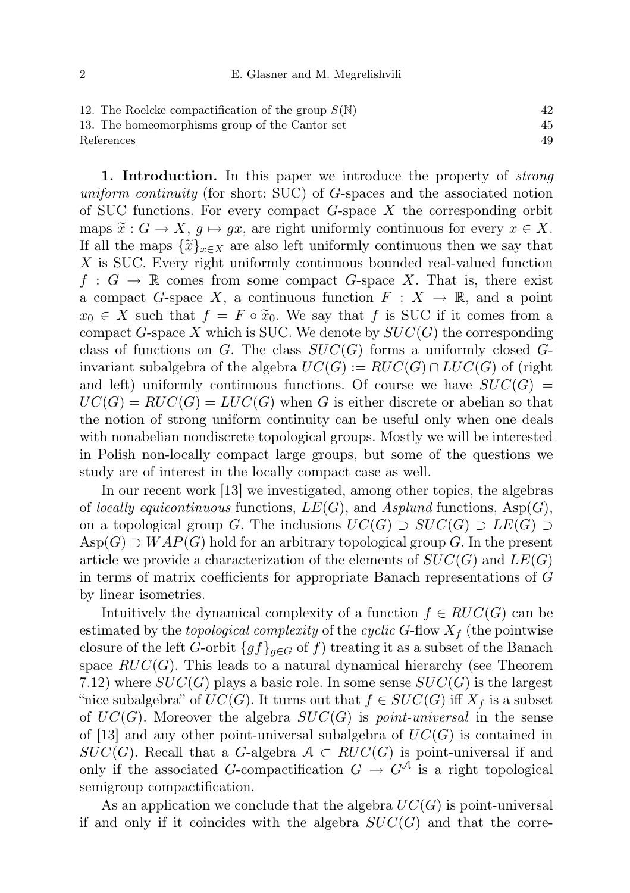| 12. The Roelcke compactification of the group $S(\mathbb{N})$ |    |
|---------------------------------------------------------------|----|
| 13. The homeomorphisms group of the Cantor set                | 45 |
| References                                                    |    |

1. Introduction. In this paper we introduce the property of *strong* uniform continuity (for short: SUC) of G-spaces and the associated notion of SUC functions. For every compact  $G$ -space  $X$  the corresponding orbit maps  $\tilde{x}: G \to X$ ,  $g \mapsto gx$ , are right uniformly continuous for every  $x \in X$ . If all the maps  $\{\widetilde{x}\}_{x\in X}$  are also left uniformly continuous then we say that X is SUC. Every right uniformly continuous bounded real-valued function  $f: G \to \mathbb{R}$  comes from some compact G-space X. That is, there exist a compact G-space X, a continuous function  $F: X \to \mathbb{R}$ , and a point  $x_0 \in X$  such that  $f = F \circ \tilde{x}_0$ . We say that f is SUC if it comes from a compact G-space X which is SUC. We denote by  $SUC(G)$  the corresponding class of functions on G. The class  $SUC(G)$  forms a uniformly closed Ginvariant subalgebra of the algebra  $UC(G) := RUC(G) \cap LUC(G)$  of (right and left) uniformly continuous functions. Of course we have  $SUC(G)$  $UC(G) = RUC(G) = LUC(G)$  when G is either discrete or abelian so that the notion of strong uniform continuity can be useful only when one deals with nonabelian nondiscrete topological groups. Mostly we will be interested in Polish non-locally compact large groups, but some of the questions we study are of interest in the locally compact case as well.

In our recent work [13] we investigated, among other topics, the algebras of locally equicontinuous functions,  $LE(G)$ , and Asplund functions, Asp $(G)$ , on a topological group G. The inclusions  $UC(G)$  ⊃  $SUC(G)$  ⊃  $LE(G)$  ⊃  $\text{Asp}(G) \supset WAP(G)$  hold for an arbitrary topological group G. In the present article we provide a characterization of the elements of  $SUC(G)$  and  $LE(G)$ in terms of matrix coefficients for appropriate Banach representations of G by linear isometries.

Intuitively the dynamical complexity of a function  $f \in RUC(G)$  can be estimated by the topological complexity of the cyclic G-flow  $X_f$  (the pointwise closure of the left G-orbit  $\{gf\}_{g\in G}$  of f) treating it as a subset of the Banach space  $RUC(G)$ . This leads to a natural dynamical hierarchy (see Theorem 7.12) where  $SUC(G)$  plays a basic role. In some sense  $SUC(G)$  is the largest "nice subalgebra" of  $UC(G)$ . It turns out that  $f \in SUC(G)$  iff  $X_f$  is a subset of  $UC(G)$ . Moreover the algebra  $SUC(G)$  is *point-universal* in the sense of [13] and any other point-universal subalgebra of  $UC(G)$  is contained in  $SUC(G)$ . Recall that a G-algebra  $A \subset RUC(G)$  is point-universal if and only if the associated G-compactification  $G \to G^{\mathcal{A}}$  is a right topological semigroup compactification.

As an application we conclude that the algebra  $UC(G)$  is point-universal if and only if it coincides with the algebra  $SUC(G)$  and that the corre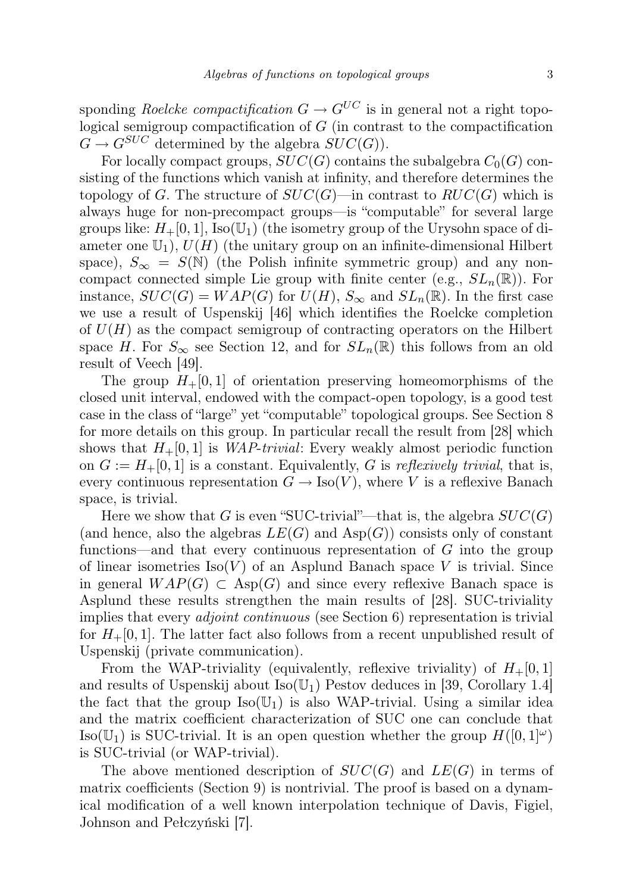sponding Roelcke compactification  $G \to G^{UC}$  is in general not a right topological semigroup compactification of  $G$  (in contrast to the compactification  $G \to G^{SUC}$  determined by the algebra  $SUC(G)$ ).

For locally compact groups,  $SUC(G)$  contains the subalgebra  $C_0(G)$  consisting of the functions which vanish at infinity, and therefore determines the topology of G. The structure of  $SUC(G)$ —in contrast to  $RUC(G)$  which is always huge for non-precompact groups—is "computable" for several large groups like:  $H_+[0,1]$ , Iso( $\mathbb{U}_1$ ) (the isometry group of the Urysohn space of diameter one  $\mathbb{U}_1$ ,  $U(H)$  (the unitary group on an infinite-dimensional Hilbert space),  $S_{\infty} = S(\mathbb{N})$  (the Polish infinite symmetric group) and any noncompact connected simple Lie group with finite center (e.g.,  $SL_n(\mathbb{R})$ ). For instance,  $SUC(G) = WAP(G)$  for  $U(H)$ ,  $S_{\infty}$  and  $SL_n(\mathbb{R})$ . In the first case we use a result of Uspenskij [46] which identifies the Roelcke completion of  $U(H)$  as the compact semigroup of contracting operators on the Hilbert space H. For  $S_{\infty}$  see Section 12, and for  $SL_n(\mathbb{R})$  this follows from an old result of Veech [49].

The group  $H_+[0,1]$  of orientation preserving homeomorphisms of the closed unit interval, endowed with the compact-open topology, is a good test case in the class of "large" yet "computable" topological groups. See Section 8 for more details on this group. In particular recall the result from [28] which shows that  $H_+[0,1]$  is *WAP-trivial*: Every weakly almost periodic function on  $G := H_+ [0, 1]$  is a constant. Equivalently, G is reflexively trivial, that is, every continuous representation  $G \to \text{Iso}(V)$ , where V is a reflexive Banach space, is trivial.

Here we show that G is even "SUC-trivial"—that is, the algebra  $SUC(G)$ (and hence, also the algebras  $LE(G)$  and  $Asp(G)$ ) consists only of constant functions—and that every continuous representation of  $G$  into the group of linear isometries  $Iso(V)$  of an Asplund Banach space V is trivial. Since in general  $WAP(G) \subset \text{Asp}(G)$  and since every reflexive Banach space is Asplund these results strengthen the main results of [28]. SUC-triviality implies that every *adjoint continuous* (see Section 6) representation is trivial for  $H_+$ [0, 1]. The latter fact also follows from a recent unpublished result of Uspenskij (private communication).

From the WAP-triviality (equivalently, reflexive triviality) of  $H_+[0,1]$ and results of Uspenskij about  $Iso(\mathbb{U}_1)$  Pestov deduces in [39, Corollary 1.4] the fact that the group  $Iso(\mathbb{U}_1)$  is also WAP-trivial. Using a similar idea and the matrix coefficient characterization of SUC one can conclude that Iso( $\mathbb{U}_1$ ) is SUC-trivial. It is an open question whether the group  $H([0,1]^\omega)$ is SUC-trivial (or WAP-trivial).

The above mentioned description of  $SUC(G)$  and  $LE(G)$  in terms of matrix coefficients (Section 9) is nontrivial. The proof is based on a dynamical modification of a well known interpolation technique of Davis, Figiel, Johnson and Pełczyński [7].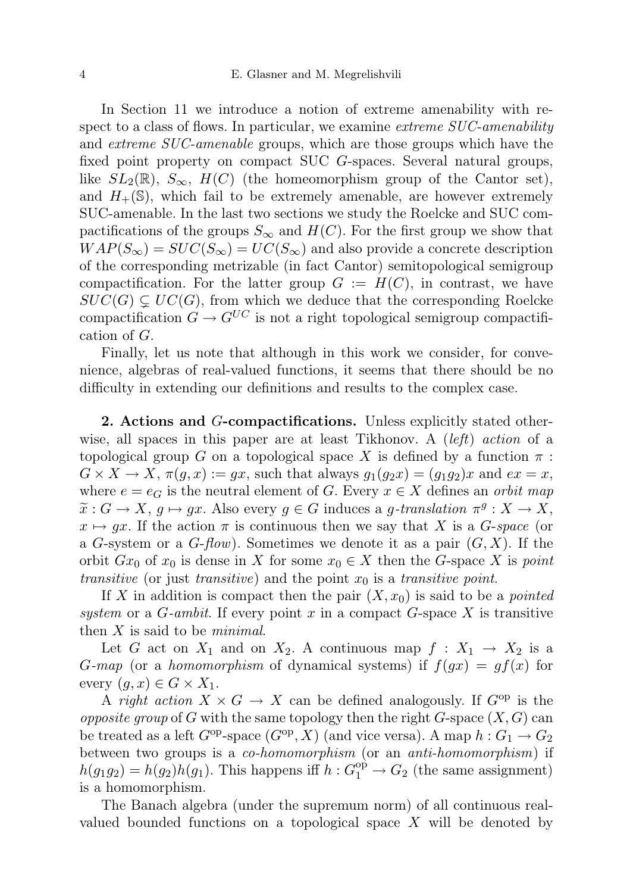In Section 11 we introduce a notion of extreme amenability with respect to a class of flows. In particular, we examine *extreme SUC-amenability* and *extreme SUC-amenable* groups, which are those groups which have the fixed point property on compact SUC G-spaces. Several natural groups, like  $SL_2(\mathbb{R})$ ,  $S_{\infty}$ ,  $H(C)$  (the homeomorphism group of the Cantor set), and  $H_+(\mathbb{S})$ , which fail to be extremely amenable, are however extremely SUC-amenable. In the last two sections we study the Roelcke and SUC compactifications of the groups  $S_{\infty}$  and  $H(C)$ . For the first group we show that  $WAP(S_{\infty}) = SUC(S_{\infty}) = UC(S_{\infty})$  and also provide a concrete description of the corresponding metrizable (in fact Cantor) semitopological semigroup compactification. For the latter group  $G := H(C)$ , in contrast, we have  $SUC(G) \subsetneq UC(G)$ , from which we deduce that the corresponding Roelcke compactification  $G \to G^{UC}$  is not a right topological semigroup compactification of G.

Finally, let us note that although in this work we consider, for convenience, algebras of real-valued functions, it seems that there should be no difficulty in extending our definitions and results to the complex case.

2. Actions and G-compactifications. Unless explicitly stated otherwise, all spaces in this paper are at least Tikhonov. A (left) action of a topological group G on a topological space X is defined by a function  $\pi$ :  $G \times X \to X$ ,  $\pi(g, x) := gx$ , such that always  $g_1(g_2x) = (g_1g_2)x$  and  $ex = x$ , where  $e = e_G$  is the neutral element of G. Every  $x \in X$  defines an *orbit map*  $\widetilde{x}: G \to X, g \mapsto gx$ . Also every  $g \in G$  induces a g-translation  $\pi^g: X \to X,$ <br> $g \mapsto gx$ . If the action  $\pi$  is continuous then we say that X is a G space (or  $x \mapsto gx$ . If the action  $\pi$  is continuous then we say that X is a G-space (or a G-system or a  $G$ -flow). Sometimes we denote it as a pair  $(G, X)$ . If the orbit  $Gx_0$  of  $x_0$  is dense in X for some  $x_0 \in X$  then the G-space X is point transitive (or just transitive) and the point  $x_0$  is a transitive point.

If X in addition is compact then the pair  $(X, x_0)$  is said to be a *pointed* system or a  $G$ -ambit. If every point x in a compact  $G$ -space X is transitive then  $X$  is said to be *minimal*.

Let G act on  $X_1$  and on  $X_2$ . A continuous map  $f: X_1 \rightarrow X_2$  is a G-map (or a homomorphism of dynamical systems) if  $f(gx) = gf(x)$  for every  $(g, x) \in G \times X_1$ .

A right action  $X \times G \to X$  can be defined analogously. If  $G^{op}$  is the *opposite group* of G with the same topology then the right  $G$ -space  $(X, G)$  can be treated as a left  $G^{\text{op}}$ -space  $(G^{\text{op}}, X)$  (and vice versa). A map  $h : G_1 \to G_2$ between two groups is a co-homomorphism (or an anti-homomorphism) if  $h(g_1g_2) = h(g_2)h(g_1)$ . This happens iff  $h: G_1^{\text{op}} \to G_2$  (the same assignment) is a homomorphism.

The Banach algebra (under the supremum norm) of all continuous realvalued bounded functions on a topological space  $X$  will be denoted by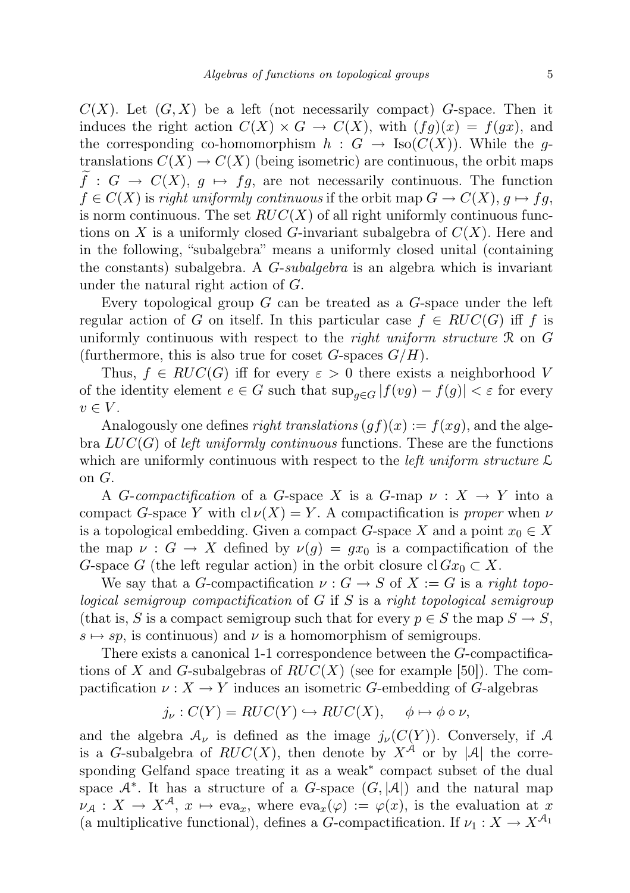$C(X)$ . Let  $(G, X)$  be a left (not necessarily compact) G-space. Then it induces the right action  $C(X) \times G \to C(X)$ , with  $(fg)(x) = f(gx)$ , and the corresponding co-homomorphism  $h : G \to \text{Iso}(C(X))$ . While the gtranslations  $C(X) \to C(X)$  (being isometric) are continuous, the orbit maps  $\overline{f}: G \to C(X), g \mapsto fg$ , are not necessarily continuous. The function  $f \in C(X)$  is right uniformly continuous if the orbit map  $G \to C(X)$ ,  $g \mapsto fg$ , is norm continuous. The set  $RUC(X)$  of all right uniformly continuous functions on X is a uniformly closed G-invariant subalgebra of  $C(X)$ . Here and in the following, "subalgebra" means a uniformly closed unital (containing the constants) subalgebra. A G-subalgebra is an algebra which is invariant under the natural right action of G.

Every topological group  $G$  can be treated as a  $G$ -space under the left regular action of G on itself. In this particular case  $f \in RUC(G)$  iff f is uniformly continuous with respect to the *right uniform structure*  $\Re$  on  $G$ (furthermore, this is also true for coset  $G$ -spaces  $G/H$ ).

Thus,  $f \in RUC(G)$  iff for every  $\varepsilon > 0$  there exists a neighborhood V of the identity element  $e \in G$  such that  $\sup_{g \in G} |f(vg) - f(g)| < \varepsilon$  for every  $v \in V$ .

Analogously one defines *right translations*  $(gf)(x) := f(xg)$ , and the algebra  $LUC(G)$  of left uniformly continuous functions. These are the functions which are uniformly continuous with respect to the *left uniform structure*  $\mathcal{L}$ on G.

A *G*-compactification of a *G*-space X is a *G*-map  $\nu : X \to Y$  into a compact G-space Y with  $cl \nu(X) = Y$ . A compactification is proper when  $\nu$ is a topological embedding. Given a compact G-space X and a point  $x_0 \in X$ the map  $\nu : G \to X$  defined by  $\nu(g) = gx_0$  is a compactification of the G-space G (the left regular action) in the orbit closure cl  $Gx_0 \subset X$ .

We say that a G-compactification  $\nu : G \to S$  of  $X := G$  is a right topological semigroup compactification of G if S is a right topological semigroup (that is, S is a compact semigroup such that for every  $p \in S$  the map  $S \to S$ ,  $s \mapsto sp$ , is continuous) and  $\nu$  is a homomorphism of semigroups.

There exists a canonical 1-1 correspondence between the G-compactifications of X and G-subalgebras of  $RUC(X)$  (see for example [50]). The compactification  $\nu : X \to Y$  induces an isometric G-embedding of G-algebras

$$
j_{\nu}: C(Y) = RUC(Y) \hookrightarrow RUC(X), \quad \phi \mapsto \phi \circ \nu,
$$

and the algebra  $\mathcal{A}_{\nu}$  is defined as the image  $j_{\nu}(C(Y))$ . Conversely, if A is a G-subalgebra of  $RUC(X)$ , then denote by  $X^{\hat{\mathcal{A}}}$  or by  $|\mathcal{A}|$  the corresponding Gelfand space treating it as a weak<sup>\*</sup> compact subset of the dual space  $A^*$ . It has a structure of a G-space  $(G, |A|)$  and the natural map  $\nu_A: X \to X^{\mathcal{A}}, x \mapsto \text{eva}_x, \text{ where } \text{eva}_x(\varphi) := \varphi(x), \text{ is the evaluation at } x$ (a multiplicative functional), defines a G-compactification. If  $\nu_1: X \to X^{\mathcal{A}_1}$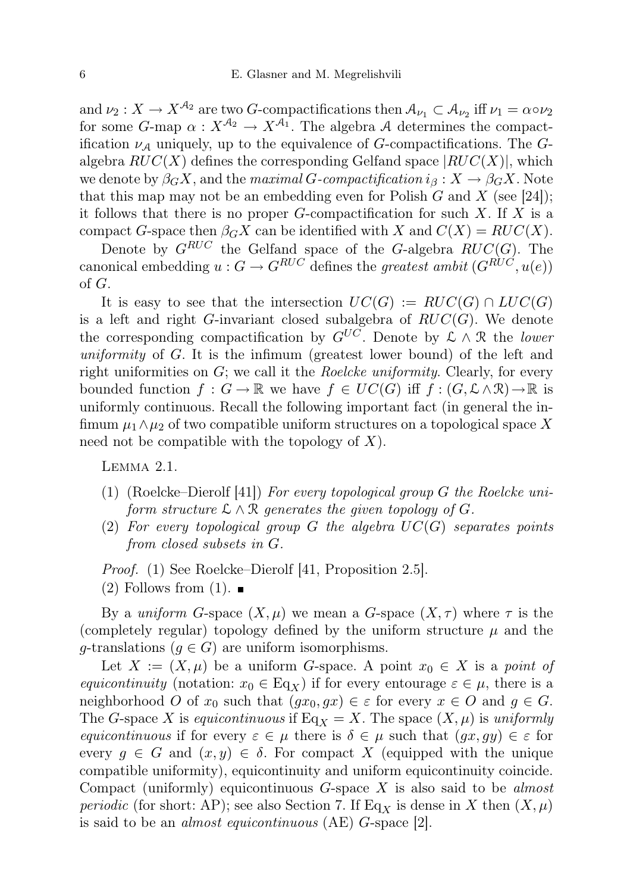and  $\nu_2: X \to X^{\mathcal{A}_2}$  are two G-compactifications then  $\mathcal{A}_{\nu_1} \subset \mathcal{A}_{\nu_2}$  iff  $\nu_1 = \alpha \circ \nu_2$ for some  $G$ -map  $\alpha: X^{\mathcal{A}_2} \to X^{\mathcal{A}_1}$ . The algebra A determines the compactification  $\nu_A$  uniquely, up to the equivalence of G-compactifications. The Galgebra  $RUC(X)$  defines the corresponding Gelfand space  $|RUC(X)|$ , which we denote by  $\beta_G X$ , and the maximal G-compactification  $i_\beta : X \to \beta_G X$ . Note that this map may not be an embedding even for Polish  $G$  and  $X$  (see [24]); it follows that there is no proper  $G$ -compactification for such  $X$ . If  $X$  is a compact G-space then  $\beta_G X$  can be identified with X and  $C(X) = RUC(X)$ .

Denote by  $G^{RUC}$  the Gelfand space of the G-algebra  $RUC(G)$ . The canonical embedding  $u : G \to G^{RUC}$  defines the greatest ambit  $(G^{RUC}, u(e))$ of G.

It is easy to see that the intersection  $UC(G) := RUC(G) \cap LUC(G)$ is a left and right  $G$ -invariant closed subalgebra of  $RUC(G)$ . We denote the corresponding compactification by  $G^{UC}$ . Denote by  $\mathcal{L} \wedge \mathcal{R}$  the lower uniformity of G. It is the infimum (greatest lower bound) of the left and right uniformities on  $G$ ; we call it the *Roelcke uniformity*. Clearly, for every bounded function  $f : G \to \mathbb{R}$  we have  $f \in UC(G)$  iff  $f : (G, \mathcal{L} \wedge \mathcal{R}) \to \mathbb{R}$  is uniformly continuous. Recall the following important fact (in general the infimum  $\mu_1 \wedge \mu_2$  of two compatible uniform structures on a topological space X need not be compatible with the topology of  $X$ ).

Lemma 2.1.

- (1) (Roelcke–Dierolf [41]) For every topological group G the Roelcke uniform structure  $\mathcal{L} \wedge \mathcal{R}$  generates the given topology of G.
- (2) For every topological group  $G$  the algebra  $UC(G)$  separates points from closed subsets in G.

Proof. (1) See Roelcke–Dierolf [41, Proposition 2.5].

 $(2)$  Follows from  $(1)$ .

By a uniform G-space  $(X, \mu)$  we mean a G-space  $(X, \tau)$  where  $\tau$  is the (completely regular) topology defined by the uniform structure  $\mu$  and the g-translations ( $g \in G$ ) are uniform isomorphisms.

Let  $X := (X, \mu)$  be a uniform G-space. A point  $x_0 \in X$  is a point of equicontinuity (notation:  $x_0 \in \text{Eq}_X$ ) if for every entourage  $\varepsilon \in \mu$ , there is a neighborhood O of  $x_0$  such that  $(gx_0, gx) \in \varepsilon$  for every  $x \in O$  and  $g \in G$ . The G-space X is equicontinuous if Eq<sub>X</sub> = X. The space  $(X, \mu)$  is uniformly equicontinuous if for every  $\varepsilon \in \mu$  there is  $\delta \in \mu$  such that  $(gx, gy) \in \varepsilon$  for every  $g \in G$  and  $(x, y) \in \delta$ . For compact X (equipped with the unique compatible uniformity), equicontinuity and uniform equicontinuity coincide. Compact (uniformly) equicontinuous  $G$ -space X is also said to be *almost periodic* (for short: AP); see also Section 7. If Eq<sub>X</sub> is dense in X then  $(X, \mu)$ is said to be an almost equicontinuous (AE) G-space [2].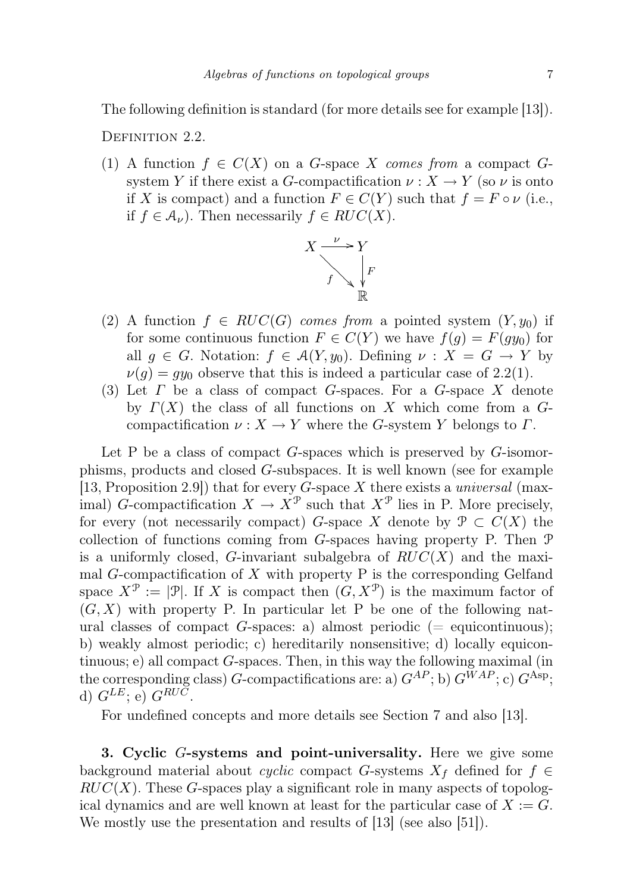The following definition is standard (for more details see for example [13]).

DEFINITION 2.2.

(1) A function  $f \in C(X)$  on a G-space X comes from a compact Gsystem Y if there exist a G-compactification  $\nu : X \to Y$  (so  $\nu$  is onto if X is compact) and a function  $F \in C(Y)$  such that  $f = F \circ \nu$  (i.e., if  $f \in \mathcal{A}_{\nu}$ . Then necessarily  $f \in RUC(X)$ .



- (2) A function  $f \in RUC(G)$  comes from a pointed system  $(Y, y_0)$  if for some continuous function  $F \in C(Y)$  we have  $f(g) = F(gy_0)$  for all  $g \in G$ . Notation:  $f \in \mathcal{A}(Y, y_0)$ . Defining  $\nu : X = G \rightarrow Y$  by  $\nu(g) = gy_0$  observe that this is indeed a particular case of 2.2(1).
- (3) Let  $\Gamma$  be a class of compact G-spaces. For a G-space  $X$  denote by  $\Gamma(X)$  the class of all functions on X which come from a Gcompactification  $\nu : X \to Y$  where the G-system Y belongs to  $\Gamma$ .

Let P be a class of compact  $G$ -spaces which is preserved by  $G$ -isomorphisms, products and closed G-subspaces. It is well known (see for example [13, Proposition 2.9]) that for every G-space X there exists a *universal* (maximal) G-compactification  $X \to \check{X}^{\mathcal{P}}$  such that  $X^{\mathcal{P}}$  lies in P. More precisely, for every (not necessarily compact) G-space X denote by  $\mathcal{P} \subset C(X)$  the collection of functions coming from  $G$ -spaces having property P. Then  $\mathcal P$ is a uniformly closed, G-invariant subalgebra of  $RUC(X)$  and the maximal  $G$ -compactification of  $X$  with property  $P$  is the corresponding Gelfand space  $X^{\mathcal{P}} := |\mathcal{P}|$ . If X is compact then  $(G, X^{\mathcal{P}})$  is the maximum factor of  $(G, X)$  with property P. In particular let P be one of the following natural classes of compact G-spaces: a) almost periodic (= equicontinuous); b) weakly almost periodic; c) hereditarily nonsensitive; d) locally equicontinuous; e) all compact  $G$ -spaces. Then, in this way the following maximal (in the corresponding class) G-compactifications are: a)  $G^{AP}$ ; b)  $G^{WAP}$ ; c)  $G^{Asp}$ ; d)  $G^{LE}$ ; e)  $G^{RUC}$ .

For undefined concepts and more details see Section 7 and also [13].

3. Cyclic G-systems and point-universality. Here we give some background material about cyclic compact G-systems  $X_f$  defined for  $f \in$  $RUC(X)$ . These G-spaces play a significant role in many aspects of topological dynamics and are well known at least for the particular case of  $X := G$ . We mostly use the presentation and results of [13] (see also [51]).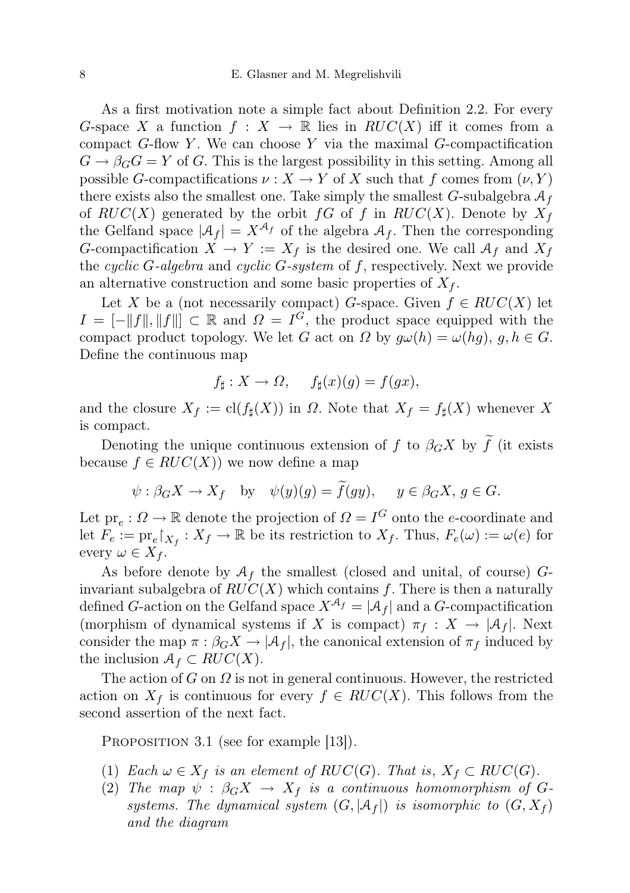As a first motivation note a simple fact about Definition 2.2. For every G-space X a function  $f: X \to \mathbb{R}$  lies in  $RUC(X)$  iff it comes from a compact  $G$ -flow Y. We can choose Y via the maximal  $G$ -compactification  $G \to \beta_G G = Y$  of G. This is the largest possibility in this setting. Among all possible G-compactifications  $\nu : X \to Y$  of X such that f comes from  $(\nu, Y)$ there exists also the smallest one. Take simply the smallest  $G$ -subalgebra  $\mathcal{A}_f$ of  $RUC(X)$  generated by the orbit  $fG$  of f in  $RUC(X)$ . Denote by  $X_f$ the Gelfand space  $|\mathcal{A}_f| = X^{\mathcal{A}_f}$  of the algebra  $\mathcal{A}_f$ . Then the corresponding G-compactification  $X \to Y := X_f$  is the desired one. We call  $\mathcal{A}_f$  and  $X_f$ the cyclic G-algebra and cyclic G-system of  $f$ , respectively. Next we provide an alternative construction and some basic properties of  $X_f$ .

Let X be a (not necessarily compact) G-space. Given  $f \in RUC(X)$  let  $I = [-||f||, ||f||] \subset \mathbb{R}$  and  $\Omega = I^G$ , the product space equipped with the compact product topology. We let G act on  $\Omega$  by  $g\omega(h) = \omega(hg)$ ,  $g, h \in G$ . Define the continuous map

$$
f_{\sharp}: X \to \Omega, \quad f_{\sharp}(x)(g) = f(gx),
$$

and the closure  $X_f := cl(f_\sharp(X))$  in  $\Omega$ . Note that  $X_f = f_\sharp(X)$  whenever X is compact.

Denoting the unique continuous extension of  $f$  to  $\beta_G X$  by  $\widetilde{f}$  (it exists because  $f \in RUC(X)$  we now define a map

$$
\psi : \beta_G X \to X_f
$$
 by  $\psi(y)(g) = f(gy), \quad y \in \beta_G X, g \in G.$ 

Let  $pr_e: \Omega \to \mathbb{R}$  denote the projection of  $\Omega = I^G$  onto the *e*-coordinate and let  $F_e := \text{pr}_e\upharpoonright_{X_f} : X_f \to \mathbb{R}$  be its restriction to  $X_f$ . Thus,  $F_e(\omega) := \omega(e)$  for every  $\omega \in X_f$ .

As before denote by  $A_f$  the smallest (closed and unital, of course)  $G$ invariant subalgebra of  $RUC(X)$  which contains f. There is then a naturally defined G-action on the Gelfand space  $X^{A_f} = |A_f|$  and a G-compactification (morphism of dynamical systems if X is compact)  $\pi_f : X \to |A_f|$ . Next consider the map  $\pi : \beta_G X \to |\mathcal{A}_f|$ , the canonical extension of  $\pi_f$  induced by the inclusion  $\mathcal{A}_f \subset RUC(X)$ .

The action of  $G$  on  $\Omega$  is not in general continuous. However, the restricted action on  $X_f$  is continuous for every  $f \in RUC(X)$ . This follows from the second assertion of the next fact.

PROPOSITION 3.1 (see for example [13]).

- (1) Each  $\omega \in X_f$  is an element of  $RUC(G)$ . That is,  $X_f \subset RUC(G)$ .
- (2) The map  $\psi : \beta_G X \to X_f$  is a continuous homomorphism of Gsystems. The dynamical system  $(G, |A_f|)$  is isomorphic to  $(G, X_f)$ and the diagram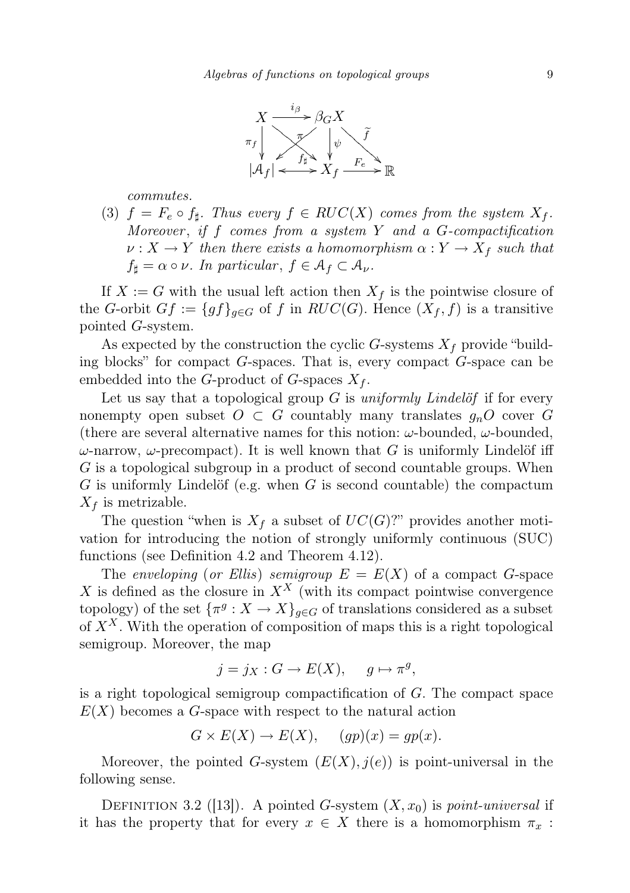

commutes.

(3)  $f = F_e \circ f_{\sharp}$ . Thus every  $f \in RUC(X)$  comes from the system  $X_f$ . Moreover, if  $f$  comes from a system  $Y$  and a  $G$ -compactification  $\nu: X \to Y$  then there exists a homomorphism  $\alpha: Y \to X_f$  such that  $f_{\sharp} = \alpha \circ \nu$ . In particular,  $f \in \mathcal{A}_f \subset \mathcal{A}_{\nu}$ .

If  $X := G$  with the usual left action then  $X_f$  is the pointwise closure of the G-orbit  $Gf := \{gf\}_{g \in G}$  of f in  $RUC(G)$ . Hence  $(X_f, f)$  is a transitive pointed G-system.

As expected by the construction the cyclic G-systems  $X_f$  provide "building blocks" for compact G-spaces. That is, every compact G-space can be embedded into the G-product of G-spaces  $X_f$ .

Let us say that a topological group  $G$  is uniformly Lindelöf if for every nonempty open subset  $O \subset G$  countably many translates  $g_nO$  cover G (there are several alternative names for this notion:  $\omega$ -bounded,  $\omega$ -bounded,  $\omega$ -narrow,  $\omega$ -precompact). It is well known that G is uniformly Lindelöf iff G is a topological subgroup in a product of second countable groups. When  $G$  is uniformly Lindelöf (e.g. when  $G$  is second countable) the compactum  $X_f$  is metrizable.

The question "when is  $X_f$  a subset of  $UC(G)$ ?" provides another motivation for introducing the notion of strongly uniformly continuous (SUC) functions (see Definition 4.2 and Theorem 4.12).

The enveloping (or Ellis) semigroup  $E = E(X)$  of a compact G-space X is defined as the closure in  $X^X$  (with its compact pointwise convergence topology) of the set  ${\{\pi^g: X \to X\}}_{g \in G}$  of translations considered as a subset of  $X^X$ . With the operation of composition of maps this is a right topological semigroup. Moreover, the map

$$
j = j_X : G \to E(X), \quad g \mapsto \pi^g,
$$

is a right topological semigroup compactification of G. The compact space  $E(X)$  becomes a G-space with respect to the natural action

$$
G \times E(X) \to E(X), \quad (gp)(x) = gp(x).
$$

Moreover, the pointed G-system  $(E(X), j(e))$  is point-universal in the following sense.

DEFINITION 3.2 ([13]). A pointed G-system  $(X, x_0)$  is *point-universal* if it has the property that for every  $x \in X$  there is a homomorphism  $\pi_x$ :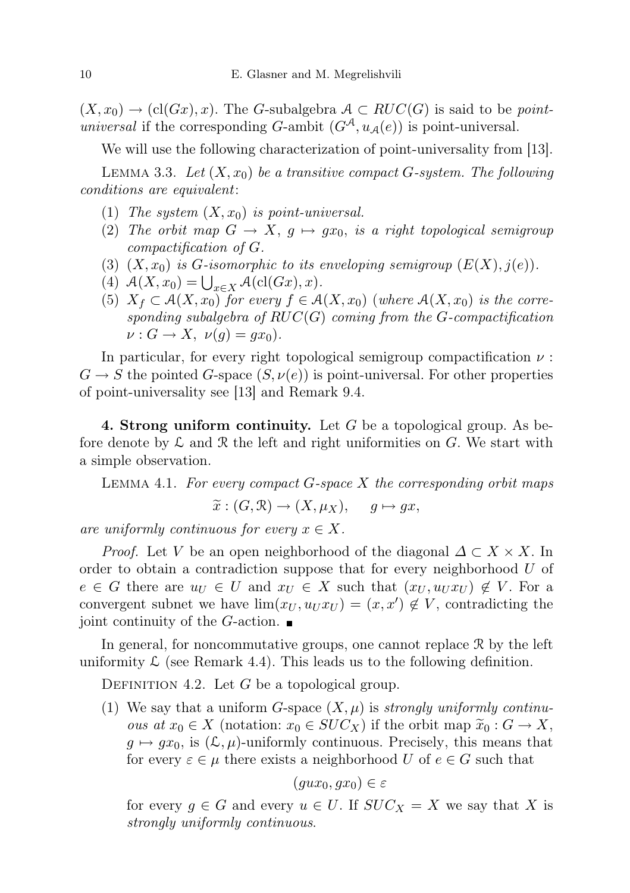$(X, x_0) \to (cl(Gx), x)$ . The G-subalgebra  $A \subset RUC(G)$  is said to be *point*universal if the corresponding G-ambit  $(G^{\mathcal{A}}, u_{\mathcal{A}}(e))$  is point-universal.

We will use the following characterization of point-universality from [13].

LEMMA 3.3. Let  $(X, x_0)$  be a transitive compact G-system. The following conditions are equivalent:

- (1) The system  $(X, x_0)$  is point-universal.
- (2) The orbit map  $G \to X$ ,  $g \mapsto gx_0$ , is a right topological semigroup compactification of G.
- (3)  $(X, x_0)$  is G-isomorphic to its enveloping semigroup  $(E(X), j(e))$ .
- (4)  $A(X, x_0) = \bigcup_{x \in X} A(\text{cl}(Gx), x).$
- (5)  $X_f \subset \mathcal{A}(X, x_0)$  for every  $f \in \mathcal{A}(X, x_0)$  (where  $\mathcal{A}(X, x_0)$  is the corresponding subalgebra of  $RUC(G)$  coming from the G-compactification  $\nu: G \to X$ ,  $\nu(g) = gx_0$ ).

In particular, for every right topological semigroup compactification  $\nu$ :  $G \to S$  the pointed G-space  $(S, \nu(e))$  is point-universal. For other properties of point-universality see [13] and Remark 9.4.

4. Strong uniform continuity. Let  $G$  be a topological group. As before denote by  $\mathcal L$  and  $\mathcal R$  the left and right uniformities on  $G$ . We start with a simple observation.

LEMMA 4.1. For every compact  $G$ -space  $X$  the corresponding orbit maps

$$
\widetilde{x}: (G, \mathcal{R}) \to (X, \mu_X), \quad g \mapsto gx,
$$

are uniformly continuous for every  $x \in X$ .

*Proof.* Let V be an open neighborhood of the diagonal  $\Delta \subset X \times X$ . In order to obtain a contradiction suppose that for every neighborhood U of  $e \in G$  there are  $u_U \in U$  and  $x_U \in X$  such that  $(x_U, u_U x_U) \notin V$ . For a convergent subnet we have  $\lim(x_U, u_U x_U) = (x, x') \notin V$ , contradicting the joint continuity of the G-action.  $\blacksquare$ 

In general, for noncommutative groups, one cannot replace  $\mathcal{R}$  by the left uniformity  $\mathcal L$  (see Remark 4.4). This leads us to the following definition.

DEFINITION 4.2. Let  $G$  be a topological group.

(1) We say that a uniform *G*-space  $(X, \mu)$  is *strongly uniformly continuous at*  $x_0 \in X$  (notation:  $x_0 \in SUC_X$ ) if the orbit map  $\widetilde{x}_0 : G \to X$ ,  $g \mapsto gx_0$ , is  $(\mathcal{L}, \mu)$ -uniformly continuous. Precisely, this means that for every  $\varepsilon \in \mu$  there exists a neighborhood U of  $e \in G$  such that

$$
(gux_0,gx_0)\in \varepsilon
$$

for every  $g \in G$  and every  $u \in U$ . If  $SUC_X = X$  we say that X is strongly uniformly continuous.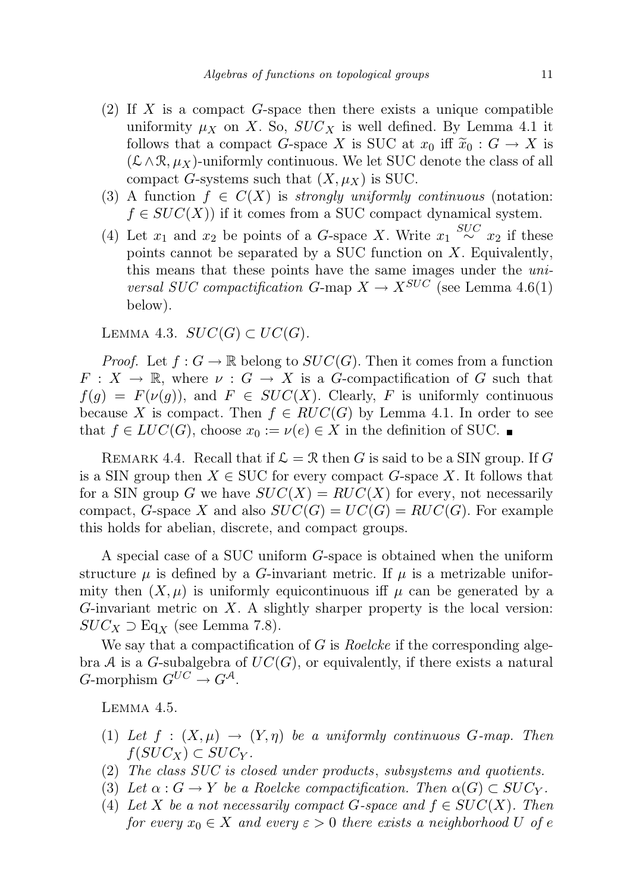- (2) If X is a compact  $G$ -space then there exists a unique compatible uniformity  $\mu_X$  on X. So,  $SUC_X$  is well defined. By Lemma 4.1 it follows that a compact G-space X is SUC at  $x_0$  iff  $\widetilde{x}_0 : G \to X$  is  $(\mathcal{L}\wedge\mathcal{R}, \mu_X)$ -uniformly continuous. We let SUC denote the class of all compact G-systems such that  $(X, \mu_X)$  is SUC.
- (3) A function  $f \in C(X)$  is strongly uniformly continuous (notation:  $f \in SUC(X)$  if it comes from a SUC compact dynamical system.
- (4) Let  $x_1$  and  $x_2$  be points of a G-space X. Write  $x_1 \stackrel{SUC}{\sim} x_2$  if these points cannot be separated by a SUC function on  $X$ . Equivalently, this means that these points have the same images under the universal SUC compactification G-map  $X \to X^{SUC}$  (see Lemma 4.6(1) below).

LEMMA 4.3.  $SUC(G) \subset UC(G)$ .

*Proof.* Let  $f: G \to \mathbb{R}$  belong to  $SUC(G)$ . Then it comes from a function  $F: X \to \mathbb{R}$ , where  $\nu: G \to X$  is a G-compactification of G such that  $f(q) = F(\nu(q))$ , and  $F \in SUC(X)$ . Clearly, F is uniformly continuous because X is compact. Then  $f \in RUC(G)$  by Lemma 4.1. In order to see that  $f \in LUC(G)$ , choose  $x_0 := \nu(e) \in X$  in the definition of SUC.

REMARK 4.4. Recall that if  $\mathcal{L} = \mathcal{R}$  then G is said to be a SIN group. If G is a SIN group then  $X \in \text{SUC}$  for every compact G-space X. It follows that for a SIN group G we have  $SUC(X) = RUC(X)$  for every, not necessarily compact, G-space X and also  $SUC(G) = UC(G) = RUC(G)$ . For example this holds for abelian, discrete, and compact groups.

A special case of a SUC uniform G-space is obtained when the uniform structure  $\mu$  is defined by a G-invariant metric. If  $\mu$  is a metrizable uniformity then  $(X, \mu)$  is uniformly equicontinuous iff  $\mu$  can be generated by a G-invariant metric on  $X$ . A slightly sharper property is the local version:  $SUC_X \supseteq Eq_X$  (see Lemma 7.8).

We say that a compactification of  $G$  is *Roelcke* if the corresponding algebra A is a G-subalgebra of  $UC(G)$ , or equivalently, if there exists a natural  $G$ -morphism  $G^{UC} \rightarrow G^{\mathcal{A}}$ .

Lemma 4.5.

- (1) Let  $f : (X, \mu) \to (Y, \eta)$  be a uniformly continuous G-map. Then  $f(SUC_X) \subset SUC_Y$ .
- (2) The class SUC is closed under products, subsystems and quotients.
- (3) Let  $\alpha : G \to Y$  be a Roelcke compactification. Then  $\alpha(G) \subset SUC_Y$ .
- (4) Let X be a not necessarily compact G-space and  $f \in SUC(X)$ . Then for every  $x_0 \in X$  and every  $\varepsilon > 0$  there exists a neighborhood U of e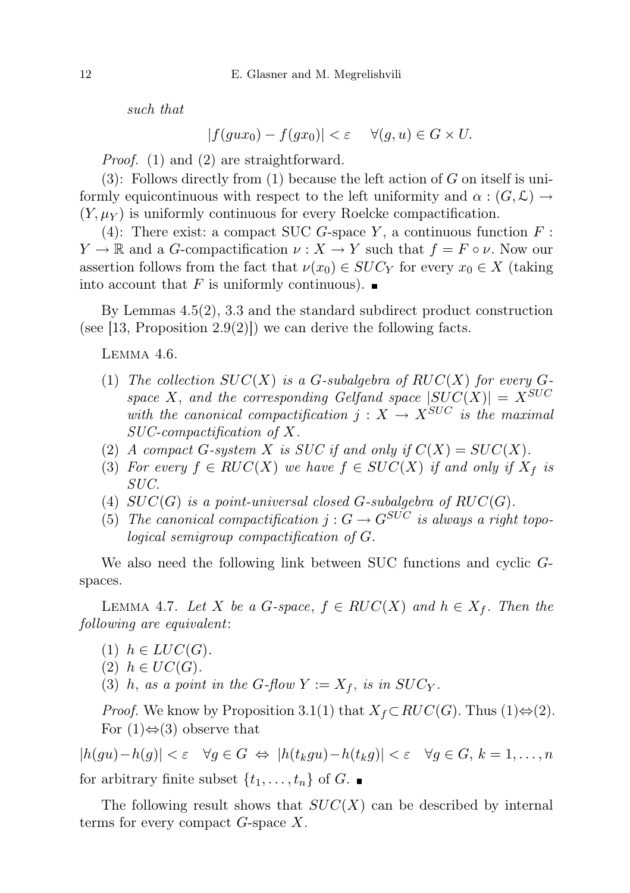such that

$$
|f(gux_0) - f(gx_0)| < \varepsilon \quad \forall (g, u) \in G \times U.
$$

Proof. (1) and (2) are straightforward.

(3): Follows directly from (1) because the left action of  $G$  on itself is uniformly equicontinuous with respect to the left uniformity and  $\alpha: (G, \mathcal{L}) \to$  $(Y, \mu_Y)$  is uniformly continuous for every Roelcke compactification.

(4): There exist: a compact SUC G-space Y, a continuous function  $F$ :  $Y \to \mathbb{R}$  and a G-compactification  $\nu : X \to Y$  such that  $f = F \circ \nu$ . Now our assertion follows from the fact that  $\nu(x_0) \in SUC_Y$  for every  $x_0 \in X$  (taking into account that F is uniformly continuous).  $\blacksquare$ 

By Lemmas 4.5(2), 3.3 and the standard subdirect product construction (see [13, Proposition 2.9(2)]) we can derive the following facts.

Lemma 4.6.

- (1) The collection  $SUC(X)$  is a G-subalgebra of  $RUC(X)$  for every Gspace X, and the corresponding Gelfand space  $|SUC(X)| = X^{SUC}$ with the canonical compactification  $j: X \rightarrow X^{SUC}$  is the maximal SUC-compactification of X.
- (2) A compact G-system X is SUC if and only if  $C(X) = SUC(X)$ .
- (3) For every  $f \in RUC(X)$  we have  $f \in SUC(X)$  if and only if  $X_f$  is SUC.
- (4)  $SUC(G)$  is a point-universal closed G-subalgebra of  $RUC(G)$ .
- (5) The canonical compactification  $j: G \to G^{SUC}$  is always a right topological semigroup compactification of G.

We also need the following link between SUC functions and cyclic Gspaces.

LEMMA 4.7. Let X be a G-space,  $f \in RUC(X)$  and  $h \in X_f$ . Then the following are equivalent:

- $(1)$   $h \in LUC(G)$ .
- $(2)$   $h \in UC(G)$ .
- (3) h, as a point in the G-flow  $Y := X_f$ , is in  $SUC_Y$ .

*Proof.* We know by Proposition 3.1(1) that  $X_f \subset RUC(G)$ . Thus (1) $\Leftrightarrow$  (2). For  $(1) \Leftrightarrow (3)$  observe that

 $|h(gu)-h(g)| < \varepsilon \quad \forall g \in G \Leftrightarrow |h(t_kgu)-h(t_kg)| < \varepsilon \quad \forall g \in G, k = 1, ..., n$ for arbitrary finite subset  $\{t_1, \ldots, t_n\}$  of G.

The following result shows that  $SUC(X)$  can be described by internal terms for every compact  $G$ -space  $X$ .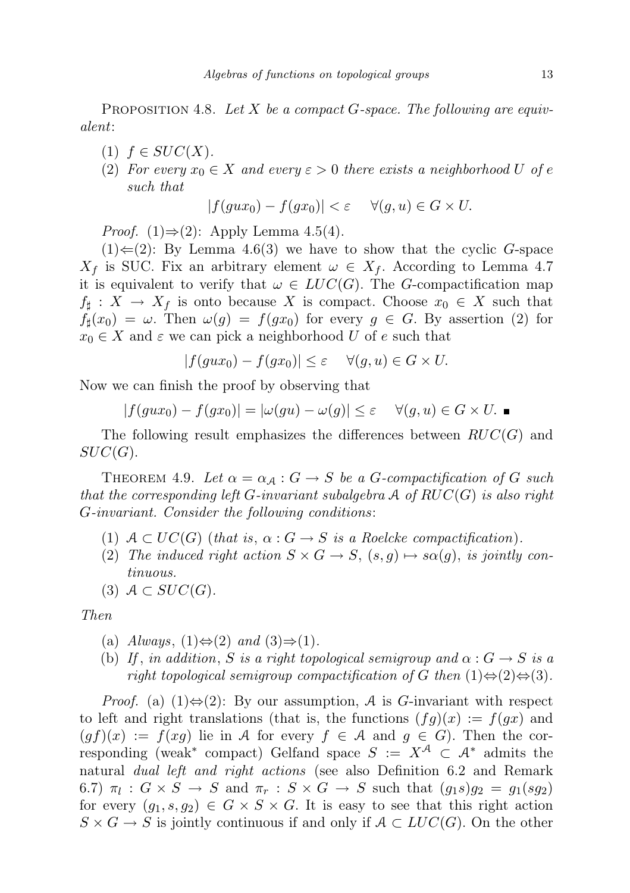PROPOSITION 4.8. Let X be a compact  $G$ -space. The following are equivalent:

- $(1)$   $f \in SUC(X)$ .
- (2) For every  $x_0 \in X$  and every  $\varepsilon > 0$  there exists a neighborhood U of e such that

$$
|f(gux_0) - f(gx_0)| < \varepsilon \quad \forall (g, u) \in G \times U.
$$

*Proof.* (1)⇒(2): Apply Lemma 4.5(4).

 $(1) \in (2)$ : By Lemma 4.6(3) we have to show that the cyclic G-space  $X_f$  is SUC. Fix an arbitrary element  $\omega \in X_f$ . According to Lemma 4.7 it is equivalent to verify that  $\omega \in LUC(G)$ . The G-compactification map  $f_{\sharp}: X \to X_f$  is onto because X is compact. Choose  $x_0 \in X$  such that  $f_{\sharp}(x_0) = \omega$ . Then  $\omega(g) = f(gx_0)$  for every  $g \in G$ . By assertion (2) for  $x_0 \in X$  and  $\varepsilon$  we can pick a neighborhood U of e such that

$$
|f(gux_0) - f(gx_0)| \le \varepsilon \quad \forall (g, u) \in G \times U.
$$

Now we can finish the proof by observing that

$$
|f(gux_0) - f(gx_0)| = |\omega(gu) - \omega(g)| \le \varepsilon \quad \forall (g, u) \in G \times U. \blacksquare
$$

The following result emphasizes the differences between  $RUC(G)$  and  $SUC(G).$ 

THEOREM 4.9. Let  $\alpha = \alpha_{\mathcal{A}} : G \to S$  be a G-compactification of G such that the corresponding left G-invariant subalgebra  $\mathcal A$  of  $RUC(G)$  is also right G-invariant. Consider the following conditions:

- (1)  $A \subset UC(G)$  (that is,  $\alpha: G \to S$  is a Roelcke compactification).
- (2) The induced right action  $S \times G \to S$ ,  $(s, g) \mapsto s\alpha(g)$ , is jointly continuous.
- (3)  $A \subset SUC(G)$ .

Then

- (a)  $Always, (1) \Leftrightarrow (2) \text{ and } (3) \Rightarrow (1)$ .
- (b) If, in addition, S is a right topological semigroup and  $\alpha$  :  $G \rightarrow S$  is a right topological semigroup compactification of G then  $(1) \Leftrightarrow (2) \Leftrightarrow (3)$ .

*Proof.* (a)  $(1) \Leftrightarrow (2)$ : By our assumption, A is G-invariant with respect to left and right translations (that is, the functions  $(fg)(x) := f(gx)$  and  $(gf)(x) := f(xg)$  lie in A for every  $f \in A$  and  $g \in G$ ). Then the corresponding (weak<sup>\*</sup> compact) Gelfand space  $S := X^{\mathcal{A}} \subset \mathcal{A}^*$  admits the natural dual left and right actions (see also Definition 6.2 and Remark 6.7)  $\pi_l$  :  $G \times S \to S$  and  $\pi_r$  :  $S \times G \to S$  such that  $(g_1s)g_2 = g_1(sg_2)$ for every  $(q_1, s, q_2) \in G \times S \times G$ . It is easy to see that this right action  $S \times G \to S$  is jointly continuous if and only if  $A \subset LUC(G)$ . On the other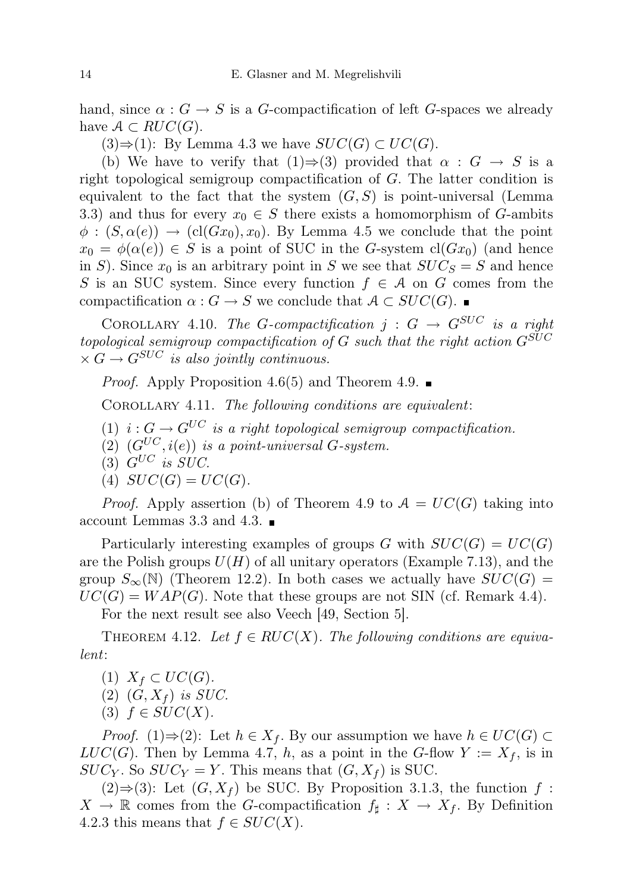hand, since  $\alpha$ :  $G \to S$  is a G-compactification of left G-spaces we already have  $A \subset RUC(G)$ .

 $(3) \Rightarrow (1)$ : By Lemma 4.3 we have  $SUC(G) \subset UC(G)$ .

(b) We have to verify that  $(1) \Rightarrow (3)$  provided that  $\alpha : G \rightarrow S$  is a right topological semigroup compactification of G. The latter condition is equivalent to the fact that the system  $(G, S)$  is point-universal (Lemma 3.3) and thus for every  $x_0 \in S$  there exists a homomorphism of G-ambits  $\phi: (S, \alpha(e)) \to (cl(Gx_0), x_0)$ . By Lemma 4.5 we conclude that the point  $x_0 = \phi(\alpha(e)) \in S$  is a point of SUC in the G-system cl(Gx<sub>0</sub>) (and hence in S). Since  $x_0$  is an arbitrary point in S we see that  $SUC_S = S$  and hence S is an SUC system. Since every function  $f \in \mathcal{A}$  on G comes from the compactification  $\alpha : G \to S$  we conclude that  $A \subset SUC(G)$ .

COROLLARY 4.10. The G-compactification  $j: G \to G^{SUC}$  is a right topological semigroup compactification of G such that the right action  $G^{SUC}$  $\times G \rightarrow G^{SUC}$  is also jointly continuous.

*Proof.* Apply Proposition 4.6(5) and Theorem 4.9.  $\blacksquare$ 

COROLLARY 4.11. The following conditions are equivalent:

- (1)  $i: G \to G^{UC}$  is a right topological semigroup compactification.
- (2)  $(G^{UC}, i(e))$  is a point-universal G-system.
- $(3)$   $G^{UC}$  is  $SUC$ .

$$
(4) \quad SUC(G) = UC(G).
$$

*Proof.* Apply assertion (b) of Theorem 4.9 to  $A = UC(G)$  taking into account Lemmas 3.3 and 4.3.

Particularly interesting examples of groups G with  $SUC(G) = UC(G)$ are the Polish groups  $U(H)$  of all unitary operators (Example 7.13), and the group  $S_{\infty}(\mathbb{N})$  (Theorem 12.2). In both cases we actually have  $SUC(G)$  $UC(G) = WAP(G)$ . Note that these groups are not SIN (cf. Remark 4.4).

For the next result see also Veech [49, Section 5].

THEOREM 4.12. Let  $f \in RUC(X)$ . The following conditions are equivalent:

- $(1)$   $X_f \subset UC(G)$ .
- $(2)$   $(G, X_f)$  is SUC.
- (3)  $f \in SUC(X)$ .

*Proof.* (1)⇒(2): Let  $h \in X_f$ . By our assumption we have  $h \in UC(G)$  $LUC(G)$ . Then by Lemma 4.7, h, as a point in the G-flow  $Y := X_f$ , is in  $SUC_Y$ . So  $SUC_Y = Y$ . This means that  $(G, X_f)$  is SUC.

 $(2) \Rightarrow (3)$ : Let  $(G, X_f)$  be SUC. By Proposition 3.1.3, the function f:  $X \to \mathbb{R}$  comes from the G-compactification  $f_{\sharp}: X \to X_f$ . By Definition 4.2.3 this means that  $f \in SUC(X)$ .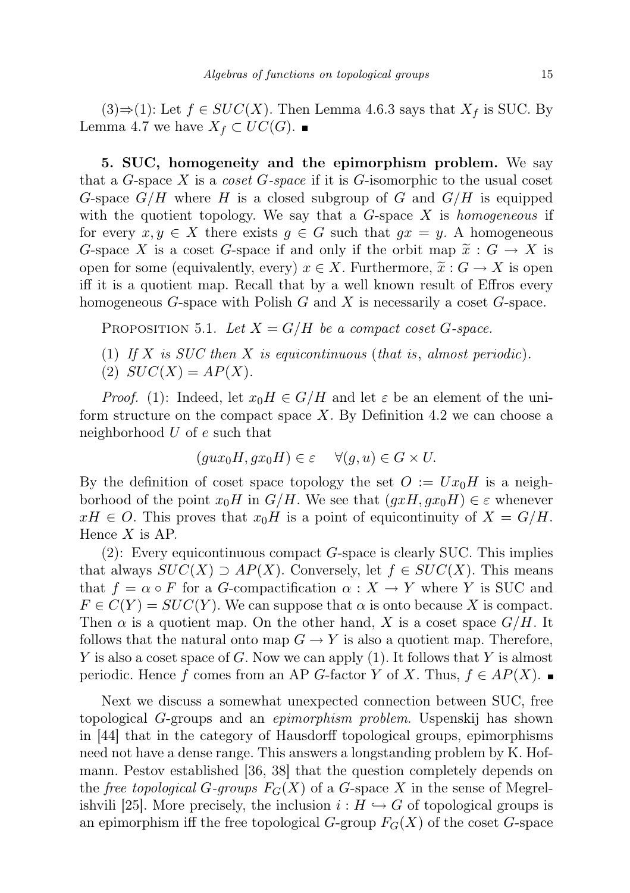(3)⇒(1): Let  $f \in SUC(X)$ . Then Lemma 4.6.3 says that  $X_f$  is SUC. By Lemma 4.7 we have  $X_f \subset UC(G)$ .

5. SUC, homogeneity and the epimorphism problem. We say that a G-space X is a coset G-space if it is G-isomorphic to the usual coset G-space  $G/H$  where H is a closed subgroup of G and  $G/H$  is equipped with the quotient topology. We say that a  $G$ -space X is homogeneous if for every  $x, y \in X$  there exists  $g \in G$  such that  $gx = y$ . A homogeneous G-space X is a coset G-space if and only if the orbit map  $\tilde{x}: G \to X$  is open for some (equivalently, every)  $x \in X$ . Furthermore,  $\tilde{x}: G \to X$  is open iff it is a quotient map. Recall that by a well known result of Effros every homogeneous  $G$ -space with Polish  $G$  and  $X$  is necessarily a coset  $G$ -space.

PROPOSITION 5.1. Let  $X = G/H$  be a compact coset G-space.

- (1) If X is SUC then X is equicontinuous (that is, almost periodic).
- (2)  $SUC(X) = AP(X)$ .

*Proof.* (1): Indeed, let  $x_0H \in G/H$  and let  $\varepsilon$  be an element of the uniform structure on the compact space  $X$ . By Definition 4.2 we can choose a neighborhood  $U$  of  $e$  such that

$$
(gux_0H, gx_0H) \in \varepsilon \quad \forall (g, u) \in G \times U.
$$

By the definition of coset space topology the set  $O := Ux_0H$  is a neighborhood of the point  $x_0H$  in  $G/H$ . We see that  $(gxH, gx_0H) \in \varepsilon$  whenever  $xH \in O$ . This proves that  $x_0H$  is a point of equicontinuity of  $X = G/H$ . Hence  $X$  is AP.

 $(2)$ : Every equicontinuous compact G-space is clearly SUC. This implies that always  $SUC(X) \supset AP(X)$ . Conversely, let  $f \in SUC(X)$ . This means that  $f = \alpha \circ F$  for a G-compactification  $\alpha : X \to Y$  where Y is SUC and  $F \in C(Y) = SUC(Y)$ . We can suppose that  $\alpha$  is onto because X is compact. Then  $\alpha$  is a quotient map. On the other hand, X is a coset space  $G/H$ . It follows that the natural onto map  $G \to Y$  is also a quotient map. Therefore, Y is also a coset space of G. Now we can apply  $(1)$ . It follows that Y is almost periodic. Hence f comes from an AP G-factor Y of X. Thus,  $f \in AP(X)$ .

Next we discuss a somewhat unexpected connection between SUC, free topological G-groups and an epimorphism problem. Uspenskij has shown in [44] that in the category of Hausdorff topological groups, epimorphisms need not have a dense range. This answers a longstanding problem by K. Hofmann. Pestov established [36, 38] that the question completely depends on the free topological G-groups  $F_G(X)$  of a G-space X in the sense of Megrelishvili [25]. More precisely, the inclusion  $i : H \hookrightarrow G$  of topological groups is an epimorphism iff the free topological  $G$ -group  $F_G(X)$  of the coset  $G$ -space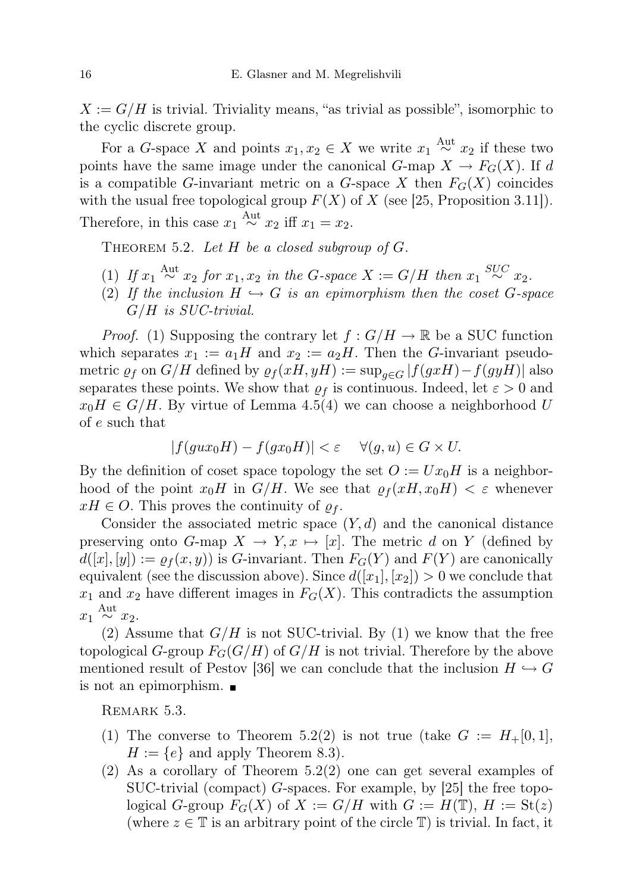$X := G/H$  is trivial. Triviality means, "as trivial as possible", isomorphic to the cyclic discrete group.

For a G-space X and points  $x_1, x_2 \in X$  we write  $x_1 \stackrel{\text{Aut}}{\sim} x_2$  if these two points have the same image under the canonical  $G$ -map  $X \to F_G(X)$ . If d is a compatible G-invariant metric on a G-space X then  $F_G(X)$  coincides with the usual free topological group  $F(X)$  of X (see [25, Proposition 3.11]). Therefore, in this case  $x_1 \stackrel{\text{Aut}}{\sim} x_2$  iff  $x_1 = x_2$ .

THEOREM 5.2. Let  $H$  be a closed subgroup of  $G$ .

- (1) If  $x_1 \stackrel{\text{Aut}}{\sim} x_2$  for  $x_1, x_2$  in the G-space  $X := G/H$  then  $x_1 \stackrel{SUC}{\sim} x_2$ .
- (2) If the inclusion  $H \hookrightarrow G$  is an epimorphism then the coset G-space G/H is SUC-trivial.

*Proof.* (1) Supposing the contrary let  $f : G/H \to \mathbb{R}$  be a SUC function which separates  $x_1 := a_1H$  and  $x_2 := a_2H$ . Then the G-invariant pseudometric  $\varrho_f$  on  $G/H$  defined by  $\varrho_f(xH, yH) := \sup_{g \in G} |f(gxH) - f(gyH)|$  also separates these points. We show that  $\rho_f$  is continuous. Indeed, let  $\varepsilon > 0$  and  $x_0H \in G/H$ . By virtue of Lemma 4.5(4) we can choose a neighborhood U of e such that

$$
|f(gux_0H) - f(gx_0H)| < \varepsilon \quad \forall (g, u) \in G \times U.
$$

By the definition of coset space topology the set  $O := Ux_0H$  is a neighborhood of the point  $x_0H$  in  $G/H$ . We see that  $\rho_f(xH, x_0H) < \varepsilon$  whenever  $xH \in O$ . This proves the continuity of  $\rho_f$ .

Consider the associated metric space  $(Y, d)$  and the canonical distance preserving onto G-map  $X \to Y, x \mapsto [x]$ . The metric d on Y (defined by  $d([x], [y]) := \rho_f(x, y)$  is G-invariant. Then  $F_G(Y)$  and  $F(Y)$  are canonically equivalent (see the discussion above). Since  $d([x_1], [x_2]) > 0$  we conclude that  $x_1$  and  $x_2$  have different images in  $F_G(X)$ . This contradicts the assumption  $x_1 \stackrel{\text{Aut}}{\sim} x_2.$ 

(2) Assume that  $G/H$  is not SUC-trivial. By (1) we know that the free topological G-group  $F_G(G/H)$  of  $G/H$  is not trivial. Therefore by the above mentioned result of Pestov [36] we can conclude that the inclusion  $H \hookrightarrow G$ is not an epimorphism.

REMARK 5.3.

- (1) The converse to Theorem 5.2(2) is not true (take  $G := H_+[0,1],$  $H := \{e\}$  and apply Theorem 8.3).
- (2) As a corollary of Theorem 5.2(2) one can get several examples of SUC-trivial (compact) G-spaces. For example, by [25] the free topological G-group  $F_G(X)$  of  $X := G/H$  with  $G := H(\mathbb{T})$ ,  $H := \mathrm{St}(z)$ (where  $z \in \mathbb{T}$  is an arbitrary point of the circle  $\mathbb{T}$ ) is trivial. In fact, it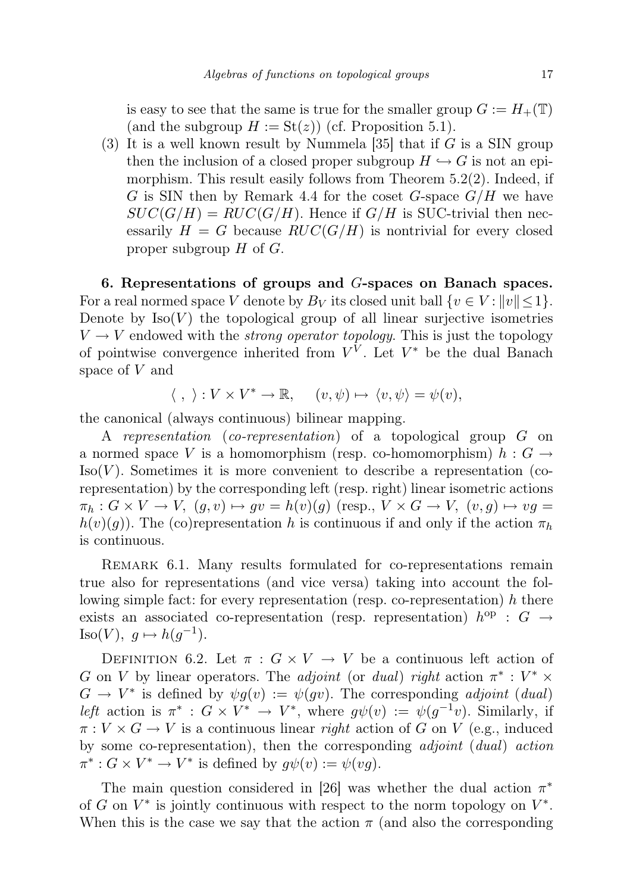is easy to see that the same is true for the smaller group  $G := H_+(\mathbb{T})$ (and the subgroup  $H := \text{St}(z)$ ) (cf. Proposition 5.1).

(3) It is a well known result by Nummela [35] that if  $G$  is a SIN group then the inclusion of a closed proper subgroup  $H \hookrightarrow G$  is not an epimorphism. This result easily follows from Theorem 5.2(2). Indeed, if G is SIN then by Remark 4.4 for the coset G-space  $G/H$  we have  $SUC(G/H) = RUC(G/H)$ . Hence if  $G/H$  is SUC-trivial then necessarily  $H = G$  because  $RUC(G/H)$  is nontrivial for every closed proper subgroup  $H$  of  $G$ .

6. Representations of groups and G-spaces on Banach spaces. For a real normed space V denote by  $B_V$  its closed unit ball  $\{v \in V : ||v|| \leq 1\}$ . Denote by  $Iso(V)$  the topological group of all linear surjective isometries  $V \rightarrow V$  endowed with the *strong operator topology*. This is just the topology of pointwise convergence inherited from  $V^V$ . Let  $V^*$  be the dual Banach space of V and

$$
\langle , \rangle : V \times V^* \to \mathbb{R}, \quad (v, \psi) \mapsto \langle v, \psi \rangle = \psi(v),
$$

the canonical (always continuous) bilinear mapping.

A representation (co-representation) of a topological group G on a normed space V is a homomorphism (resp. co-homomorphism)  $h : G \rightarrow$  $Iso(V)$ . Sometimes it is more convenient to describe a representation (corepresentation) by the corresponding left (resp. right) linear isometric actions  $\pi_h : G \times V \to V$ ,  $(q, v) \mapsto qv = h(v)(q)$  (resp.,  $V \times G \to V$ ,  $(v, q) \mapsto vq =$  $h(v)(g)$ . The (co)representation h is continuous if and only if the action  $\pi_h$ is continuous.

REMARK 6.1. Many results formulated for co-representations remain true also for representations (and vice versa) taking into account the following simple fact: for every representation (resp. co-representation) h there exists an associated co-representation (resp. representation)  $h^{op}$  :  $G \rightarrow$ Iso(V),  $g \mapsto h(g^{-1})$ .

DEFINITION 6.2. Let  $\pi: G \times V \to V$  be a continuous left action of G on V by linear operators. The adjoint (or dual) right action  $\pi^*: V^* \times$  $G \to V^*$  is defined by  $\psi g(v) := \psi(gv)$ . The corresponding *adjoint* (dual) left action is  $\pi^* : G \times V^* \to V^*$ , where  $g\psi(v) := \psi(g^{-1}v)$ . Similarly, if  $\pi: V \times G \to V$  is a continuous linear *right* action of G on V (e.g., induced by some co-representation), then the corresponding adjoint (dual) action  $\pi^*: G \times V^* \to V^*$  is defined by  $g\psi(v) := \psi(vg)$ .

The main question considered in [26] was whether the dual action  $\pi^*$ of G on  $V^*$  is jointly continuous with respect to the norm topology on  $V^*$ . When this is the case we say that the action  $\pi$  (and also the corresponding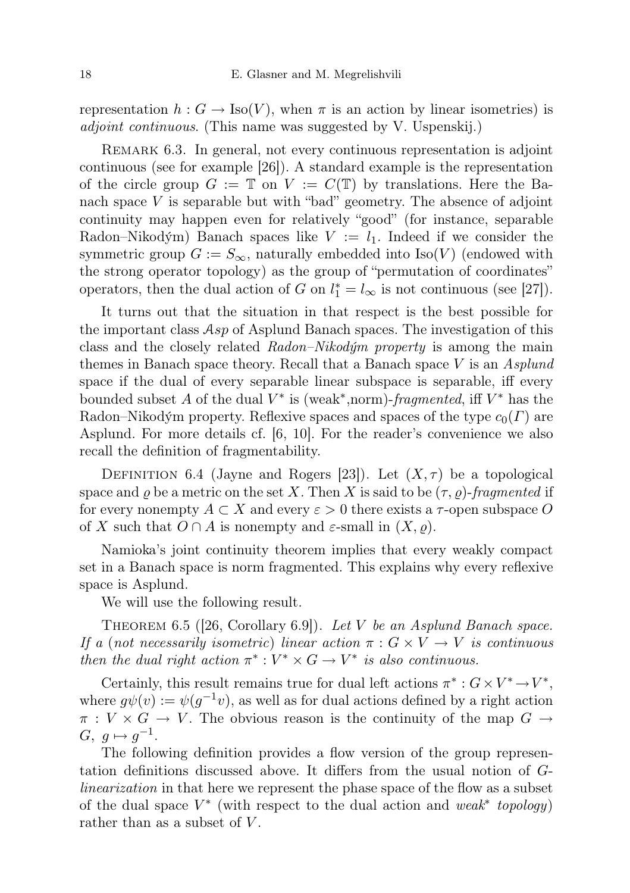representation  $h: G \to \text{Iso}(V)$ , when  $\pi$  is an action by linear isometries) is adjoint continuous. (This name was suggested by V. Uspenskij.)

Remark 6.3. In general, not every continuous representation is adjoint continuous (see for example [26]). A standard example is the representation of the circle group  $G := \mathbb{T}$  on  $V := C(\mathbb{T})$  by translations. Here the Banach space  $V$  is separable but with "bad" geometry. The absence of adjoint continuity may happen even for relatively "good" (for instance, separable Radon–Nikodým) Banach spaces like  $V := l_1$ . Indeed if we consider the symmetric group  $G := S_{\infty}$ , naturally embedded into Iso(V) (endowed with the strong operator topology) as the group of "permutation of coordinates" operators, then the dual action of G on  $l_1^* = l_\infty$  is not continuous (see [27]).

It turns out that the situation in that respect is the best possible for the important class  $Asp$  of Asplund Banach spaces. The investigation of this class and the closely related Radon–Nikodým property is among the main themes in Banach space theory. Recall that a Banach space  $V$  is an Asplund space if the dual of every separable linear subspace is separable, iff every bounded subset A of the dual  $V^*$  is (weak<sup>\*</sup>,norm)-fragmented, iff  $V^*$  has the Radon–Nikodým property. Reflexive spaces and spaces of the type  $c_0(\Gamma)$  are Asplund. For more details cf. [6, 10]. For the reader's convenience we also recall the definition of fragmentability.

DEFINITION 6.4 (Jayne and Rogers [23]). Let  $(X, \tau)$  be a topological space and  $\rho$  be a metric on the set X. Then X is said to be  $(\tau, \rho)$ -fragmented if for every nonempty  $A \subset X$  and every  $\varepsilon > 0$  there exists a  $\tau$ -open subspace O of X such that  $O \cap A$  is nonempty and  $\varepsilon$ -small in  $(X, \rho)$ .

Namioka's joint continuity theorem implies that every weakly compact set in a Banach space is norm fragmented. This explains why every reflexive space is Asplund.

We will use the following result.

THEOREM 6.5 ([26, Corollary 6.9]). Let V be an Asplund Banach space. If a (not necessarily isometric) linear action  $\pi: G \times V \to V$  is continuous then the dual right action  $\pi^*: V^* \times G \to V^*$  is also continuous.

Certainly, this result remains true for dual left actions  $\pi^*: G \times V^* \to V^*$ , where  $g\psi(v) := \psi(g^{-1}v)$ , as well as for dual actions defined by a right action  $\pi: V \times G \to V$ . The obvious reason is the continuity of the map  $G \to$  $G, g \mapsto g^{-1}.$ 

The following definition provides a flow version of the group representation definitions discussed above. It differs from the usual notion of Glinearization in that here we represent the phase space of the flow as a subset of the dual space  $V^*$  (with respect to the dual action and weak<sup>\*</sup> topology) rather than as a subset of  $V$ .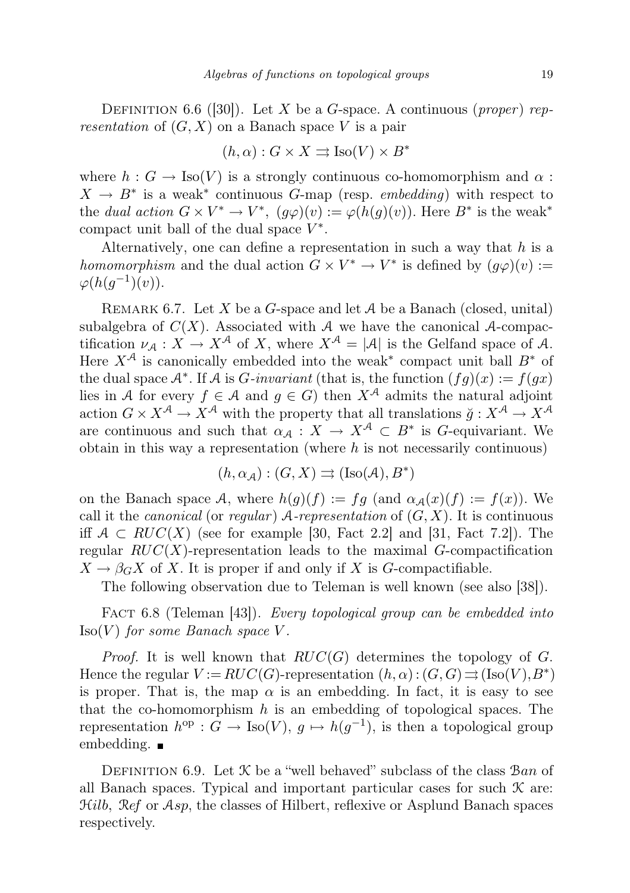DEFINITION 6.6 ([30]). Let X be a G-space. A continuous (proper) representation of  $(G, X)$  on a Banach space V is a pair

$$
(h, \alpha) : G \times X \rightrightarrows \text{Iso}(V) \times B^*
$$

where  $h: G \to \text{Iso}(V)$  is a strongly continuous co-homomorphism and  $\alpha$ :  $X \to B^*$  is a weak<sup>\*</sup> continuous G-map (resp. embedding) with respect to the dual action  $G \times V^* \to V^*$ ,  $(g\varphi)(v) := \varphi(h(g)(v))$ . Here  $B^*$  is the weak<sup>\*</sup> compact unit ball of the dual space  $V^*$ .

Alternatively, one can define a representation in such a way that  $h$  is a homomorphism and the dual action  $G \times V^* \to V^*$  is defined by  $(g\varphi)(v) :=$  $\varphi(h(g^{-1})(v)).$ 

REMARK 6.7. Let X be a G-space and let  $A$  be a Banach (closed, unital) subalgebra of  $C(X)$ . Associated with A we have the canonical A-compactification  $\nu_A: X \to X^{\mathcal{A}}$  of X, where  $X^{\mathcal{A}} = |\mathcal{A}|$  is the Gelfand space of A. Here  $X^{\mathcal{A}}$  is canonically embedded into the weak<sup>\*</sup> compact unit ball  $B^*$  of the dual space  $\mathcal{A}^*$ . If  $\mathcal A$  is *G*-invariant (that is, the function  $(fg)(x) := f(gx)$ lies in A for every  $f \in A$  and  $g \in G$ ) then  $X^{\mathcal{A}}$  admits the natural adjoint action  $G \times X^{\mathcal{A}} \to X^{\mathcal{A}}$  with the property that all translations  $\check{g}: X^{\mathcal{A}} \to X^{\mathcal{A}}$ are continuous and such that  $\alpha_{\mathcal{A}} : X \to X^{\mathcal{A}} \subset B^*$  is G-equivariant. We obtain in this way a representation (where  $h$  is not necessarily continuous)

$$
(h,\alpha_{\mathcal{A}}):(G,X)\rightrightarrows({\rm Iso}(\mathcal{A}),B^*)
$$

on the Banach space A, where  $h(g)(f) := fg$  (and  $\alpha_A(x)(f) := f(x)$ ). We call it the *canonical* (or *regular*)  $A$ -*representation* of  $(G, X)$ . It is continuous iff  $A \subset RUC(X)$  (see for example [30, Fact 2.2] and [31, Fact 7.2]). The regular  $RUC(X)$ -representation leads to the maximal G-compactification  $X \to \beta_G X$  of X. It is proper if and only if X is G-compactifiable.

The following observation due to Teleman is well known (see also [38]).

FACT 6.8 (Teleman [43]). Every topological group can be embedded into  $Iso(V)$  for some Banach space V.

*Proof.* It is well known that  $RUC(G)$  determines the topology of G. Hence the regular  $V := RUC(G)$ -representation  $(h, \alpha) : (G, G) \rightrightarrows (\text{Iso}(V), B^*)$ is proper. That is, the map  $\alpha$  is an embedding. In fact, it is easy to see that the co-homomorphism  $h$  is an embedding of topological spaces. The representation  $h^{\text{op}}: G \to \text{Iso}(V), g \mapsto h(g^{-1}),$  is then a topological group embedding.  $\blacksquare$ 

DEFINITION 6.9. Let  $\mathcal K$  be a "well behaved" subclass of the class  $\mathcal Ban$  of all Banach spaces. Typical and important particular cases for such  $\mathcal K$  are:  $Hilb$ ,  $\mathcal{R}ef$  or  $\mathcal{A}sp$ , the classes of Hilbert, reflexive or Asplund Banach spaces respectively.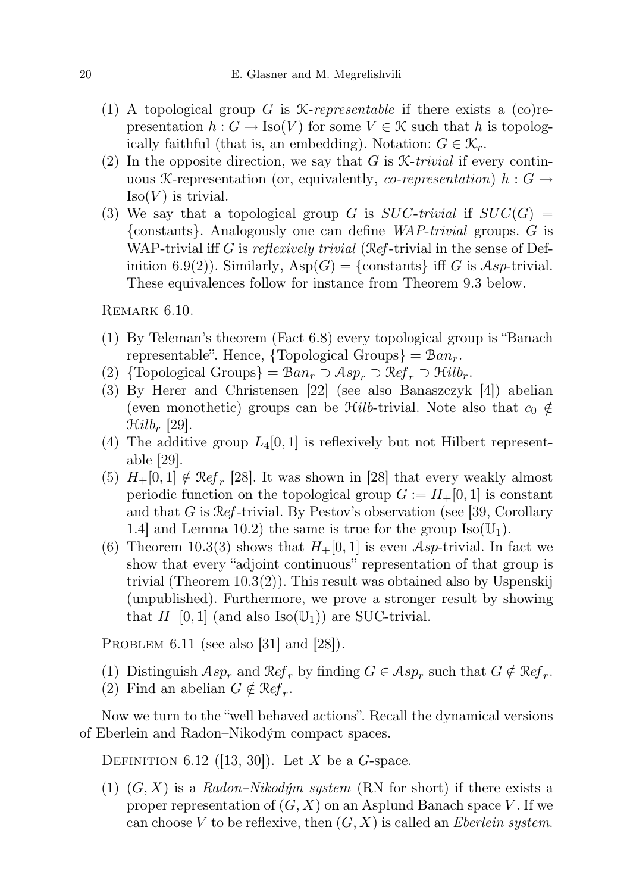- (1) A topological group G is *X-representable* if there exists a  $(co)$  representation  $h: G \to \text{Iso}(V)$  for some  $V \in \mathcal{K}$  such that h is topologically faithful (that is, an embedding). Notation:  $G \in \mathcal{K}_r$ .
- (2) In the opposite direction, we say that G is  $\mathcal{K}\text{-}trivial$  if every continuous X-representation (or, equivalently, *co-representation*)  $h : G \rightarrow$  $Iso(V)$  is trivial.
- (3) We say that a topological group G is  $SUC-trivial$  if  $SUC(G)$  = {constants}. Analogously one can define WAP-trivial groups. G is WAP-trivial iff G is reflexively trivial (Ref-trivial in the sense of Definition 6.9(2)). Similarly,  $\text{Asp}(G) = \{\text{constants}\}\$ iff G is Asp-trivial. These equivalences follow for instance from Theorem 9.3 below.

REMARK  $6.10$ .

- (1) By Teleman's theorem (Fact 6.8) every topological group is "Banach representable". Hence,  $\{Topological Groups\} = Ban_r$ .
- (2) {Topological Groups} =  $\mathcal{B}an_r \supset \mathcal{A}sp_r \supset \mathcal{R}ef_r \supset \mathcal{H}ilb_r$ .
- (3) By Herer and Christensen [22] (see also Banaszczyk [4]) abelian (even monothetic) groups can be  $\mathcal{H}ilb$ -trivial. Note also that  $c_0 \notin$  $\mathfrak{Hilb}_r$  [29].
- (4) The additive group  $L_4[0,1]$  is reflexively but not Hilbert representable [29].
- (5)  $H_+[0,1] \notin \mathcal{R}ef_r$  [28]. It was shown in [28] that every weakly almost periodic function on the topological group  $G := H_+ [0, 1]$  is constant and that G is Ref-trivial. By Pestov's observation (see [39, Corollary 1.4] and Lemma 10.2) the same is true for the group  $\text{Iso}(\mathbb{U}_1)$ .
- (6) Theorem 10.3(3) shows that  $H_+[0,1]$  is even Asp-trivial. In fact we show that every "adjoint continuous" representation of that group is trivial (Theorem 10.3(2)). This result was obtained also by Uspenskij (unpublished). Furthermore, we prove a stronger result by showing that  $H_+[0,1]$  (and also Iso( $\mathbb{U}_1$ )) are SUC-trivial.

PROBLEM  $6.11$  (see also [31] and [28]).

- (1) Distinguish  $Asp_r$  and  $Ref_r$  by finding  $G \in Asp_r$  such that  $G \notin Ref_r$ .
- (2) Find an abelian  $G \notin \mathcal{R}ef_r$ .

Now we turn to the "well behaved actions". Recall the dynamical versions of Eberlein and Radon–Nikodým compact spaces.

DEFINITION 6.12 ([13, 30]). Let X be a G-space.

(1)  $(G, X)$  is a Radon–Nikodým system (RN for short) if there exists a proper representation of  $(G, X)$  on an Asplund Banach space V. If we can choose V to be reflexive, then  $(G, X)$  is called an *Eberlein system*.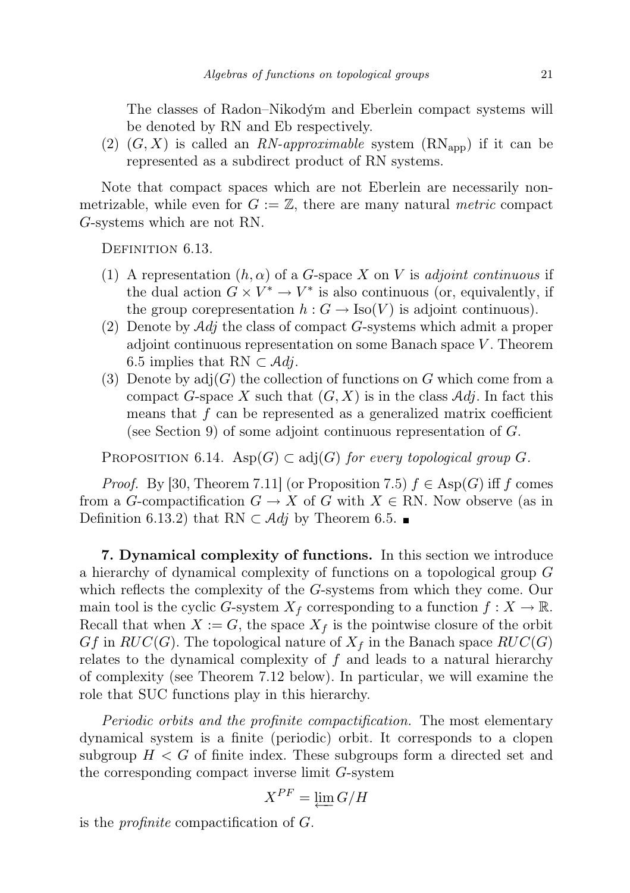The classes of Radon–Nikodým and Eberlein compact systems will be denoted by RN and Eb respectively.

(2)  $(G, X)$  is called an RN-approximable system  $(RN_{app})$  if it can be represented as a subdirect product of RN systems.

Note that compact spaces which are not Eberlein are necessarily nonmetrizable, while even for  $G := \mathbb{Z}$ , there are many natural *metric* compact G-systems which are not RN.

DEFINITION 6.13.

- (1) A representation  $(h, \alpha)$  of a G-space X on V is adjoint continuous if the dual action  $G \times V^* \to V^*$  is also continuous (or, equivalently, if the group corepresentation  $h: G \to \text{Iso}(V)$  is adjoint continuous).
- (2) Denote by  $\mathcal{A}d\mathfrak{j}$  the class of compact G-systems which admit a proper adjoint continuous representation on some Banach space  $V$ . Theorem 6.5 implies that RN  $\subset \mathcal{A}dj$ .
- (3) Denote by  $\text{adj}(G)$  the collection of functions on G which come from a compact G-space X such that  $(G, X)$  is in the class Adj. In fact this means that  $f$  can be represented as a generalized matrix coefficient (see Section 9) of some adjoint continuous representation of  $G$ .

PROPOSITION 6.14. Asp $(G) \subset adj(G)$  for every topological group G.

*Proof.* By [30, Theorem 7.11] (or Proposition 7.5)  $f \in \text{Asp}(G)$  iff f comes from a G-compactification  $G \to X$  of G with  $X \in \mathbb{R}$ N. Now observe (as in Definition 6.13.2) that RN  $\subset$  Adj by Theorem 6.5. ■

7. Dynamical complexity of functions. In this section we introduce a hierarchy of dynamical complexity of functions on a topological group G which reflects the complexity of the G-systems from which they come. Our main tool is the cyclic G-system  $X_f$  corresponding to a function  $f: X \to \mathbb{R}$ . Recall that when  $X := G$ , the space  $X_f$  is the pointwise closure of the orbit  $Gf$  in  $RUC(G)$ . The topological nature of  $X<sub>f</sub>$  in the Banach space  $RUC(G)$ relates to the dynamical complexity of  $f$  and leads to a natural hierarchy of complexity (see Theorem 7.12 below). In particular, we will examine the role that SUC functions play in this hierarchy.

Periodic orbits and the profinite compactification. The most elementary dynamical system is a finite (periodic) orbit. It corresponds to a clopen subgroup  $H < G$  of finite index. These subgroups form a directed set and the corresponding compact inverse limit G-system

$$
X^{PF} = \varprojlim G/H
$$

is the profinite compactification of G.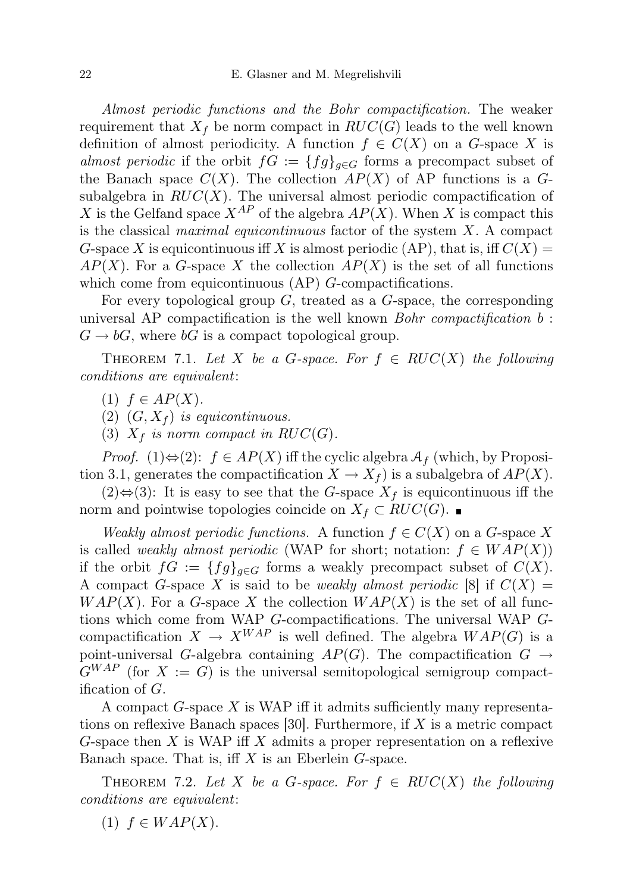Almost periodic functions and the Bohr compactification. The weaker requirement that  $X_f$  be norm compact in  $RUC(G)$  leads to the well known definition of almost periodicity. A function  $f \in C(X)$  on a G-space X is almost periodic if the orbit  $fG := \{fg\}_{g \in G}$  forms a precompact subset of the Banach space  $C(X)$ . The collection  $AP(X)$  of AP functions is a Gsubalgebra in  $RUC(X)$ . The universal almost periodic compactification of X is the Gelfand space  $X^{AP}$  of the algebra  $AP(X)$ . When X is compact this is the classical maximal equicontinuous factor of the system  $X$ . A compact G-space X is equicontinuous iff X is almost periodic (AP), that is, iff  $C(X)$  =  $AP(X)$ . For a G-space X the collection  $AP(X)$  is the set of all functions which come from equicontinuous  $AP$ ) G-compactifications.

For every topological group  $G$ , treated as a  $G$ -space, the corresponding universal AP compactification is the well known  $Bohr$  compactification  $b$ :  $G \to bG$ , where  $bG$  is a compact topological group.

THEOREM 7.1. Let X be a G-space. For  $f \in RUC(X)$  the following conditions are equivalent:

(1)  $f \in AP(X)$ .

(2)  $(G, X_f)$  is equicontinuous.

(3)  $X_f$  is norm compact in RUC(G).

*Proof.* (1) $\Leftrightarrow$  (2):  $f \in AP(X)$  iff the cyclic algebra  $A_f$  (which, by Proposition 3.1, generates the compactification  $X \to X_f$  is a subalgebra of  $AP(X)$ .

 $(2)$ ⇔ $(3)$ : It is easy to see that the G-space  $X<sub>f</sub>$  is equicontinuous iff the norm and pointwise topologies coincide on  $X_f \subset RUC(G)$ . ■

Weakly almost periodic functions. A function  $f \in C(X)$  on a G-space X is called weakly almost periodic (WAP for short; notation:  $f \in WAP(X)$ ) if the orbit  $fG := \{fg\}_{g \in G}$  forms a weakly precompact subset of  $C(X)$ . A compact G-space X is said to be *weakly almost periodic* [8] if  $C(X) =$  $WAP(X)$ . For a G-space X the collection  $WAP(X)$  is the set of all functions which come from WAP G-compactifications. The universal WAP Gcompactification  $X \to X^{WAP}$  is well defined. The algebra  $WAP(G)$  is a point-universal G-algebra containing  $AP(G)$ . The compactification  $G \rightarrow$  $G^{WAP}$  (for  $X := G$ ) is the universal semitopological semigroup compactification of G.

A compact  $G$ -space  $X$  is WAP iff it admits sufficiently many representations on reflexive Banach spaces  $|30|$ . Furthermore, if X is a metric compact G-space then X is WAP iff X admits a proper representation on a reflexive Banach space. That is, iff  $X$  is an Eberlein  $G$ -space.

THEOREM 7.2. Let X be a G-space. For  $f \in RUC(X)$  the following conditions are equivalent:

(1)  $f \in WAP(X)$ .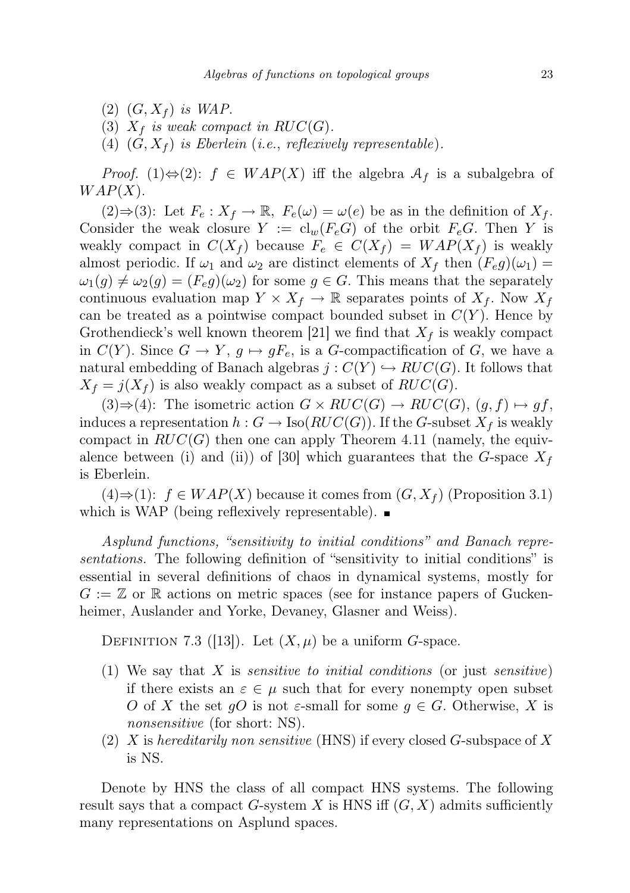- $(2)$   $(G, X_f)$  is WAP.
- (3)  $X_f$  is weak compact in  $RUC(G)$ .
- (4)  $(G, X_f)$  is Eberlein (i.e., reflexively representable).

*Proof.* (1)⇔(2):  $f \in WAP(X)$  iff the algebra  $\mathcal{A}_f$  is a subalgebra of  $WAP(X)$ .

(2)⇒(3): Let  $F_e: X_f \to \mathbb{R}$ ,  $F_e(\omega) = \omega(e)$  be as in the definition of  $X_f$ . Consider the weak closure  $Y := cl_w(F_eG)$  of the orbit  $F_eG$ . Then Y is weakly compact in  $C(X_f)$  because  $F_e \in C(X_f) = WAP(X_f)$  is weakly almost periodic. If  $\omega_1$  and  $\omega_2$  are distinct elements of  $X_f$  then  $(F_e g)(\omega_1) =$  $\omega_1(g) \neq \omega_2(g) = (F_e g)(\omega_2)$  for some  $g \in G$ . This means that the separately continuous evaluation map  $Y \times X_f \to \mathbb{R}$  separates points of  $X_f$ . Now  $X_f$ can be treated as a pointwise compact bounded subset in  $C(Y)$ . Hence by Grothendieck's well known theorem [21] we find that  $X_f$  is weakly compact in  $C(Y)$ . Since  $G \to Y$ ,  $g \mapsto gF_e$ , is a G-compactification of G, we have a natural embedding of Banach algebras  $j : C(Y) \hookrightarrow RUC(G)$ . It follows that  $X_f = j(X_f)$  is also weakly compact as a subset of  $RUC(G)$ .

 $(3) \Rightarrow (4)$ : The isometric action  $G \times RUC(G) \rightarrow RUC(G), (g, f) \mapsto gf$ , induces a representation  $h : G \to \text{Iso}(RUC(G))$ . If the G-subset  $X_f$  is weakly compact in  $RUC(G)$  then one can apply Theorem 4.11 (namely, the equivalence between (i) and (ii)) of [30] which guarantees that the G-space  $X_f$ is Eberlein.

 $(4) \Rightarrow (1): f \in WAP(X)$  because it comes from  $(G, X_f)$  (Proposition 3.1) which is WAP (being reflexively representable).  $\blacksquare$ 

Asplund functions, "sensitivity to initial conditions" and Banach representations. The following definition of "sensitivity to initial conditions" is essential in several definitions of chaos in dynamical systems, mostly for  $G := \mathbb{Z}$  or  $\mathbb R$  actions on metric spaces (see for instance papers of Guckenheimer, Auslander and Yorke, Devaney, Glasner and Weiss).

DEFINITION 7.3 ([13]). Let  $(X, \mu)$  be a uniform *G*-space.

- (1) We say that  $X$  is *sensitive to initial conditions* (or just *sensitive*) if there exists an  $\varepsilon \in \mu$  such that for every nonempty open subset O of X the set gO is not  $\varepsilon$ -small for some  $g \in G$ . Otherwise, X is nonsensitive (for short: NS).
- (2) X is hereditarily non sensitive (HNS) if every closed G-subspace of X is NS.

Denote by HNS the class of all compact HNS systems. The following result says that a compact G-system X is HNS iff  $(G, X)$  admits sufficiently many representations on Asplund spaces.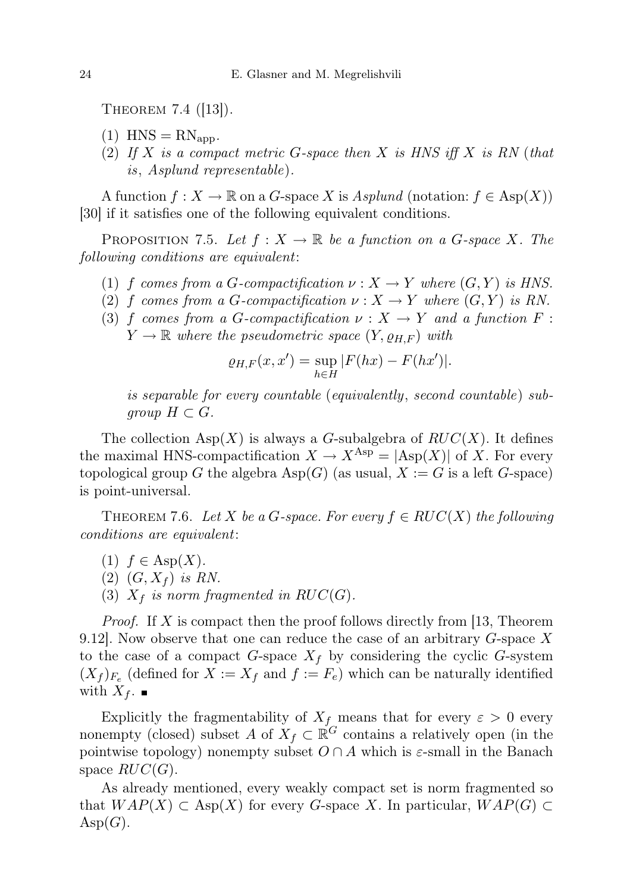THEOREM 7.4  $(|13|)$ .

- $(1)$  HNS =  $RN_{\text{app}}$ .
- (2) If X is a compact metric G-space then X is HNS iff X is RN (that is, Asplund representable).

A function  $f: X \to \mathbb{R}$  on a G-space X is Asplund (notation:  $f \in \text{Asp}(X)$ ) [30] if it satisfies one of the following equivalent conditions.

PROPOSITION 7.5. Let  $f: X \to \mathbb{R}$  be a function on a G-space X. The following conditions are equivalent:

- (1) f comes from a G-compactification  $\nu : X \to Y$  where  $(G, Y)$  is HNS.
- (2) f comes from a G-compactification  $\nu : X \to Y$  where  $(G, Y)$  is RN.
- (3) f comes from a G-compactification  $\nu : X \to Y$  and a function F:  $Y \to \mathbb{R}$  where the pseudometric space  $(Y, \rho_{H,F})$  with

$$
\varrho_{H,F}(x,x') = \sup_{h \in H} |F(hx) - F(hx')|.
$$

is separable for every countable (equivalently, second countable) subgroup  $H \subset G$ .

The collection  $\text{Asp}(X)$  is always a G-subalgebra of  $RUC(X)$ . It defines the maximal HNS-compactification  $X \to X^{\text{Asp}} = |\text{Asp}(X)|$  of X. For every topological group G the algebra  $\text{Asp}(G)$  (as usual,  $X := G$  is a left G-space) is point-universal.

THEOREM 7.6. Let X be a G-space. For every  $f \in RUC(X)$  the following conditions are equivalent:

- (1)  $f \in \text{Asp}(X)$ .
- $(2)$   $(G, X_f)$  is RN.
- (3)  $X_f$  is norm fragmented in RUC(G).

Proof. If X is compact then the proof follows directly from [13, Theorem 9.12. Now observe that one can reduce the case of an arbitrary  $G$ -space X to the case of a compact G-space  $X_f$  by considering the cyclic G-system  $(X_f)_{F_e}$  (defined for  $X := X_f$  and  $f := F_e$ ) which can be naturally identified with  $X_f$ .

Explicitly the fragmentability of  $X_f$  means that for every  $\varepsilon > 0$  every nonempty (closed) subset A of  $X_f \subset \mathbb{R}^G$  contains a relatively open (in the pointwise topology) nonempty subset  $O \cap A$  which is  $\varepsilon$ -small in the Banach space  $RUC(G)$ .

As already mentioned, every weakly compact set is norm fragmented so that  $WAP(X) \subset \text{Asp}(X)$  for every G-space X. In particular,  $WAP(G) \subset$  $\mathrm{Asp}(G)$ .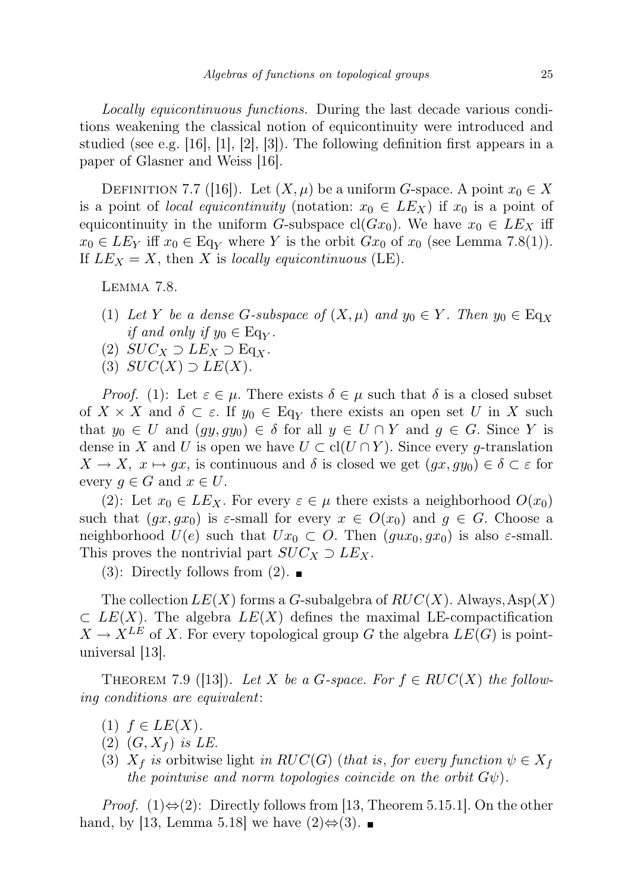Locally equicontinuous functions. During the last decade various conditions weakening the classical notion of equicontinuity were introduced and studied (see e.g. [16], [1], [2], [3]). The following definition first appears in a paper of Glasner and Weiss [16].

DEFINITION 7.7 ([16]). Let  $(X,\mu)$  be a uniform G-space. A point  $x_0 \in X$ is a point of *local equicontinuity* (notation:  $x_0 \in LE$ *x*) if  $x_0$  is a point of equicontinuity in the uniform G-subspace cl( $Gx_0$ ). We have  $x_0 \in LE$  iff  $x_0 \in LE_Y$  iff  $x_0 \in \text{Eq}_Y$  where Y is the orbit  $Gx_0$  of  $x_0$  (see Lemma 7.8(1)). If  $LE<sub>X</sub> = X$ , then X is locally equicontinuous (LE).

Lemma 7.8.

- (1) Let Y be a dense G-subspace of  $(X, \mu)$  and  $y_0 \in Y$ . Then  $y_0 \in \text{Eq}_X$ *if and only if*  $y_0 \in Eq_Y$ .
- (2)  $SUC_X \supset LE_X \supset Eq_X$ .
- (3)  $SUC(X) \supset LE(X)$ .

*Proof.* (1): Let  $\varepsilon \in \mu$ . There exists  $\delta \in \mu$  such that  $\delta$  is a closed subset of  $X \times X$  and  $\delta \subset \varepsilon$ . If  $y_0 \in \text{Eq}_Y$  there exists an open set U in X such that  $y_0 \in U$  and  $(gy, gy_0) \in \delta$  for all  $y \in U \cap Y$  and  $g \in G$ . Since Y is dense in X and U is open we have  $U \subset cl(U \cap Y)$ . Since every g-translation  $X \to X$ ,  $x \mapsto gx$ , is continuous and  $\delta$  is closed we get  $(gx, gy_0) \in \delta \subset \varepsilon$  for every  $g \in G$  and  $x \in U$ .

(2): Let  $x_0 \in LE_X$ . For every  $\varepsilon \in \mu$  there exists a neighborhood  $O(x_0)$ such that  $(gx, gx_0)$  is  $\varepsilon$ -small for every  $x \in O(x_0)$  and  $g \in G$ . Choose a neighborhood  $U(e)$  such that  $Ux_0 \subset O$ . Then  $(gux_0, gx_0)$  is also  $\varepsilon$ -small. This proves the nontrivial part  $SUC_X \supset LEx$ .

 $(3)$ : Directly follows from  $(2)$ .

The collection  $LE(X)$  forms a G-subalgebra of  $RUC(X)$ . Always, Asp(X)  $\subset$  LE(X). The algebra  $LE(X)$  defines the maximal LE-compactification  $X \to X^{LE}$  of X. For every topological group G the algebra  $LE(G)$  is pointuniversal [13].

THEOREM 7.9 ([13]). Let X be a G-space. For  $f \in RUC(X)$  the following conditions are equivalent:

- (1)  $f \in LE(X)$ .
- $(2)$   $(G, X_f)$  is LE.
- (3)  $X_f$  is orbitwise light in RUC(G) (that is, for every function  $\psi \in X_f$ the pointwise and norm topologies coincide on the orbit  $G\psi$ .

*Proof.* (1) $\Leftrightarrow$  (2): Directly follows from [13, Theorem 5.15.1]. On the other hand, by [13, Lemma 5.18] we have  $(2) \Leftrightarrow (3)$ .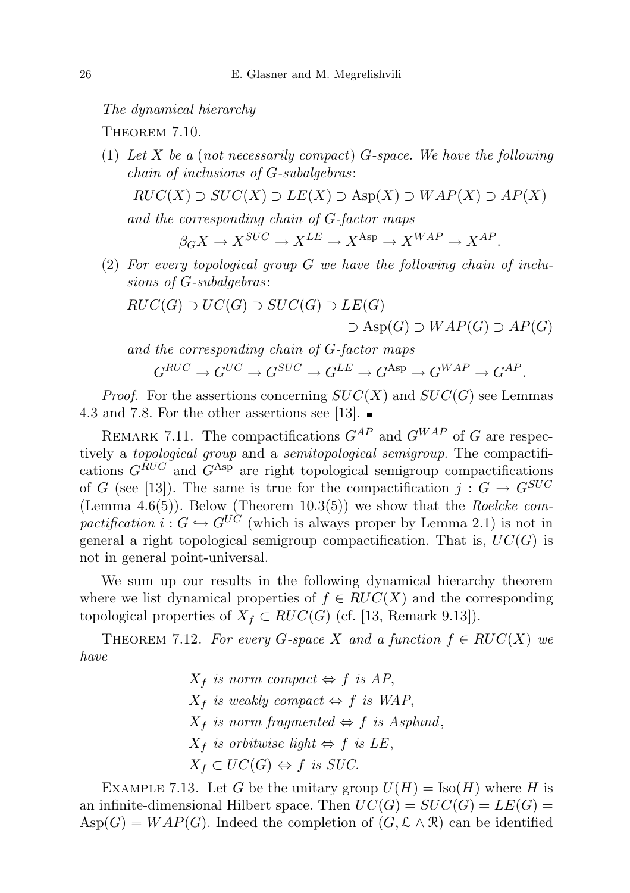The dynamical hierarchy

THEOREM 7.10.

(1) Let X be a (not necessarily compact) G-space. We have the following chain of inclusions of G-subalgebras:

$$
RUC(X) \supset SUC(X) \supset LE(X) \supset \text{Asp}(X) \supset WAP(X) \supset AP(X)
$$

and the corresponding chain of G-factor maps

$$
\beta _G X \rightarrow X^{SUC} \rightarrow X^{LE} \rightarrow X^{\mathrm{Asp}} \rightarrow X^{WAP} \rightarrow X^{AP}.
$$

(2) For every topological group G we have the following chain of inclusions of G-subalgebras:

$$
RUC(G) \supset UC(G) \supset SUC(G) \supset LE(G)
$$
  
 
$$
\supset \mathrm{Asp}(G) \supset WAP(G) \supset AP(G)
$$

and the corresponding chain of G-factor maps  
\n
$$
G^{RUC} \to G^{UC} \to G^{SUC} \to G^{LE} \to G^{Asp} \to G^{WAP} \to G^{AP}.
$$

*Proof.* For the assertions concerning  $SUC(X)$  and  $SUC(G)$  see Lemmas 4.3 and 7.8. For the other assertions see [13].  $\blacksquare$ 

REMARK 7.11. The compactifications  $G^{AP}$  and  $G^{WAP}$  of G are respectively a *topological group* and a *semitopological semigroup*. The compactifications  $G^{RUC}$  and  $G^{Asp}$  are right topological semigroup compactifications of G (see [13]). The same is true for the compactification  $j: G \to G^{SUC}$ (Lemma 4.6(5)). Below (Theorem 10.3(5)) we show that the Roelcke compactification  $i: G \hookrightarrow G^{UC}$  (which is always proper by Lemma 2.1) is not in general a right topological semigroup compactification. That is,  $UC(G)$  is not in general point-universal.

We sum up our results in the following dynamical hierarchy theorem where we list dynamical properties of  $f \in RUC(X)$  and the corresponding topological properties of  $X_f \subset RUC(G)$  (cf. [13, Remark 9.13]).

THEOREM 7.12. For every G-space X and a function  $f \in RUC(X)$  we have

> $X_f$  is norm compact  $\Leftrightarrow f$  is AP,  $X_f$  is weakly compact  $\Leftrightarrow f$  is WAP,  $X_f$  is norm fragmented  $\Leftrightarrow$  f is Asplund,  $X_f$  is orbitwise light  $\Leftrightarrow f$  is LE,  $X_f \subset UC(G) \Leftrightarrow f$  is SUC.

EXAMPLE 7.13. Let G be the unitary group  $U(H) = \text{Iso}(H)$  where H is an infinite-dimensional Hilbert space. Then  $UC(G) = SUC(G) = LE(G)$  $\text{Asp}(G) = WAP(G)$ . Indeed the completion of  $(G, \mathcal{L} \wedge \mathcal{R})$  can be identified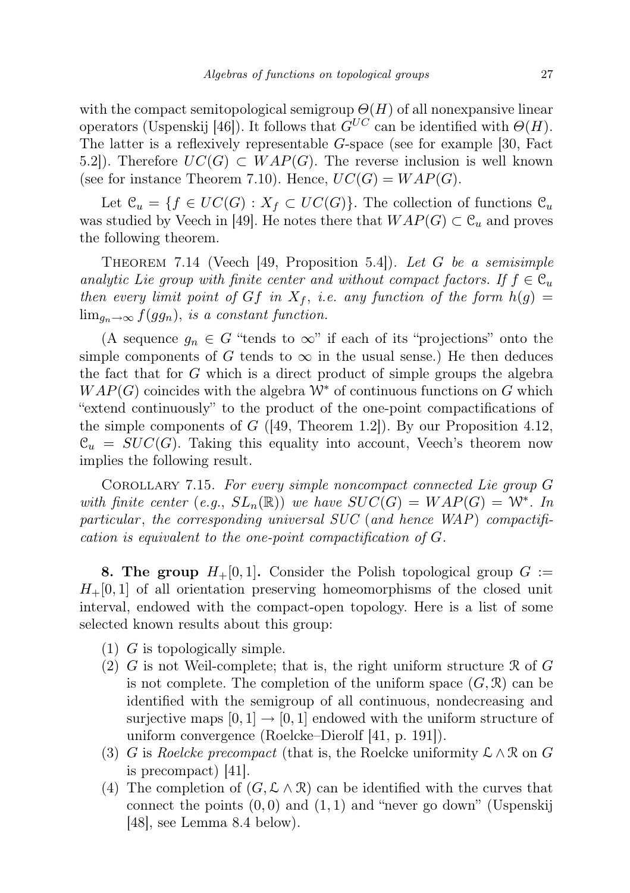with the compact semitopological semigroup  $\Theta(H)$  of all nonexpansive linear operators (Uspenskij [46]). It follows that  $G^{UC}$  can be identified with  $\Theta(H)$ . The latter is a reflexively representable G-space (see for example [30, Fact 5.2]). Therefore  $UC(G) \subset WAP(G)$ . The reverse inclusion is well known (see for instance Theorem 7.10). Hence,  $UC(G) = WAP(G)$ .

Let  $\mathcal{C}_u = \{f \in UC(G) : X_f \subset UC(G)\}.$  The collection of functions  $\mathcal{C}_u$ was studied by Veech in [49]. He notes there that  $WAP(G) \subset \mathcal{C}_u$  and proves the following theorem.

THEOREM 7.14 (Veech [49, Proposition 5.4]). Let G be a semisimple analytic Lie group with finite center and without compact factors. If  $f \in \mathcal{C}_u$ then every limit point of Gf in  $X_f$ , i.e. any function of the form  $h(g)$  =  $\lim_{q_n\to\infty} f(gq_n)$ , is a constant function.

(A sequence  $g_n \in G$  "tends to  $\infty$ " if each of its "projections" onto the simple components of G tends to  $\infty$  in the usual sense.) He then deduces the fact that for G which is a direct product of simple groups the algebra  $WAP(G)$  coincides with the algebra  $W^*$  of continuous functions on G which "extend continuously" to the product of the one-point compactifications of the simple components of  $G$  ([49, Theorem 1.2]). By our Proposition 4.12,  $\mathcal{C}_u = SUC(G)$ . Taking this equality into account, Veech's theorem now implies the following result.

Corollary 7.15. For every simple noncompact connected Lie group G with finite center (e.g.,  $SL_n(\mathbb{R})$ ) we have  $SUC(G) = WAP(G) = \mathbb{W}^*$ . In particular, the corresponding universal  $SUC$  (and hence  $WAP$ ) compactification is equivalent to the one-point compactification of G.

**8. The group**  $H_+[0,1]$ . Consider the Polish topological group  $G :=$  $H_+[0,1]$  of all orientation preserving homeomorphisms of the closed unit interval, endowed with the compact-open topology. Here is a list of some selected known results about this group:

- (1) G is topologically simple.
- (2) G is not Weil-complete; that is, the right uniform structure  $\Re$  of G is not complete. The completion of the uniform space  $(G, \mathcal{R})$  can be identified with the semigroup of all continuous, nondecreasing and surjective maps  $[0, 1] \rightarrow [0, 1]$  endowed with the uniform structure of uniform convergence (Roelcke–Dierolf [41, p. 191]).
- (3) G is Roelcke precompact (that is, the Roelcke uniformity  $\mathcal{L} \wedge \mathcal{R}$  on G is precompact) [41].
- (4) The completion of  $(G, \mathcal{L} \wedge \mathcal{R})$  can be identified with the curves that connect the points  $(0, 0)$  and  $(1, 1)$  and "never go down" (Uspenskij [48], see Lemma 8.4 below).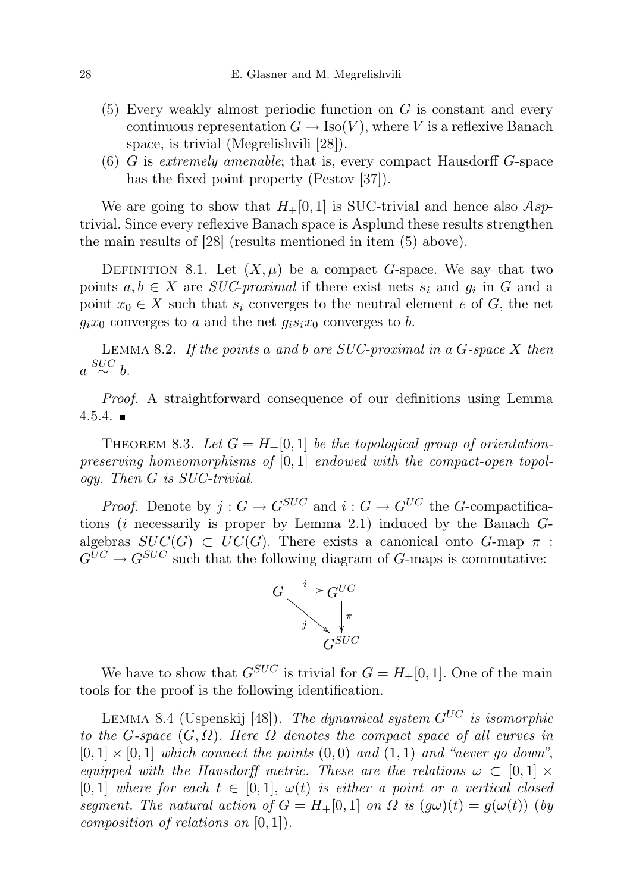- (5) Every weakly almost periodic function on G is constant and every continuous representation  $G \to \text{Iso}(V)$ , where V is a reflexive Banach space, is trivial (Megrelishvili [28]).
- $(6)$  G is extremely amenable; that is, every compact Hausdorff G-space has the fixed point property (Pestov [37]).

We are going to show that  $H_+[0,1]$  is SUC-trivial and hence also  $Asp$ trivial. Since every reflexive Banach space is Asplund these results strengthen the main results of [28] (results mentioned in item (5) above).

DEFINITION 8.1. Let  $(X, \mu)$  be a compact G-space. We say that two points  $a, b \in X$  are *SUC-proximal* if there exist nets  $s_i$  and  $g_i$  in G and a point  $x_0 \in X$  such that  $s_i$  converges to the neutral element e of G, the net  $g_i x_0$  converges to a and the net  $g_i s_i x_0$  converges to b.

LEMMA 8.2. If the points a and b are SUC-proximal in a  $G$ -space  $X$  then  $a \stackrel{SUC}{\sim} b$ .

Proof. A straightforward consequence of our definitions using Lemma  $4.5.4.$ 

THEOREM 8.3. Let  $G = H_+(0,1]$  be the topological group of orientationpreserving homeomorphisms of  $[0, 1]$  endowed with the compact-open topology. Then G is SUC-trivial.

*Proof.* Denote by  $j: G \to G^{SUC}$  and  $i: G \to G^{UC}$  the G-compactifications ( $i$  necessarily is proper by Lemma 2.1) induced by the Banach  $G$ algebras  $SUC(G) \subset UC(G)$ . There exists a canonical onto G-map  $\pi$ :  $G^{UC} \rightarrow G^{SUC}$  such that the following diagram of G-maps is commutative:



We have to show that  $G^{SUC}$  is trivial for  $G = H_+[0,1]$ . One of the main tools for the proof is the following identification.

LEMMA 8.4 (Uspenskij [48]). The dynamical system  $G^{UC}$  is isomorphic to the G-space  $(G, \Omega)$ . Here  $\Omega$  denotes the compact space of all curves in  $[0, 1] \times [0, 1]$  which connect the points  $(0, 0)$  and  $(1, 1)$  and "never go down", equipped with the Hausdorff metric. These are the relations  $\omega \subset [0,1] \times$ [0, 1] where for each  $t \in [0, 1]$ ,  $\omega(t)$  is either a point or a vertical closed segment. The natural action of  $G = H_+[0,1]$  on  $\Omega$  is  $(g\omega)(t) = g(\omega(t))$  (by composition of relations on  $[0, 1]$ .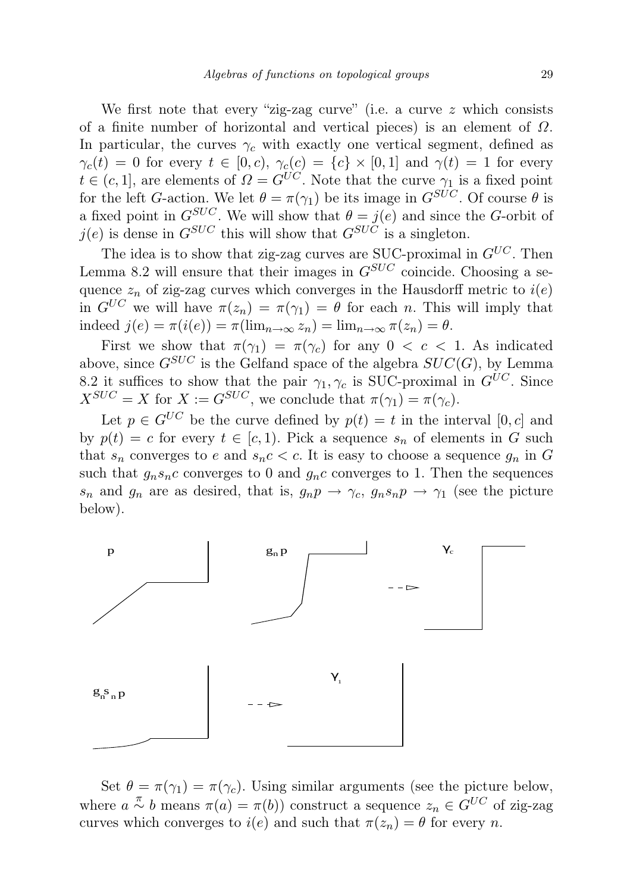We first note that every "zig-zag curve" (i.e. a curve  $z$  which consists of a finite number of horizontal and vertical pieces) is an element of  $\Omega$ . In particular, the curves  $\gamma_c$  with exactly one vertical segment, defined as  $\gamma_c(t) = 0$  for every  $t \in [0, c)$ ,  $\gamma_c(c) = \{c\} \times [0, 1]$  and  $\gamma(t) = 1$  for every  $t \in (c, 1]$ , are elements of  $\Omega = G^{UC}$ . Note that the curve  $\gamma_1$  is a fixed point for the left G-action. We let  $\theta = \pi(\gamma_1)$  be its image in  $G^{SUC}$ . Of course  $\theta$  is a fixed point in  $G^{SUC}$ . We will show that  $\theta = j(e)$  and since the G-orbit of  $i(e)$  is dense in  $G^{SUC}$  this will show that  $G^{SUC}$  is a singleton.

The idea is to show that zig-zag curves are SUC-proximal in  $G^{UC}$ . Then Lemma 8.2 will ensure that their images in  $G^{SUC}$  coincide. Choosing a sequence  $z_n$  of zig-zag curves which converges in the Hausdorff metric to  $i(e)$ in  $G^{UC}$  we will have  $\pi(z_n) = \pi(\gamma_1) = \theta$  for each n. This will imply that indeed  $j(e) = \pi(i(e)) = \pi(\lim_{n \to \infty} z_n) = \lim_{n \to \infty} \pi(z_n) = \theta$ .

First we show that  $\pi(\gamma_1) = \pi(\gamma_c)$  for any  $0 < c < 1$ . As indicated above, since  $G^{SUC}$  is the Gelfand space of the algebra  $SUC(G)$ , by Lemma 8.2 it suffices to show that the pair  $\gamma_1, \gamma_c$  is SUC-proximal in  $G^{UC}$ . Since  $X^{SUC} = X$  for  $X := G^{SUC}$ , we conclude that  $\pi(\gamma_1) = \pi(\gamma_c)$ .

Let  $p \in G^{UC}$  be the curve defined by  $p(t) = t$  in the interval  $[0, c]$  and by  $p(t) = c$  for every  $t \in [c, 1)$ . Pick a sequence  $s_n$  of elements in G such that  $s_n$  converges to e and  $s_nc < c$ . It is easy to choose a sequence  $g_n$  in G such that  $g_n s_n c$  converges to 0 and  $g_n c$  converges to 1. Then the sequences  $s_n$  and  $g_n$  are as desired, that is,  $g_n p \to \gamma_c$ ,  $g_n s_n p \to \gamma_1$  (see the picture below).



Set  $\theta = \pi(\gamma_1) = \pi(\gamma_c)$ . Using similar arguments (see the picture below, where  $a \stackrel{\pi}{\sim} b$  means  $\pi(a) = \pi(b)$  construct a sequence  $z_n \in G^{UC}$  of zig-zag curves which converges to  $i(e)$  and such that  $\pi(z_n) = \theta$  for every n.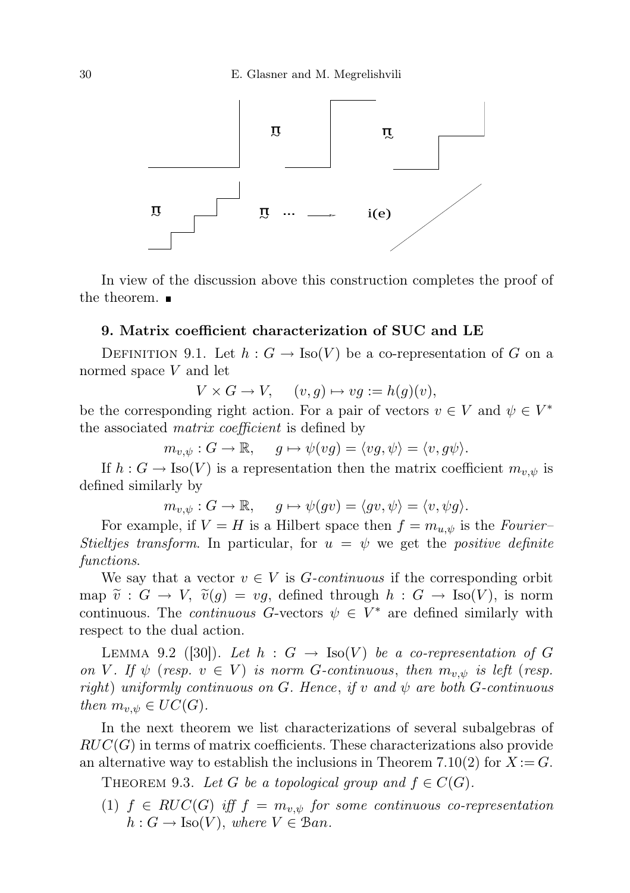

In view of the discussion above this construction completes the proof of the theorem.  $\blacksquare$ 

## 9. Matrix coefficient characterization of SUC and LE

DEFINITION 9.1. Let  $h: G \to \text{Iso}(V)$  be a co-representation of G on a normed space V and let

 $V \times G \to V$ ,  $(v, q) \mapsto vq := h(q)(v)$ ,

be the corresponding right action. For a pair of vectors  $v \in V$  and  $\psi \in V^*$ the associated matrix coefficient is defined by

 $m_{v,\psi}: G \to \mathbb{R}, \quad g \mapsto \psi(vg) = \langle vg, \psi \rangle = \langle v, g\psi \rangle.$ 

If  $h : G \to \text{Iso}(V)$  is a representation then the matrix coefficient  $m_{v,\psi}$  is defined similarly by

$$
m_{v,\psi}: G \to \mathbb{R}, \quad g \mapsto \psi(gv) = \langle gv, \psi \rangle = \langle v, \psi g \rangle.
$$

For example, if  $V = H$  is a Hilbert space then  $f = m_{u,v}$  is the Fourier-Stieltjes transform. In particular, for  $u = \psi$  we get the positive definite functions.

We say that a vector  $v \in V$  is *G-continuous* if the corresponding orbit map  $\tilde{v}: G \to V$ ,  $\tilde{v}(q) = vq$ , defined through  $h: G \to \text{Iso}(V)$ , is norm continuous. The *continuous* G-vectors  $\psi \in V^*$  are defined similarly with respect to the dual action.

LEMMA 9.2 ([30]). Let  $h : G \to \text{Iso}(V)$  be a co-representation of G on V. If  $\psi$  (resp.  $v \in V$ ) is norm G-continuous, then  $m_{v,\psi}$  is left (resp. right) uniformly continuous on G. Hence, if v and  $\psi$  are both G-continuous then  $m_{v,\psi} \in UC(G)$ .

In the next theorem we list characterizations of several subalgebras of  $RUC(G)$  in terms of matrix coefficients. These characterizations also provide an alternative way to establish the inclusions in Theorem 7.10(2) for  $X := G$ .

THEOREM 9.3. Let G be a topological group and  $f \in C(G)$ .

(1)  $f \in RUC(G)$  iff  $f = m_{v,\psi}$  for some continuous co-representation  $h: G \to \text{Iso}(V)$ , where  $V \in \mathcal{B}an$ .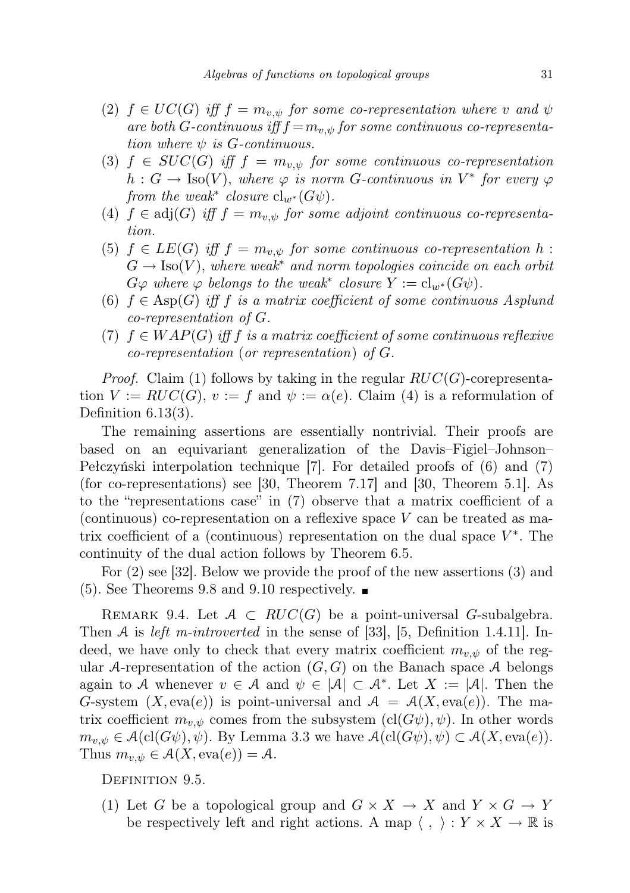- (2)  $f \in UC(G)$  iff  $f = m_{v,\psi}$  for some co-representation where v and  $\psi$ are both G-continuous iff  $f = m_{v,\psi}$  for some continuous co-representation where  $\psi$  is G-continuous.
- (3)  $f \in SUC(G)$  iff  $f = m_{v,\psi}$  for some continuous co-representation  $h: G \to \text{Iso}(V)$ , where  $\varphi$  is norm G-continuous in  $V^*$  for every  $\varphi$ from the weak<sup>\*</sup> closure  $cl_{w^*}(G\psi)$ .
- (4)  $f \in adj(G)$  iff  $f = m_{v,y}$  for some adjoint continuous co-representation.
- (5)  $f \in LE(G)$  iff  $f = m_{v,y}$  for some continuous co-representation h:  $G \to \text{Iso}(V)$ , where weak<sup>\*</sup> and norm topologies coincide on each orbit  $G\varphi$  where  $\varphi$  belongs to the weak<sup>\*</sup> closure  $Y := cl_{w^*}(G\psi)$ .
- (6)  $f \in \text{Asp}(G)$  iff f is a matrix coefficient of some continuous Asplund co-representation of G.
- (7)  $f \in WAP(G)$  iff f is a matrix coefficient of some continuous reflexive co-representation (or representation) of G.

*Proof.* Claim (1) follows by taking in the regular  $RUC(G)$ -corepresentation  $V := RUC(G), v := f$  and  $\psi := \alpha(e)$ . Claim (4) is a reformulation of Definition 6.13(3).

The remaining assertions are essentially nontrivial. Their proofs are based on an equivariant generalization of the Davis–Figiel–Johnson– Pełczyński interpolation technique [7]. For detailed proofs of (6) and (7) (for co-representations) see [30, Theorem 7.17] and [30, Theorem 5.1]. As to the "representations case" in (7) observe that a matrix coefficient of a (continuous) co-representation on a reflexive space  $V$  can be treated as matrix coefficient of a (continuous) representation on the dual space  $V^*$ . The continuity of the dual action follows by Theorem 6.5.

For (2) see [32]. Below we provide the proof of the new assertions (3) and  $(5)$ . See Theorems 9.8 and 9.10 respectively.  $\blacksquare$ 

REMARK 9.4. Let  $A \subset RUC(G)$  be a point-universal G-subalgebra. Then A is *left m-introverted* in the sense of [33], [5, Definition 1.4.11]. Indeed, we have only to check that every matrix coefficient  $m_{v,\psi}$  of the regular A-representation of the action  $(G, G)$  on the Banach space A belongs again to A whenever  $v \in A$  and  $\psi \in |A| \subset A^*$ . Let  $X := |A|$ . Then the G-system  $(X, \text{eva}(e))$  is point-universal and  $\mathcal{A} = \mathcal{A}(X, \text{eva}(e))$ . The matrix coefficient  $m_{v,\psi}$  comes from the subsystem  $(cl(G\psi), \psi)$ . In other words  $m_{v,\psi} \in \mathcal{A}(\mathrm{cl}(G\psi), \psi)$ . By Lemma 3.3 we have  $\mathcal{A}(\mathrm{cl}(G\psi), \psi) \subset \mathcal{A}(X, \mathrm{eva}(e))$ . Thus  $m_{v,\psi} \in \mathcal{A}(X, \text{eva}(e)) = \mathcal{A}.$ 

DEFINITION 9.5.

(1) Let G be a topological group and  $G \times X \to X$  and  $Y \times G \to Y$ be respectively left and right actions. A map  $\langle , \rangle : Y \times X \to \mathbb{R}$  is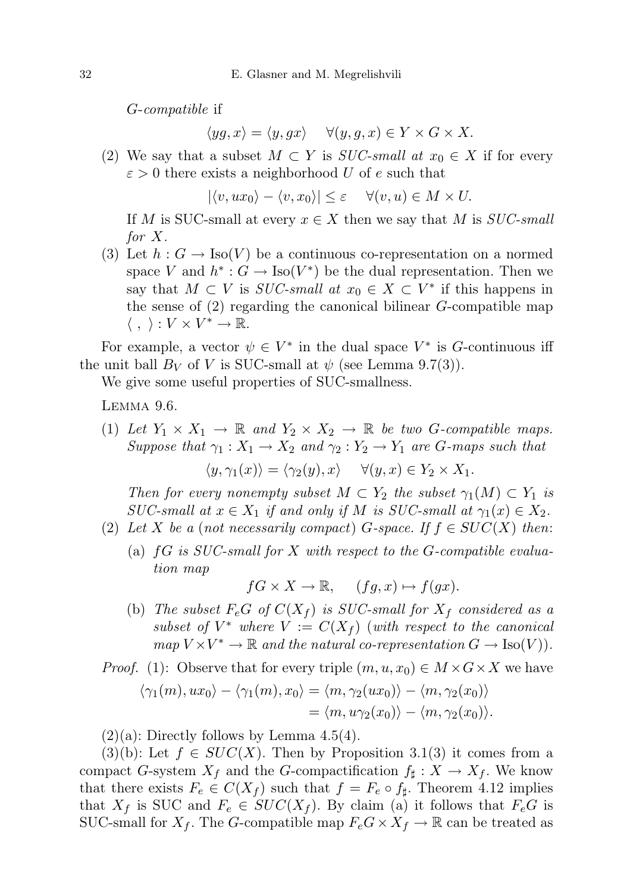G-compatible if

 $\langle yg, x \rangle = \langle y, gx \rangle \quad \forall (y, g, x) \in Y \times G \times X.$ 

(2) We say that a subset  $M \subset Y$  is *SUC-small at*  $x_0 \in X$  if for every  $\varepsilon > 0$  there exists a neighborhood U of e such that

 $|\langle v, ux_0\rangle - \langle v, x_0\rangle| \leq \varepsilon \quad \forall (v, u) \in M \times U.$ 

If M is SUC-small at every  $x \in X$  then we say that M is SUC-small for X.

(3) Let  $h: G \to \text{Iso}(V)$  be a continuous co-representation on a normed space V and  $h^*: G \to \text{Iso}(V^*)$  be the dual representation. Then we say that  $M \subset V$  is *SUC-small at*  $x_0 \in X \subset V^*$  if this happens in the sense of (2) regarding the canonical bilinear G-compatible map  $\langle , \rangle : V \times V^* \to \mathbb{R}.$ 

For example, a vector  $\psi \in V^*$  in the dual space  $V^*$  is G-continuous iff the unit ball  $B_V$  of V is SUC-small at  $\psi$  (see Lemma 9.7(3)).

We give some useful properties of SUC-smallness.

Lemma 9.6.

(1) Let  $Y_1 \times X_1 \to \mathbb{R}$  and  $Y_2 \times X_2 \to \mathbb{R}$  be two G-compatible maps. Suppose that  $\gamma_1 : X_1 \to X_2$  and  $\gamma_2 : Y_2 \to Y_1$  are G-maps such that

 $\langle y, \gamma_1(x)\rangle = \langle \gamma_2(y), x\rangle \quad \forall (y, x) \in Y_2 \times X_1.$ 

Then for every nonempty subset  $M \subset Y_2$  the subset  $\gamma_1(M) \subset Y_1$  is SUC-small at  $x \in X_1$  if and only if M is SUC-small at  $\gamma_1(x) \in X_2$ .

- (2) Let X be a (not necessarily compact) G-space. If  $f \in SUC(X)$  then:
	- (a)  $fG$  is SUC-small for X with respect to the G-compatible evaluation map

 $fG \times X \to \mathbb{R}$ ,  $(fg, x) \mapsto f(gx)$ .

(b) The subset  $F_eG$  of  $C(X_f)$  is SUC-small for  $X_f$  considered as a subset of  $V^*$  where  $V := C(X_f)$  (with respect to the canonical  $map V \times V^* \to \mathbb{R}$  and the natural co-representation  $G \to \text{Iso}(V)$ .

*Proof.* (1): Observe that for every triple  $(m, u, x_0) \in M \times G \times X$  we have

$$
\langle \gamma_1(m), ux_0 \rangle - \langle \gamma_1(m), x_0 \rangle = \langle m, \gamma_2(ux_0) \rangle - \langle m, \gamma_2(x_0) \rangle
$$
  
=  $\langle m, u\gamma_2(x_0) \rangle - \langle m, \gamma_2(x_0) \rangle.$ 

 $(2)(a)$ : Directly follows by Lemma 4.5(4).

(3)(b): Let  $f \in SUC(X)$ . Then by Proposition 3.1(3) it comes from a compact G-system  $X_f$  and the G-compactification  $f_{\sharp}: X \to X_f$ . We know that there exists  $F_e \in C(X_f)$  such that  $f = F_e \circ f_{\sharp}$ . Theorem 4.12 implies that  $X_f$  is SUC and  $F_e \in SUC(X_f)$ . By claim (a) it follows that  $F_eG$  is SUC-small for  $X_f$ . The G-compatible map  $F_eG \times X_f \to \mathbb{R}$  can be treated as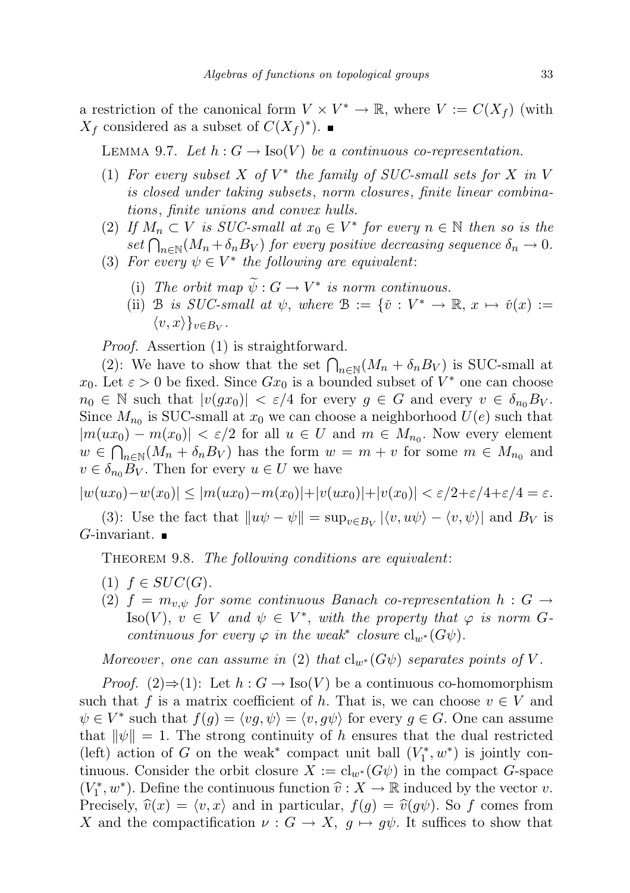a restriction of the canonical form  $V \times V^* \to \mathbb{R}$ , where  $V := C(X_f)$  (with  $X_f$  considered as a subset of  $C(X_f)^*$ ).

LEMMA 9.7. Let  $h: G \to \text{Iso}(V)$  be a continuous co-representation.

- (1) For every subset  $X$  of  $V^*$  the family of SUC-small sets for  $X$  in  $V$ is closed under taking subsets, norm closures, finite linear combinations, finite unions and convex hulls.
- (2) If  $M_n \subset V$  is SUC-small at  $x_0 \in V^*$  for every  $n \in \mathbb{N}$  then so is the  $set \bigcap_{n \in \mathbb{N}} (M_n + \delta_n B_V)$  for every positive decreasing sequence  $\delta_n \to 0$ .
- (3) For every  $\psi \in V^*$  the following are equivalent:
	- (i) The orbit map  $\tilde{\psi}: G \to V^*$  is norm continuous.
	- (ii) B is SUC-small at  $\psi$ , where  $\mathcal{B} := \{ \check{v} : V^* \to \mathbb{R}, x \mapsto \check{v}(x) :=$  $\langle v, x \rangle\}_{v \in B_V}.$

Proof. Assertion (1) is straightforward.

(2): We have to show that the set  $\bigcap_{n\in\mathbb{N}} (M_n + \delta_n B_V)$  is SUC-small at  $x_0$ . Let  $\varepsilon > 0$  be fixed. Since  $Gx_0$  is a bounded subset of  $V^*$  one can choose  $n_0 \in \mathbb{N}$  such that  $|v(gx_0)| < \varepsilon/4$  for every  $g \in G$  and every  $v \in \delta_{n_0}B_V$ . Since  $M_{n_0}$  is SUC-small at  $x_0$  we can choose a neighborhood  $U(e)$  such that  $|m(ux_0) - m(x_0)| < \varepsilon/2$  for all  $u \in U$  and  $m \in M_{n_0}$ . Now every element  $w \in \bigcap_{n\in\mathbb{N}} (M_n + \delta_n B_V)$  has the form  $w = m + v$  for some  $m \in M_{n_0}$  and  $v \in \delta_{n_0} B_V$ . Then for every  $u \in U$  we have

$$
|w(ux_0) - w(x_0)| \le |m(ux_0) - m(x_0)| + |v(ux_0)| + |v(x_0)| < \varepsilon/2 + \varepsilon/4 + \varepsilon/4 = \varepsilon.
$$

(3): Use the fact that  $||u\psi - \psi|| = \sup_{v \in B_V} |\langle v, u\psi \rangle - \langle v, \psi \rangle|$  and  $B_V$  is  $G$ -invariant.  $\blacksquare$ 

THEOREM 9.8. The following conditions are equivalent:

- (1)  $f \in SUC(G)$ .
- (2)  $f = m_{v,\psi}$  for some continuous Banach co-representation  $h : G \rightarrow$ Iso(V),  $v \in V$  and  $\psi \in V^*$ , with the property that  $\varphi$  is norm Gcontinuous for every  $\varphi$  in the weak<sup>\*</sup> closure  $cl_{w^*}(G\psi)$ .

Moreover, one can assume in (2) that  $\text{cl}_{w^*}(G\psi)$  separates points of V.

*Proof.* (2)⇒(1): Let  $h : G \to \text{Iso}(V)$  be a continuous co-homomorphism such that f is a matrix coefficient of h. That is, we can choose  $v \in V$  and  $\psi \in V^*$  such that  $f(g) = \langle v, \psi \rangle = \langle v, g\psi \rangle$  for every  $g \in G$ . One can assume that  $\|\psi\| = 1$ . The strong continuity of h ensures that the dual restricted (left) action of G on the weak<sup>\*</sup> compact unit ball  $(V_1^*, w^*)$  is jointly continuous. Consider the orbit closure  $X := cl_{w^*}(G\psi)$  in the compact G-space  $(V_1^*, w^*)$ . Define the continuous function  $\hat{v}: X \to \mathbb{R}$  induced by the vector v.<br>Processly  $\hat{v}(x) = \langle v, x \rangle$  and in particular,  $f(x) = \hat{v}(x)$ . So f comes from Precisely,  $\hat{v}(x) = \langle v, x \rangle$  and in particular,  $f(g) = \hat{v}(g\psi)$ . So f comes from X and the compactification  $\nu : G \to X$ ,  $g \mapsto g\psi$ . It suffices to show that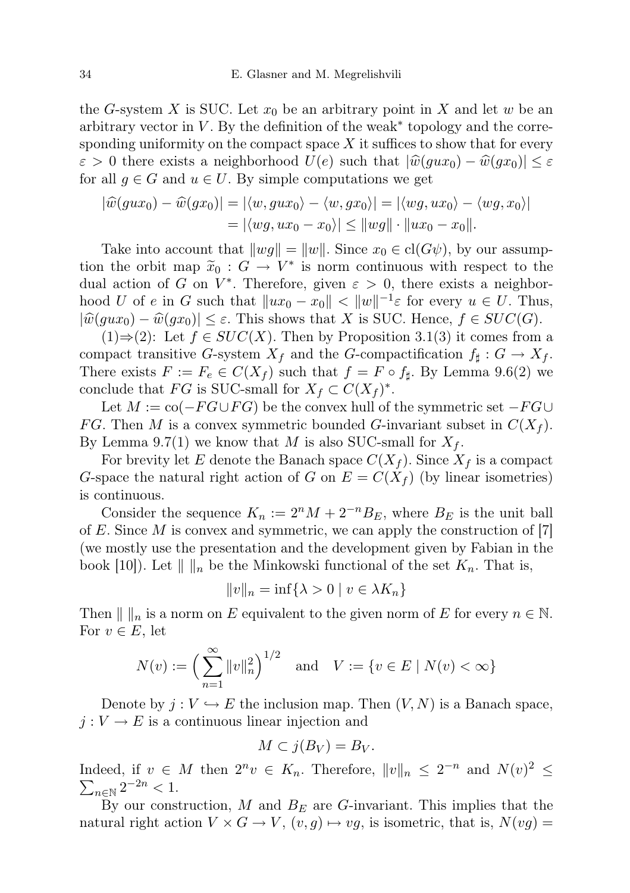the G-system X is SUC. Let  $x_0$  be an arbitrary point in X and let w be an arbitrary vector in  $V$ . By the definition of the weak<sup>\*</sup> topology and the corresponding uniformity on the compact space  $X$  it suffices to show that for every  $\varepsilon > 0$  there exists a neighborhood  $U(e)$  such that  $|\hat{w}(gux_0) - \hat{w}(gx_0)| \leq \varepsilon$ for all  $g \in G$  and  $u \in U$ . By simple computations we get

$$
|\widehat{w}(gux_0) - \widehat{w}(gx_0)| = |\langle w, gux_0 \rangle - \langle w, gx_0 \rangle| = |\langle wg, ux_0 \rangle - \langle wg, x_0 \rangle|
$$
  
=  $|\langle wg, ux_0 - x_0 \rangle| \le ||wg|| \cdot ||ux_0 - x_0||$ .

Take into account that  $||wg|| = ||w||$ . Since  $x_0 \in \text{cl}(G\psi)$ , by our assumption the orbit map  $\tilde{x}_0 : G \to V^*$  is norm continuous with respect to the dual action of  $G$  on  $V^*$ . Therefore, given  $\varepsilon > 0$  there exists a neighbor dual action of G on  $V^*$ . Therefore, given  $\varepsilon > 0$ , there exists a neighborhood U of e in G such that  $||ux_0 - x_0|| < ||w||^{-1} \varepsilon$  for every  $u \in U$ . Thus,  $|\widehat{w}(gux_0) - \widehat{w}(gx_0)| \leq \varepsilon$ . This shows that X is SUC. Hence,  $f \in SUC(G)$ .

 $(1) \Rightarrow (2)$ : Let  $f \in SUC(X)$ . Then by Proposition 3.1(3) it comes from a compact transitive G-system  $X_f$  and the G-compactification  $f_{\sharp}: G \to X_f$ . There exists  $F := F_e \in C(X_f)$  such that  $f = F \circ f_{\sharp}$ . By Lemma 9.6(2) we conclude that  $FG$  is SUC-small for  $X_f \subset C(X_f)^*$ .

Let  $M := \text{co}(-FG \cup FG)$  be the convex hull of the symmetric set  $-FG \cup$ FG. Then M is a convex symmetric bounded G-invariant subset in  $C(X_f)$ . By Lemma 9.7(1) we know that M is also SUC-small for  $X_f$ .

For brevity let E denote the Banach space  $C(X_f)$ . Since  $X_f$  is a compact G-space the natural right action of G on  $E = C(X_f)$  (by linear isometries) is continuous.

Consider the sequence  $K_n := 2^n M + 2^{-n} B_E$ , where  $B_E$  is the unit ball of E. Since  $M$  is convex and symmetric, we can apply the construction of [7] (we mostly use the presentation and the development given by Fabian in the book [10]). Let  $\| \cdot \|_n$  be the Minkowski functional of the set  $K_n$ . That is,

$$
||v||_n = \inf\{\lambda > 0 \mid v \in \lambda K_n\}
$$

Then  $\| \cdot \|_n$  is a norm on E equivalent to the given norm of E for every  $n \in \mathbb{N}$ . For  $v \in E$ , let

$$
N(v) := \left(\sum_{n=1}^{\infty} ||v||_n^2\right)^{1/2} \text{ and } V := \{v \in E \mid N(v) < \infty\}
$$

Denote by  $j: V \hookrightarrow E$  the inclusion map. Then  $(V, N)$  is a Banach space,  $j: V \to E$  is a continuous linear injection and

$$
M \subset j(B_V) = B_V.
$$

Indeed, if  $v \in M$  then  $2^n v \in K_n$ . Therefore,  $||v||_n \leq 2^{-n}$  and  $N(v)^2 \leq$  $\sum_{n \in \mathbb{N}} 2^{-2n} < 1.$ 

By our construction,  $M$  and  $B_E$  are G-invariant. This implies that the natural right action  $V \times G \to V$ ,  $(v, g) \mapsto vg$ , is isometric, that is,  $N(vg) =$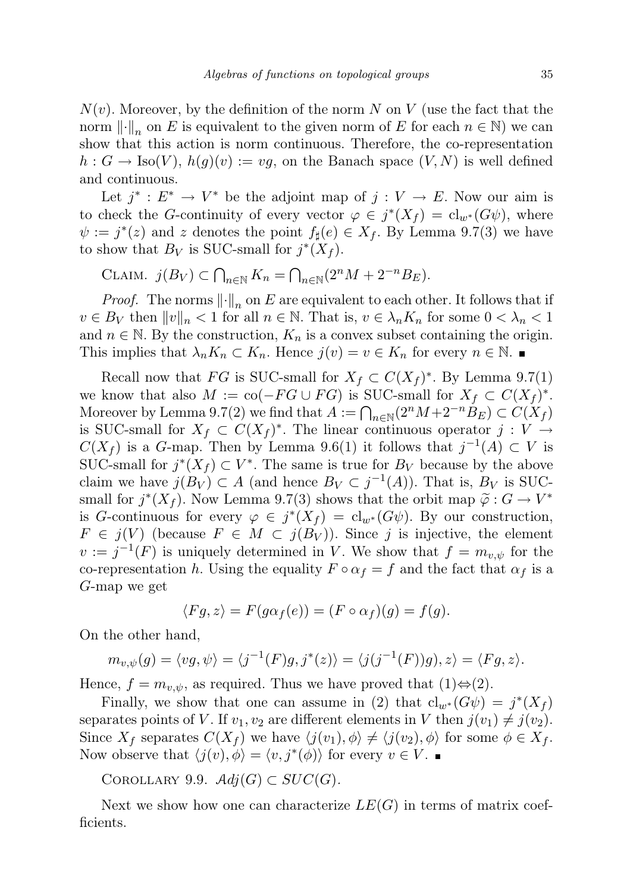$N(v)$ . Moreover, by the definition of the norm N on V (use the fact that the norm  $\left\| \cdot \right\|_n$  on E is equivalent to the given norm of E for each  $n \in \mathbb{N}$ ) we can show that this action is norm continuous. Therefore, the co-representation  $h: G \to \text{Iso}(V), h(g)(v) := vg$ , on the Banach space  $(V, N)$  is well defined and continuous.

Let  $j^* : E^* \to V^*$  be the adjoint map of  $j : V \to E$ . Now our aim is to check the G-continuity of every vector  $\varphi \in j^*(X_f) = cl_{w^*}(G\psi)$ , where  $\psi := j^*(z)$  and z denotes the point  $f_\sharp(e) \in X_f$ . By Lemma 9.7(3) we have to show that  $B_V$  is SUC-small for  $j^*(X_f)$ .

CLAIM. 
$$
j(B_V) \subset \bigcap_{n \in \mathbb{N}} K_n = \bigcap_{n \in \mathbb{N}} (2^n M + 2^{-n} B_E).
$$

*Proof.* The norms  $\left\| \cdot \right\|_n$  on E are equivalent to each other. It follows that if  $v \in B_V$  then  $||v||_n < 1$  for all  $n \in \mathbb{N}$ . That is,  $v \in \lambda_n K_n$  for some  $0 < \lambda_n < 1$ and  $n \in \mathbb{N}$ . By the construction,  $K_n$  is a convex subset containing the origin. This implies that  $\lambda_n K_n \subset K_n$ . Hence  $j(v) = v \in K_n$  for every  $n \in \mathbb{N}$ .

Recall now that FG is SUC-small for  $X_f \subset C(X_f)^*$ . By Lemma 9.7(1) we know that also  $M := \text{co}(-FG \cup FG)$  is SUC-small for  $X_f \subset C(X_f)^*$ . Moreover by Lemma 9.7(2) we find that  $A := \bigcap_{n \in \mathbb{N}} (2^n M + 2^{-n} B_E) \subset C(X_f)$ is SUC-small for  $X_f \subset C(X_f)^*$ . The linear continuous operator  $j: V \to$  $C(X_f)$  is a G-map. Then by Lemma 9.6(1) it follows that  $j^{-1}(A) \subset V$  is SUC-small for  $j^*(X_f) \subset V^*$ . The same is true for  $B_V$  because by the above claim we have  $j(B_V) \subset A$  (and hence  $B_V \subset j^{-1}(A)$ ). That is,  $B_V$  is SUCsmall for  $j^*(X_f)$ . Now Lemma 9.7(3) shows that the orbit map  $\tilde{\varphi}: G \to V^*$ <br>is C continuous for overy  $\varphi \in \tilde{\mathcal{E}}^{*}(X_{\tilde{\tau}}) = \mathcal{E}^{(1)}(G_{\tilde{\tau}})$ . By our construction is G-continuous for every  $\varphi \in j^*(X_f) = \text{cl}_{w^*}(G\psi)$ . By our construction,  $F \in j(V)$  (because  $F \in M \subset j(B_V)$ ). Since j is injective, the element  $v := j^{-1}(F)$  is uniquely determined in V. We show that  $f = m_{v,\psi}$  for the co-representation h. Using the equality  $F \circ \alpha_f = f$  and the fact that  $\alpha_f$  is a G-map we get

$$
\langle Fg, z \rangle = F(g\alpha_f(e)) = (F \circ \alpha_f)(g) = f(g).
$$

On the other hand,

$$
m_{v,\psi}(g) = \langle v g, \psi \rangle = \langle j^{-1}(F)g, j^*(z) \rangle = \langle j(j^{-1}(F))g \rangle, z \rangle = \langle Fg, z \rangle.
$$

Hence,  $f = m_{v,\psi}$ , as required. Thus we have proved that  $(1) \Leftrightarrow (2)$ .

Finally, we show that one can assume in (2) that  $\text{cl}_{w^*}(G\psi) = j^*(X_f)$ separates points of V. If  $v_1, v_2$  are different elements in V then  $j(v_1) \neq j(v_2)$ . Since  $X_f$  separates  $C(X_f)$  we have  $\langle j(v_1), \phi \rangle \neq \langle j(v_2), \phi \rangle$  for some  $\phi \in X_f$ . Now observe that  $\langle j(v), \phi \rangle = \langle v, j^*(\phi) \rangle$  for every  $v \in V$ .

COROLLARY 9.9.  $Adj(G) \subset SUC(G)$ .

Next we show how one can characterize  $LE(G)$  in terms of matrix coefficients.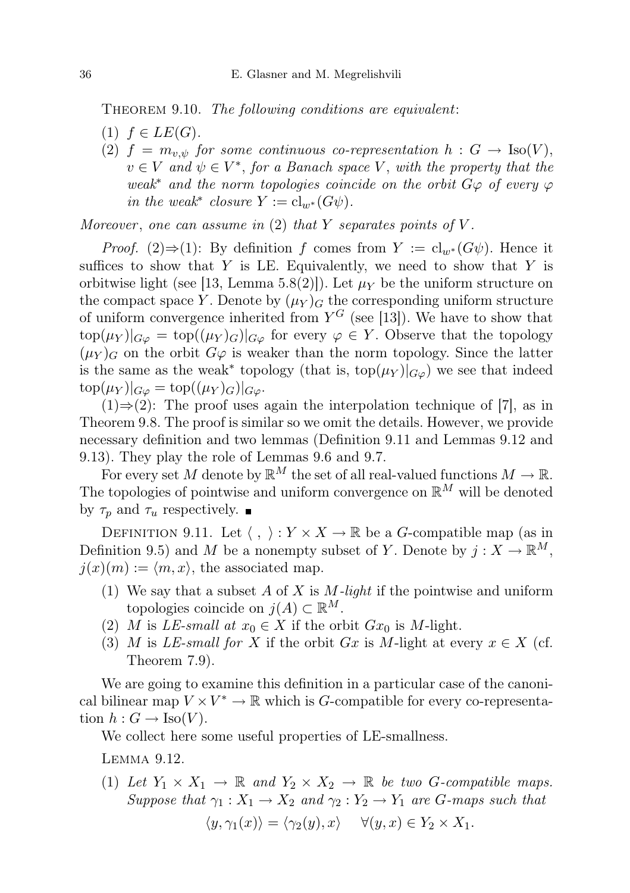THEOREM 9.10. The following conditions are equivalent:

- $(1)$   $f \in LE(G)$ .
- (2)  $f = m_{v,\psi}$  for some continuous co-representation  $h : G \to \text{Iso}(V)$ ,  $v \in V$  and  $\psi \in V^*$ , for a Banach space V, with the property that the weak<sup>\*</sup> and the norm topologies coincide on the orbit  $G\varphi$  of every  $\varphi$ in the weak<sup>\*</sup> closure  $Y := cl_{w^*}(G\psi)$ .

Moreover, one can assume in  $(2)$  that Y separates points of V.

*Proof.* (2)⇒(1): By definition f comes from  $Y := cl_{w^*}(G\psi)$ . Hence it suffices to show that  $Y$  is LE. Equivalently, we need to show that  $Y$  is orbitwise light (see [13, Lemma 5.8(2)]). Let  $\mu_Y$  be the uniform structure on the compact space Y. Denote by  $(\mu_Y)_{\mathcal{G}}$  the corresponding uniform structure of uniform convergence inherited from  $Y^G$  (see [13]). We have to show that  $\text{top}(\mu_Y)|_{G\varphi} = \text{top}((\mu_Y)_G)|_{G\varphi}$  for every  $\varphi \in Y$ . Observe that the topology  $(\mu_Y)_G$  on the orbit  $G\varphi$  is weaker than the norm topology. Since the latter is the same as the weak<sup>\*</sup> topology (that is,  $\text{top}(\mu_Y)|_{G\varphi}$ ) we see that indeed  $\text{top}(\mu_Y)|_{G\varphi} = \text{top}((\mu_Y)_G)|_{G\varphi}.$ 

 $(1) \Rightarrow (2)$ : The proof uses again the interpolation technique of [7], as in Theorem 9.8. The proof is similar so we omit the details. However, we provide necessary definition and two lemmas (Definition 9.11 and Lemmas 9.12 and 9.13). They play the role of Lemmas 9.6 and 9.7.

For every set M denote by  $\mathbb{R}^M$  the set of all real-valued functions  $M \to \mathbb{R}$ . The topologies of pointwise and uniform convergence on  $\mathbb{R}^M$  will be denoted by  $\tau_p$  and  $\tau_u$  respectively.

DEFINITION 9.11. Let  $\langle , \rangle : Y \times X \to \mathbb{R}$  be a G-compatible map (as in Definition 9.5) and M be a nonempty subset of Y. Denote by  $j: X \to \mathbb{R}^M$ ,  $j(x)(m) := \langle m, x \rangle$ , the associated map.

- (1) We say that a subset  $A$  of  $X$  is  $M$ -light if the pointwise and uniform topologies coincide on  $j(A) \subset \mathbb{R}^M$ .
- (2) M is LE-small at  $x_0 \in X$  if the orbit  $Gx_0$  is M-light.
- (3) M is LE-small for X if the orbit Gx is M-light at every  $x \in X$  (cf. Theorem 7.9).

We are going to examine this definition in a particular case of the canonical bilinear map  $V \times V^* \to \mathbb{R}$  which is *G*-compatible for every co-representation  $h: G \to \text{Iso}(V)$ .

We collect here some useful properties of LE-smallness.

Lemma 9.12.

(1) Let  $Y_1 \times X_1 \to \mathbb{R}$  and  $Y_2 \times X_2 \to \mathbb{R}$  be two G-compatible maps. Suppose that  $\gamma_1 : X_1 \to X_2$  and  $\gamma_2 : Y_2 \to Y_1$  are G-maps such that

$$
\langle y, \gamma_1(x) \rangle = \langle \gamma_2(y), x \rangle \quad \forall (y, x) \in Y_2 \times X_1.
$$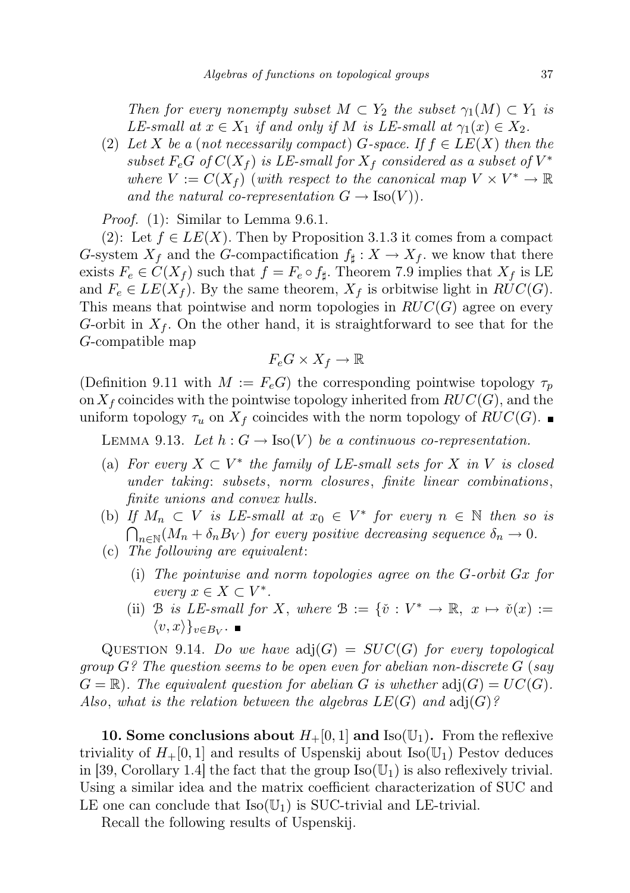Then for every nonempty subset  $M \subset Y_2$  the subset  $\gamma_1(M) \subset Y_1$  is LE-small at  $x \in X_1$  if and only if M is LE-small at  $\gamma_1(x) \in X_2$ .

(2) Let X be a (not necessarily compact) G-space. If  $f \in LE(X)$  then the subset  $F_eG$  of  $C(X_f)$  is LE-small for  $X_f$  considered as a subset of  $V^*$ where  $V := C(X_f)$  (with respect to the canonical map  $V \times V^* \to \mathbb{R}$ and the natural co-representation  $G \to \text{Iso}(V)$ .

Proof. (1): Similar to Lemma 9.6.1.

(2): Let  $f \in LE(X)$ . Then by Proposition 3.1.3 it comes from a compact G-system  $X_f$  and the G-compactification  $f_{\sharp}: X \to X_f$ , we know that there exists  $F_e \in C(X_f)$  such that  $f = F_e \circ f_{\sharp}$ . Theorem 7.9 implies that  $X_f$  is LE and  $F_e \in LE(X_f)$ . By the same theorem,  $X_f$  is orbitwise light in  $RUC(G)$ . This means that pointwise and norm topologies in  $RUC(G)$  agree on every G-orbit in  $X_f$ . On the other hand, it is straightforward to see that for the G-compatible map

$$
F_e G \times X_f \to \mathbb{R}
$$

(Definition 9.11 with  $M := F_eG$ ) the corresponding pointwise topology  $\tau_p$ on  $X_f$  coincides with the pointwise topology inherited from  $RUC(G)$ , and the uniform topology  $\tau_u$  on  $X_f$  coincides with the norm topology of  $RUC(G)$ .

LEMMA 9.13. Let  $h: G \to \text{Iso}(V)$  be a continuous co-representation.

- (a) For every  $X \subset V^*$  the family of LE-small sets for X in V is closed under taking: subsets, norm closures, finite linear combinations, finite unions and convex hulls.
- (b) If  $M_n \subset V$  is LE-small at  $x_0 \in V^*$  for every  $n \in \mathbb{N}$  then so is  $\bigcap_{n\in\mathbb{N}} (M_n+\delta_n B_V)$  for every positive decreasing sequence  $\delta_n\to 0$ .
- (c) The following are equivalent:
	- (i) The pointwise and norm topologies agree on the G-orbit Gx for every  $x \in X \subset V^*$ .
	- (ii) B is LE-small for X, where  $\mathcal{B} := \{ \check{v} : V^* \to \mathbb{R}, x \mapsto \check{v}(x) :=$  $\langle v, x \rangle\}_{v \in B_V}.$

QUESTION 9.14. Do we have  $adj(G) = SUC(G)$  for every topological group  $G$ ? The question seems to be open even for abelian non-discrete  $G$  (say  $G = \mathbb{R}$ . The equivalent question for abelian G is whether  $adj(G) = UC(G)$ . Also, what is the relation between the algebras  $LE(G)$  and  $adj(G)?$ 

10. Some conclusions about  $H_+[0,1]$  and Iso( $\mathbb{U}_1$ ). From the reflexive triviality of  $H_+[0,1]$  and results of Uspenskij about Iso( $\mathbb{U}_1$ ) Pestov deduces in [39, Corollary 1.4] the fact that the group  $\text{Iso}(\mathbb{U}_1)$  is also reflexively trivial. Using a similar idea and the matrix coefficient characterization of SUC and LE one can conclude that  $Iso(U_1)$  is SUC-trivial and LE-trivial.

Recall the following results of Uspenskij.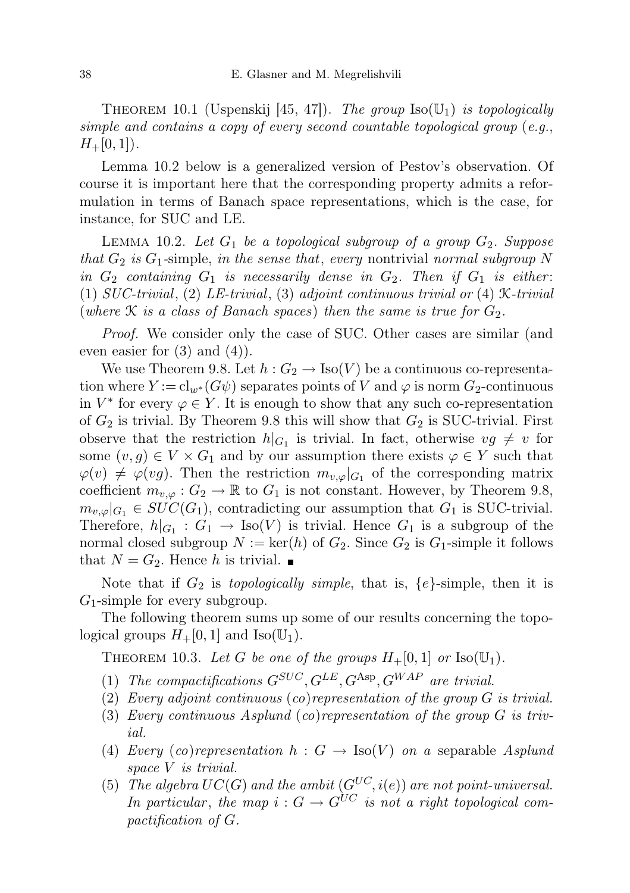THEOREM 10.1 (Uspenskij [45, 47]). The group  $\text{Iso}(\mathbb{U}_1)$  is topologically simple and contains a copy of every second countable topological group (e.g.,  $H_+[0, 1]$ .

Lemma 10.2 below is a generalized version of Pestov's observation. Of course it is important here that the corresponding property admits a reformulation in terms of Banach space representations, which is the case, for instance, for SUC and LE.

LEMMA 10.2. Let  $G_1$  be a topological subgroup of a group  $G_2$ . Suppose that  $G_2$  is  $G_1$ -simple, in the sense that, every nontrivial normal subgroup N in  $G_2$  containing  $G_1$  is necessarily dense in  $G_2$ . Then if  $G_1$  is either: (1)  $SUC-trivial$ , (2)  $LE-trivial$ , (3) adjoint continuous trivial or (4) X-trivial (where  $\mathcal K$  is a class of Banach spaces) then the same is true for  $G_2$ .

Proof. We consider only the case of SUC. Other cases are similar (and even easier for  $(3)$  and  $(4)$ ).

We use Theorem 9.8. Let  $h: G_2 \to \text{Iso}(V)$  be a continuous co-representation where  $Y := cl_{w^*}(G\psi)$  separates points of V and  $\varphi$  is norm  $G_2$ -continuous in  $V^*$  for every  $\varphi \in Y$ . It is enough to show that any such co-representation of  $G_2$  is trivial. By Theorem 9.8 this will show that  $G_2$  is SUC-trivial. First observe that the restriction  $h|_{G_1}$  is trivial. In fact, otherwise  $vg \neq v$  for some  $(v, g) \in V \times G_1$  and by our assumption there exists  $\varphi \in Y$  such that  $\varphi(v) \neq \varphi(vg)$ . Then the restriction  $m_{v,\varphi}|_{G_1}$  of the corresponding matrix coefficient  $m_{v,\varphi}: G_2 \to \mathbb{R}$  to  $G_1$  is not constant. However, by Theorem 9.8,  $m_{v,\varphi}|_{G_1} \in SUC(G_1)$ , contradicting our assumption that  $G_1$  is SUC-trivial. Therefore,  $h|_{G_1}: G_1 \to \text{Iso}(V)$  is trivial. Hence  $G_1$  is a subgroup of the normal closed subgroup  $N := \text{ker}(h)$  of  $G_2$ . Since  $G_2$  is  $G_1$ -simple it follows that  $N = G_2$ . Hence h is trivial.

Note that if  $G_2$  is *topologically simple*, that is,  $\{e\}$ -simple, then it is  $G_1$ -simple for every subgroup.

The following theorem sums up some of our results concerning the topological groups  $H_+[0, 1]$  and  $\text{Iso}(\mathbb{U}_1)$ .

THEOREM 10.3. Let G be one of the groups  $H_+[0,1]$  or  $\text{Iso}(\mathbb{U}_1)$ .

- (1) The compactifications  $G^{SUC}, G^{LE}, G^{Asp}, G^{WAP}$  are trivial.
- (2) Every adjoint continuous (co)representation of the group G is trivial.
- (3) Every continuous Asplund (co)representation of the group G is trivial.
- (4) Every (co)representation  $h : G \to \text{Iso}(V)$  on a separable Asplund space V is trivial.
- (5) The algebra  $UC(G)$  and the ambit  $(G^{UC}, i(e))$  are not point-universal. In particular, the map  $i: G \to G^{UC}$  is not a right topological compactification of G.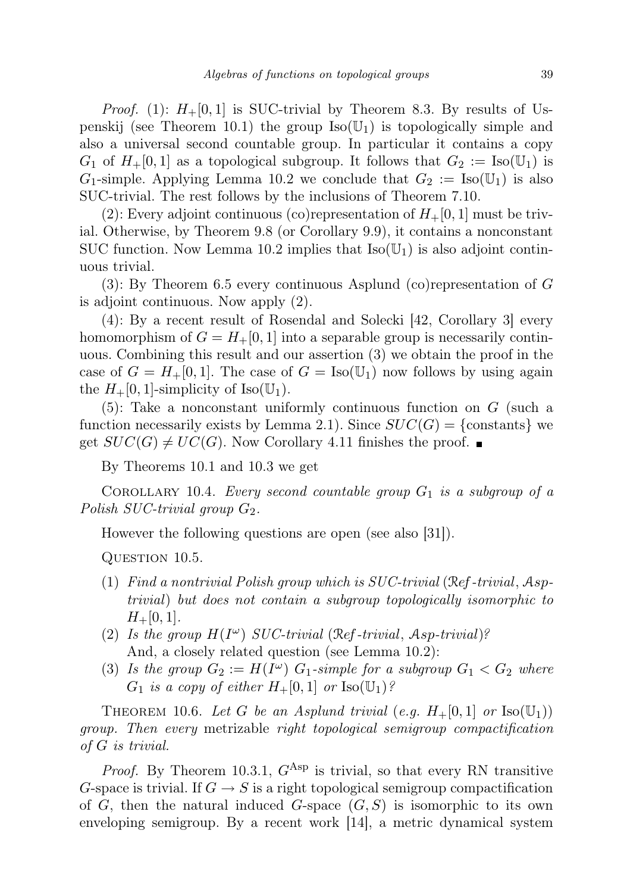*Proof.* (1):  $H_+[0,1]$  is SUC-trivial by Theorem 8.3. By results of Uspenskij (see Theorem 10.1) the group  $\text{Iso}(\mathbb{U}_1)$  is topologically simple and also a universal second countable group. In particular it contains a copy  $G_1$  of  $H_+[0,1]$  as a topological subgroup. It follows that  $G_2 := \text{Iso}(\mathbb{U}_1)$  is  $G_1$ -simple. Applying Lemma 10.2 we conclude that  $G_2 := \text{Iso}(\mathbb{U}_1)$  is also SUC-trivial. The rest follows by the inclusions of Theorem 7.10.

(2): Every adjoint continuous (co)representation of  $H_+[0,1]$  must be trivial. Otherwise, by Theorem 9.8 (or Corollary 9.9), it contains a nonconstant SUC function. Now Lemma 10.2 implies that  $Iso(\mathbb{U}_1)$  is also adjoint continuous trivial.

(3): By Theorem 6.5 every continuous Asplund (co)representation of G is adjoint continuous. Now apply (2).

(4): By a recent result of Rosendal and Solecki [42, Corollary 3] every homomorphism of  $G = H_+ [0, 1]$  into a separable group is necessarily continuous. Combining this result and our assertion (3) we obtain the proof in the case of  $G = H_+ [0, 1]$ . The case of  $G = \text{Iso}(\mathbb{U}_1)$  now follows by using again the  $H_+[0,1]$ -simplicity of Iso( $\mathbb{U}_1$ ).

(5): Take a nonconstant uniformly continuous function on G (such a function necessarily exists by Lemma 2.1). Since  $SUC(G) = \{ \text{constants} \}$  we get  $SUC(G) \neq UC(G)$ . Now Corollary 4.11 finishes the proof.

By Theorems 10.1 and 10.3 we get

COROLLARY 10.4. Every second countable group  $G_1$  is a subgroup of a Polish SUC-trivial group  $G_2$ .

However the following questions are open (see also [31]).

QUESTION 10.5.

- (1) Find a nontrivial Polish group which is SUC-trivial (Ref-trivial, Asptrivial) but does not contain a subgroup topologically isomorphic to  $H_+[0, 1].$
- (2) Is the group  $H(I^{\omega})$  SUC-trivial (Ref-trivial, Asp-trivial)? And, a closely related question (see Lemma 10.2):
- (3) Is the group  $G_2 := H(I^{\omega})$   $G_1$ -simple for a subgroup  $G_1 < G_2$  where  $G_1$  is a copy of either  $H_+[0,1]$  or  $\text{Iso}(\mathbb{U}_1)$ ?

THEOREM 10.6. Let G be an Asplund trivial (e.g.  $H_+[0,1]$  or  $\text{Iso}(\mathbb{U}_1)$ ) group. Then every metrizable right topological semigroup compactification of G is trivial.

*Proof.* By Theorem 10.3.1,  $G^{Asp}$  is trivial, so that every RN transitive G-space is trivial. If  $G \to S$  is a right topological semigroup compactification of G, then the natural induced G-space  $(G, S)$  is isomorphic to its own enveloping semigroup. By a recent work [14], a metric dynamical system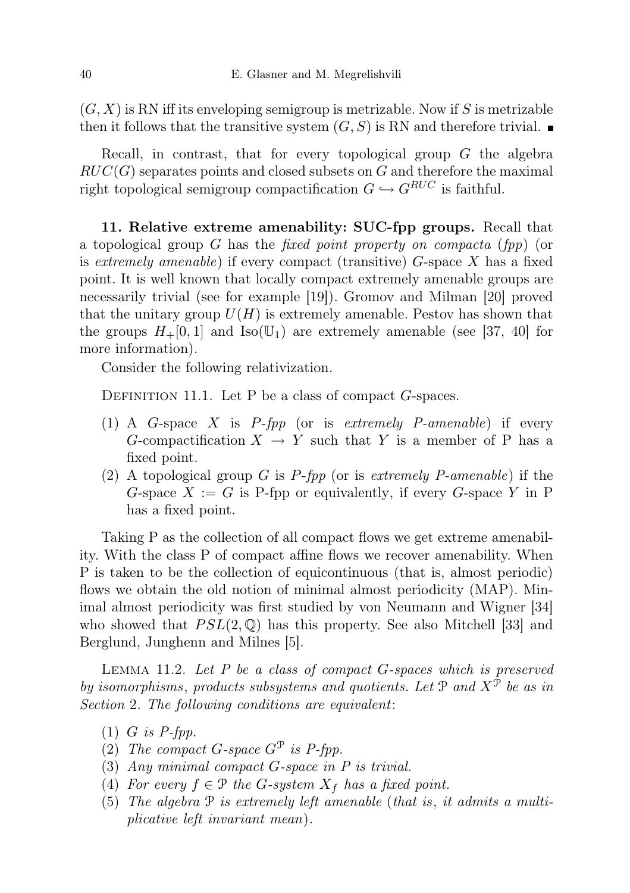$(G, X)$  is RN iff its enveloping semigroup is metrizable. Now if S is metrizable then it follows that the transitive system  $(G, S)$  is RN and therefore trivial.

Recall, in contrast, that for every topological group  $G$  the algebra  $RUC(G)$  separates points and closed subsets on G and therefore the maximal right topological semigroup compactification  $G \hookrightarrow G^{RUC}$  is faithful.

11. Relative extreme amenability: SUC-fpp groups. Recall that a topological group G has the *fixed point property on compacta* (*fpp*) (or is extremely amenable) if every compact (transitive)  $G$ -space X has a fixed point. It is well known that locally compact extremely amenable groups are necessarily trivial (see for example [19]). Gromov and Milman [20] proved that the unitary group  $U(H)$  is extremely amenable. Pestov has shown that the groups  $H_+[0,1]$  and  $\text{Iso}(\mathbb{U}_1)$  are extremely amenable (see [37, 40] for more information).

Consider the following relativization.

DEFINITION 11.1. Let P be a class of compact  $G$ -spaces.

- (1) A G-space X is  $P$ -fpp (or is extremely P-amenable) if every G-compactification  $X \to Y$  such that Y is a member of P has a fixed point.
- (2) A topological group  $G$  is  $P$ -fpp (or is extremely P-amenable) if the G-space  $X := G$  is P-fpp or equivalently, if every G-space Y in P has a fixed point.

Taking P as the collection of all compact flows we get extreme amenability. With the class P of compact affine flows we recover amenability. When P is taken to be the collection of equicontinuous (that is, almost periodic) flows we obtain the old notion of minimal almost periodicity (MAP). Minimal almost periodicity was first studied by von Neumann and Wigner [34] who showed that  $PSL(2,\mathbb{Q})$  has this property. See also Mitchell [33] and Berglund, Junghenn and Milnes [5].

LEMMA 11.2. Let  $P$  be a class of compact  $G$ -spaces which is preserved by isomorphisms, products subsystems and quotients. Let  $\mathcal{P}$  and  $X^{\mathcal{P}}$  be as in Section 2. The following conditions are equivalent:

- $(1)$  *G* is *P*-fpp.
- (2) The compact G-space  $G^{\mathcal{P}}$  is P-fpp.
- (3) Any minimal compact G-space in P is trivial.
- (4) For every  $f \in \mathcal{P}$  the G-system  $X_f$  has a fixed point.
- (5) The algebra P is extremely left amenable (that is, it admits a multiplicative left invariant mean).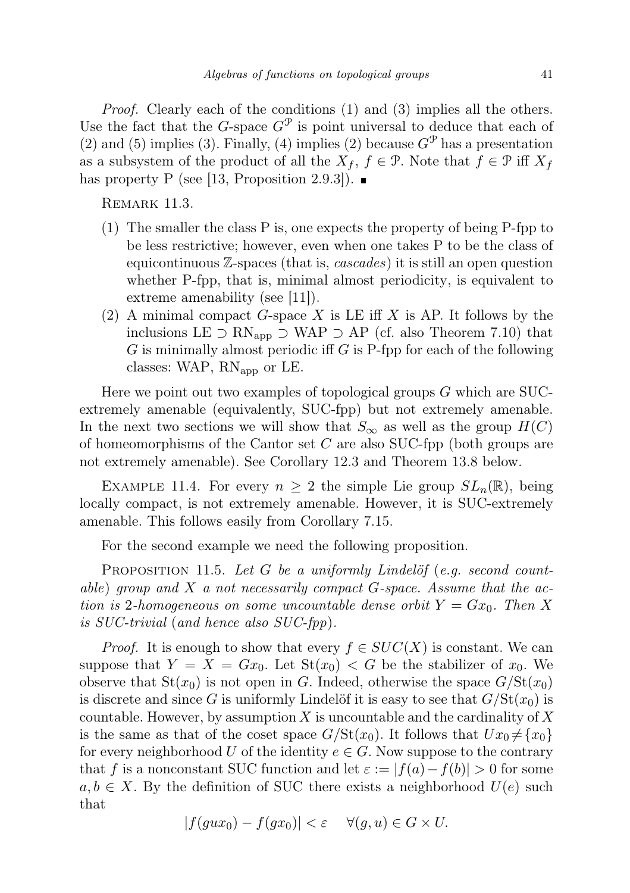Proof. Clearly each of the conditions (1) and (3) implies all the others. Use the fact that the G-space  $G^{\mathcal{P}}$  is point universal to deduce that each of (2) and (5) implies (3). Finally, (4) implies (2) because  $G^{\mathcal{P}}$  has a presentation as a subsystem of the product of all the  $X_f$ ,  $f \in \mathcal{P}$ . Note that  $f \in \mathcal{P}$  iff  $X_f$ has property P (see [13, Proposition 2.9.3]).  $\blacksquare$ 

REMARK 11.3.

- (1) The smaller the class P is, one expects the property of being P-fpp to be less restrictive; however, even when one takes P to be the class of equicontinuous  $\mathbb{Z}$ -spaces (that is, *cascades*) it is still an open question whether P-fpp, that is, minimal almost periodicity, is equivalent to extreme amenability (see [11]).
- (2) A minimal compact G-space X is LE iff X is AP. It follows by the inclusions LE  $\supset$  RN<sub>app</sub>  $\supset$  WAP  $\supset$  AP (cf. also Theorem 7.10) that  $G$  is minimally almost periodic iff  $G$  is P-fpp for each of the following classes: WAP,  $RN_{app}$  or LE.

Here we point out two examples of topological groups G which are SUCextremely amenable (equivalently, SUC-fpp) but not extremely amenable. In the next two sections we will show that  $S_{\infty}$  as well as the group  $H(C)$ of homeomorphisms of the Cantor set  $C$  are also SUC-fpp (both groups are not extremely amenable). See Corollary 12.3 and Theorem 13.8 below.

EXAMPLE 11.4. For every  $n \geq 2$  the simple Lie group  $SL_n(\mathbb{R})$ , being locally compact, is not extremely amenable. However, it is SUC-extremely amenable. This follows easily from Corollary 7.15.

For the second example we need the following proposition.

PROPOSITION 11.5. Let G be a uniformly Lindelöf (e.g. second countable) group and  $X$  a not necessarily compact  $G$ -space. Assume that the action is 2-homogeneous on some uncountable dense orbit  $Y = Gx_0$ . Then X is SUC-trivial (and hence also SUC-fpp).

*Proof.* It is enough to show that every  $f \in SUC(X)$  is constant. We can suppose that  $Y = X = Gx_0$ . Let  $St(x_0) < G$  be the stabilizer of  $x_0$ . We observe that  $St(x_0)$  is not open in G. Indeed, otherwise the space  $G/St(x_0)$ is discrete and since G is uniformly Lindelöf it is easy to see that  $G/\mathrm{St}(x_0)$  is countable. However, by assumption  $X$  is uncountable and the cardinality of  $X$ is the same as that of the coset space  $G/\text{St}(x_0)$ . It follows that  $Ux_0 \neq \{x_0\}$ for every neighborhood U of the identity  $e \in G$ . Now suppose to the contrary that f is a nonconstant SUC function and let  $\varepsilon := |f(a)-f(b)| > 0$  for some  $a, b \in X$ . By the definition of SUC there exists a neighborhood  $U(e)$  such that

$$
|f(gux_0) - f(gx_0)| < \varepsilon \quad \forall (g, u) \in G \times U.
$$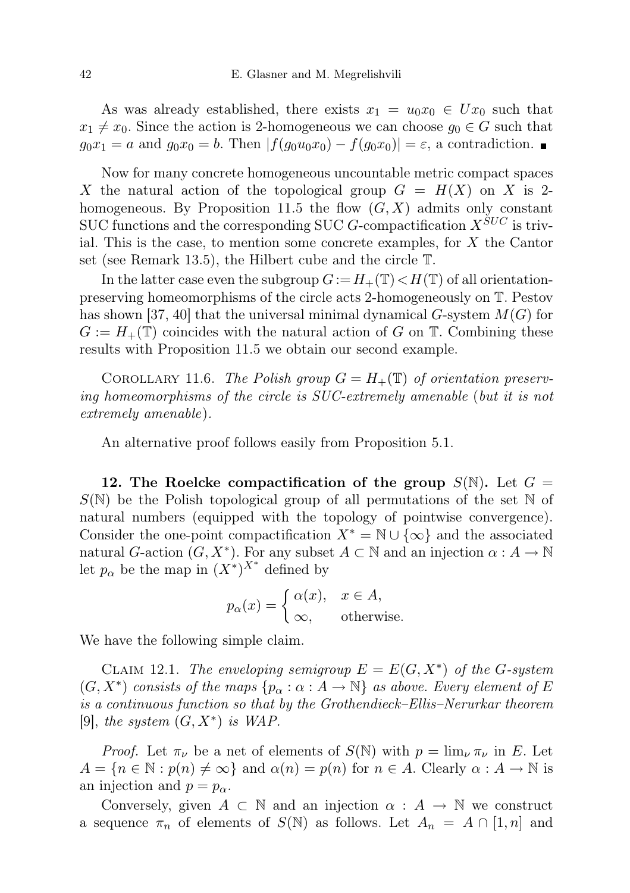As was already established, there exists  $x_1 = u_0 x_0 \in U x_0$  such that  $x_1 \neq x_0$ . Since the action is 2-homogeneous we can choose  $g_0 \in G$  such that  $g_0x_1 = a$  and  $g_0x_0 = b$ . Then  $|f(g_0u_0x_0) - f(g_0x_0)| = \varepsilon$ , a contradiction.

Now for many concrete homogeneous uncountable metric compact spaces X the natural action of the topological group  $G = H(X)$  on X is 2homogeneous. By Proposition 11.5 the flow  $(G, X)$  admits only constant SUC functions and the corresponding SUC G-compactification  $X^{SUC}$  is trivial. This is the case, to mention some concrete examples, for  $X$  the Cantor set (see Remark 13.5), the Hilbert cube and the circle T.

In the latter case even the subgroup  $G := H_+(\mathbb{T}) \lt H(\mathbb{T})$  of all orientationpreserving homeomorphisms of the circle acts 2-homogeneously on T. Pestov has shown [37, 40] that the universal minimal dynamical G-system  $M(G)$  for  $G := H_+(\mathbb{T})$  coincides with the natural action of G on  $\mathbb{T}$ . Combining these results with Proposition 11.5 we obtain our second example.

COROLLARY 11.6. The Polish group  $G = H_+(\mathbb{T})$  of orientation preserving homeomorphisms of the circle is SUC-extremely amenable (but it is not extremely amenable).

An alternative proof follows easily from Proposition 5.1.

12. The Roelcke compactification of the group  $S(\mathbb{N})$ . Let  $G =$  $S(N)$  be the Polish topological group of all permutations of the set N of natural numbers (equipped with the topology of pointwise convergence). Consider the one-point compactification  $X^* = \mathbb{N} \cup {\infty}$  and the associated natural G-action  $(G, X^*)$ . For any subset  $A \subset \mathbb{N}$  and an injection  $\alpha : A \to \mathbb{N}$ let  $p_{\alpha}$  be the map in  $(X^*)^{X^*}$  defined by

$$
p_{\alpha}(x) = \begin{cases} \alpha(x), & x \in A, \\ \infty, & \text{otherwise.} \end{cases}
$$

We have the following simple claim.

CLAIM 12.1. The enveloping semigroup  $E = E(G, X^*)$  of the G-system  $(G, X^*)$  consists of the maps  $\{p_{\alpha}: \alpha: A \to \mathbb{N}\}\$ as above. Every element of E is a continuous function so that by the Grothendieck–Ellis–Nerurkar theorem [9], the system  $(G, X^*)$  is WAP.

*Proof.* Let  $\pi_{\nu}$  be a net of elements of  $S(\mathbb{N})$  with  $p = \lim_{\nu} \pi_{\nu}$  in E. Let  $A = \{n \in \mathbb{N} : p(n) \neq \infty\}$  and  $\alpha(n) = p(n)$  for  $n \in A$ . Clearly  $\alpha : A \to \mathbb{N}$  is an injection and  $p = p_{\alpha}$ .

Conversely, given  $A \subset \mathbb{N}$  and an injection  $\alpha : A \to \mathbb{N}$  we construct a sequence  $\pi_n$  of elements of  $S(\mathbb{N})$  as follows. Let  $A_n = A \cap [1,n]$  and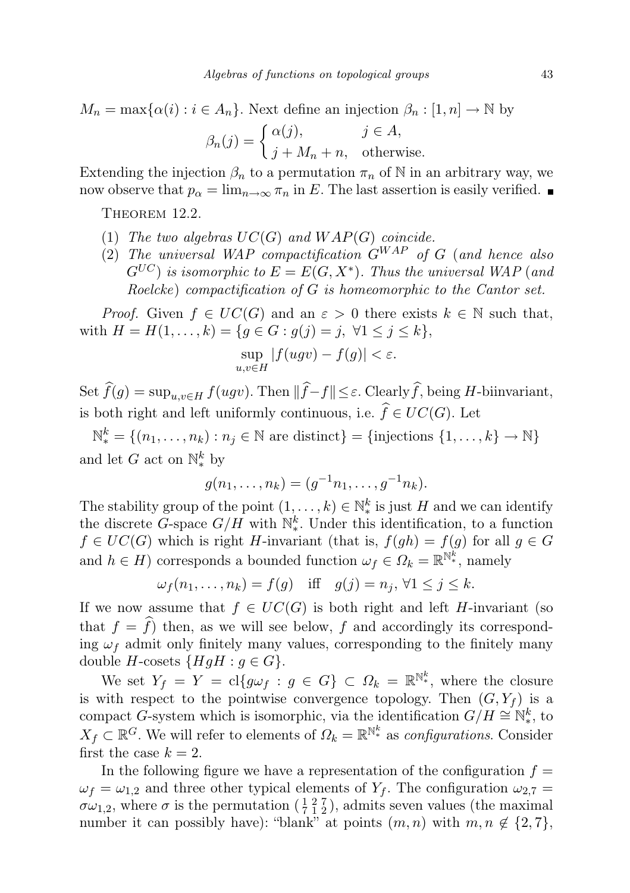$$
M_n = \max{\{\alpha(i) : i \in A_n\}}
$$
. Next define an injection  $\beta_n : [1, n] \to \mathbb{N}$  by

$$
\beta_n(j) = \begin{cases} \alpha(j), & j \in A, \\ j + M_n + n, & \text{otherwise.} \end{cases}
$$

Extending the injection  $\beta_n$  to a permutation  $\pi_n$  of N in an arbitrary way, we now observe that  $p_{\alpha} = \lim_{n \to \infty} \pi_n$  in E. The last assertion is easily verified.

THEOREM 12.2.

- (1) The two algebras  $UC(G)$  and  $WAP(G)$  coincide.
- (2) The universal WAP compactification  $G^{WAP}$  of G (and hence also  $G^{UC})$  is isomorphic to  $E=E(G,X^{\ast}).$  Thus the universal WAP (and Roelcke) compactification of G is homeomorphic to the Cantor set.

*Proof.* Given  $f \in UC(G)$  and an  $\varepsilon > 0$  there exists  $k \in \mathbb{N}$  such that, with  $H = H(1, ..., k) = \{g \in G : g(j) = j, \forall 1 \leq j \leq k\},\$ 

$$
\sup_{u,v\in H}|f(ugv)-f(g)|<\varepsilon.
$$

Set  $\widehat{f}(g) = \sup_{y \in H} f(ugy)$ . Then  $\|\widehat{f} - f\| \leq \varepsilon$ . Clearly  $\widehat{f}$ , being H-biinvariant, is both right and left uniformly continuous, i.e.  $\widehat{f} \in UC(G)$ . Let

 $\mathbb{N}_{*}^{k} = \{(n_1, \ldots, n_k) : n_j \in \mathbb{N} \text{ are distinct}\} = \{\text{injections } \{1, \ldots, k\} \to \mathbb{N}\}\$ and let G act on  $\mathbb{N}_{*}^{k}$  by

$$
g(n_1, \ldots, n_k) = (g^{-1}n_1, \ldots, g^{-1}n_k).
$$

The stability group of the point  $(1, \ldots, k) \in \mathbb{N}_{*}^{k}$  is just H and we can identify the discrete G-space  $G/H$  with  $\mathbb{N}_{*}^{k}$ . Under this identification, to a function  $f \in UC(G)$  which is right H-invariant (that is,  $f(gh) = f(g)$  for all  $g \in G$ and  $h \in H$ ) corresponds a bounded function  $\omega_f \in \Omega_k = \mathbb{R}^{\mathbb{N}^k_*}$ , namely

$$
\omega_f(n_1,\ldots,n_k)=f(g)\quad\text{iff}\quad g(j)=n_j,\,\forall 1\leq j\leq k.
$$

If we now assume that  $f \in UC(G)$  is both right and left H-invariant (so that  $f = \hat{f}$  then, as we will see below, f and accordingly its corresponding  $\omega_f$  admit only finitely many values, corresponding to the finitely many double H-cosets  ${HgH : g \in G}$ .

We set  $Y_f = Y = cl\{g\omega_f : g \in G\} \subset \Omega_k = \mathbb{R}^{\mathbb{N}_*^k}$ , where the closure is with respect to the pointwise convergence topology. Then  $(G, Y_f)$  is a compact G-system which is isomorphic, via the identification  $G/H \cong N_*^k$ , to  $X_f \subset \mathbb{R}^G$ . We will refer to elements of  $\Omega_k = \mathbb{R}^{\mathbb{N}^k_*}$  as *configurations*. Consider first the case  $k = 2$ .

In the following figure we have a representation of the configuration  $f =$  $\omega_f = \omega_{1,2}$  and three other typical elements of  $Y_f$ . The configuration  $\omega_{2,7} =$  $\sigma\omega_{1,2}$ , where  $\sigma$  is the permutation  $(\frac{1}{7}, \frac{2}{1}, \frac{7}{2})$ , admits seven values (the maximal number it can possibly have): "blank" at points  $(m, n)$  with  $m, n \notin \{2, 7\}$ ,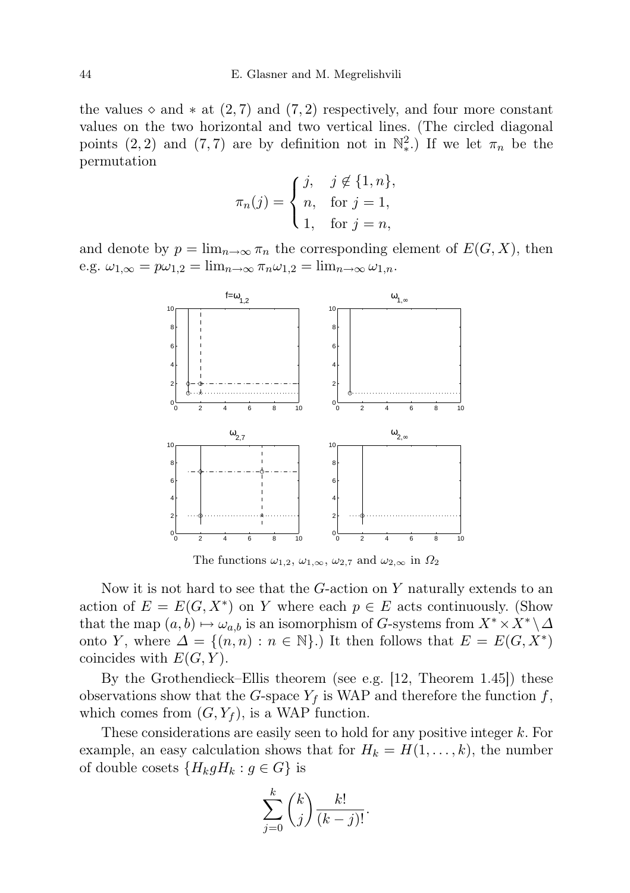the values  $\diamond$  and  $*$  at  $(2, 7)$  and  $(7, 2)$  respectively, and four more constant values on the two horizontal and two vertical lines. (The circled diagonal points (2, 2) and (7,7) are by definition not in  $\mathbb{N}^2_*$ . If we let  $\pi_n$  be the permutation

$$
\pi_n(j) = \begin{cases} j, & j \notin \{1, n\}, \\ n, & \text{for } j = 1, \\ 1, & \text{for } j = n, \end{cases}
$$

and denote by  $p = \lim_{n \to \infty} \pi_n$  the corresponding element of  $E(G, X)$ , then e.g.  $\omega_{1,\infty} = p\omega_{1,2} = \lim_{n\to\infty} \pi_n \omega_{1,2} = \lim_{n\to\infty} \omega_{1,n}.$ 



The functions  $\omega_{1,2}, \omega_{1,\infty}, \omega_{2,7}$  and  $\omega_{2,\infty}$  in  $\Omega_2$ 

Now it is not hard to see that the  $G$ -action on Y naturally extends to an action of  $E = E(G, X^*)$  on Y where each  $p \in E$  acts continuously. (Show that the map  $(a, b) \mapsto \omega_{a,b}$  is an isomorphism of G-systems from  $X^* \times X^* \setminus \Delta$ onto Y, where  $\Delta = \{(n, n) : n \in \mathbb{N}\}\.$  It then follows that  $E = E(G, X^*)$ coincides with  $E(G, Y)$ .

By the Grothendieck–Ellis theorem (see e.g. [12, Theorem 1.45]) these observations show that the G-space  $Y_f$  is WAP and therefore the function f, which comes from  $(G, Y_f)$ , is a WAP function.

These considerations are easily seen to hold for any positive integer k. For example, an easy calculation shows that for  $H_k = H(1, \ldots, k)$ , the number of double cosets  ${H_k g H_k : g \in G}$  is

$$
\sum_{j=0}^{k} \binom{k}{j} \frac{k!}{(k-j)!}.
$$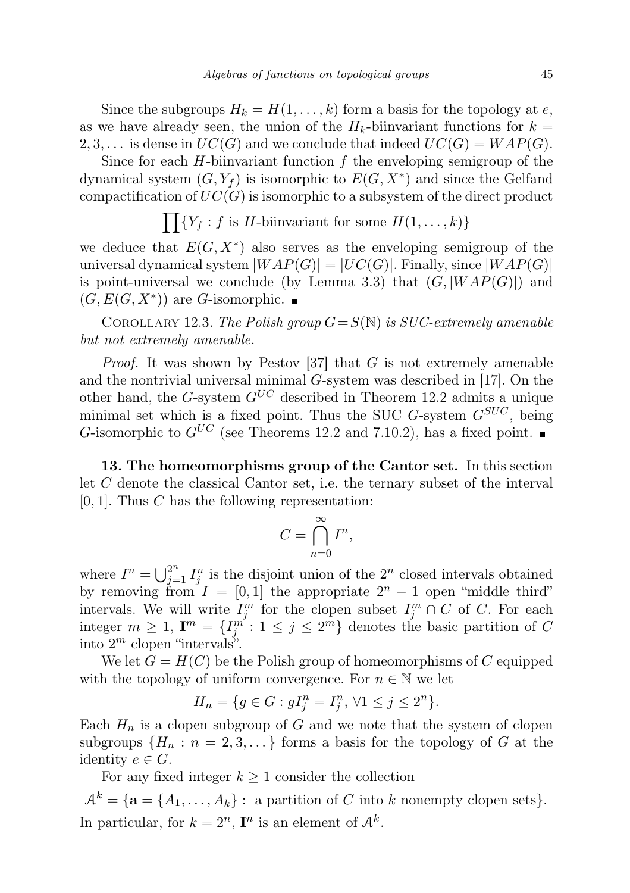Since the subgroups  $H_k = H(1, \ldots, k)$  form a basis for the topology at e, as we have already seen, the union of the  $H_k$ -biinvariant functions for  $k =$ 2, 3, ... is dense in  $UC(G)$  and we conclude that indeed  $UC(G) = WAP(G)$ .

Since for each  $H$ -biinvariant function  $f$  the enveloping semigroup of the dynamical system  $(G, Y_f)$  is isomorphic to  $E(G, X^*)$  and since the Gelfand compactification of  $UC(G)$  is isomorphic to a subsystem of the direct product

$$
\prod \{ Y_f : f \text{ is } H\text{-binvariant for some } H(1,\ldots,k) \}
$$

we deduce that  $E(G, X^*)$  also serves as the enveloping semigroup of the universal dynamical system  $|WAP(G)| = |UC(G)|$ . Finally, since  $|WAP(G)|$ is point-universal we conclude (by Lemma 3.3) that  $(G, |WAP(G)|)$  and  $(G, E(G, X^*))$  are G-isomorphic.

COROLLARY 12.3. The Polish group  $G = S(N)$  is SUC-extremely amenable but not extremely amenable.

*Proof.* It was shown by Pestov [37] that  $G$  is not extremely amenable and the nontrivial universal minimal G-system was described in [17]. On the other hand, the G-system  $G^{UC}$  described in Theorem 12.2 admits a unique minimal set which is a fixed point. Thus the SUC  $G$ -system  $G^{SUC}$ , being G-isomorphic to  $G^{UC}$  (see Theorems 12.2 and 7.10.2), has a fixed point.

13. The homeomorphisms group of the Cantor set. In this section let C denote the classical Cantor set, i.e. the ternary subset of the interval  $[0, 1]$ . Thus C has the following representation:

$$
C = \bigcap_{n=0}^{\infty} I^n,
$$

where  $I^n = \bigcup_{j=1}^{2^n} I_j^n$  is the disjoint union of the  $2^n$  closed intervals obtained by removing from  $I = [0, 1]$  the appropriate  $2^n - 1$  open "middle third" intervals. We will write  $I_j^m$  for the clopen subset  $I_j^m \cap C$  of C. For each integer  $m \geq 1$ ,  $\mathbf{I}^m = \{I_j^{m'} : 1 \leq j \leq 2^m\}$  denotes the basic partition of C into  $2^m$  clopen "intervals".

We let  $G = H(C)$  be the Polish group of homeomorphisms of C equipped with the topology of uniform convergence. For  $n \in \mathbb{N}$  we let

$$
H_n = \{ g \in G : gI_j^n = I_j^n, \, \forall 1 \le j \le 2^n \}.
$$

Each  $H_n$  is a clopen subgroup of G and we note that the system of clopen subgroups  $\{H_n : n = 2, 3, ...\}$  forms a basis for the topology of G at the identity  $e \in G$ .

For any fixed integer  $k \geq 1$  consider the collection

 $A^k = \{ \mathbf{a} = \{A_1, \ldots, A_k\} : \text{ a partition of } C \text{ into } k \text{ nonempty clopen sets} \}.$ In particular, for  $k = 2^n$ ,  $\mathbf{I}^n$  is an element of  $\mathcal{A}^k$ .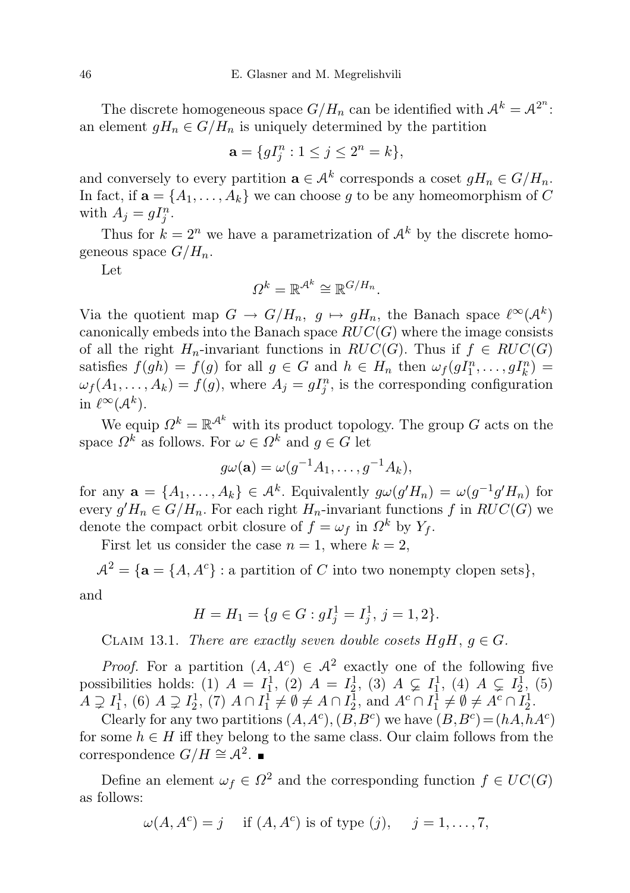The discrete homogeneous space  $G/H_n$  can be identified with  $\mathcal{A}^k = \mathcal{A}^{2^n}$ : an element  $gH_n \in G/H_n$  is uniquely determined by the partition

$$
\mathbf{a} = \{gI_j^n : 1 \le j \le 2^n = k\},\
$$

and conversely to every partition  $\mathbf{a} \in \mathcal{A}^k$  corresponds a coset  $gH_n \in G/H_n$ . In fact, if  $\mathbf{a} = \{A_1, \ldots, A_k\}$  we can choose g to be any homeomorphism of C with  $A_j = gI_j^n$ .

Thus for  $k = 2^n$  we have a parametrization of  $\mathcal{A}^k$  by the discrete homogeneous space  $G/H_n$ .

Let

$$
\Omega^k = \mathbb{R}^{\mathcal{A}^k} \cong \mathbb{R}^{G/H_n}.
$$

Via the quotient map  $G \to G/H_n$ ,  $g \mapsto gH_n$ , the Banach space  $\ell^{\infty}(\mathcal{A}^k)$ canonically embeds into the Banach space  $RUC(G)$  where the image consists of all the right  $H_n$ -invariant functions in  $RUC(G)$ . Thus if  $f \in RUC(G)$ satisfies  $f(gh) = f(g)$  for all  $g \in G$  and  $h \in H_n$  then  $\omega_f(g_1^n, \ldots, g_n^n) =$  $\omega_f(A_1,\ldots,A_k) = f(g)$ , where  $A_j = gI_j^n$ , is the corresponding configuration in  $\ell^{\infty}(\mathcal{A}^k)$ .

We equip  $\Omega^k = \mathbb{R}^{\mathcal{A}^k}$  with its product topology. The group G acts on the space  $\Omega^k$  as follows. For  $\omega \in \Omega^k$  and  $g \in G$  let

$$
g\omega(\mathbf{a})=\omega(g^{-1}A_1,\ldots,g^{-1}A_k),
$$

for any  $\mathbf{a} = \{A_1, \ldots, A_k\} \in \mathcal{A}^k$ . Equivalently  $g\omega(g'H_n) = \omega(g^{-1}g'H_n)$  for every  $g'H_n \in G/H_n$ . For each right  $H_n$ -invariant functions f in  $RUC(G)$  we denote the compact orbit closure of  $f = \omega_f$  in  $\Omega^k$  by  $Y_f$ .

First let us consider the case  $n = 1$ , where  $k = 2$ ,

 $A^2 = \{ \mathbf{a} = \{A, A^c\} : \text{a partition of } C \text{ into two nonempty clopen sets} \},\$ 

and

$$
H = H_1 = \{ g \in G : gI_j^1 = I_j^1, j = 1, 2 \}.
$$

CLAIM 13.1. There are exactly seven double cosets  $HgH, g \in G$ .

*Proof.* For a partition  $(A, A^c) \in A^2$  exactly one of the following five possibilities holds: (1)  $A = I_1^1$ , (2)  $A = I_2^1$ , (3)  $A \subsetneq I_1^1$ , (4)  $A \subsetneq I_2^1$ , (5)  $A \supsetneq I_1^1$ , (6)  $A \supsetneq I_2^1$ , (7)  $A \cap I_1^1 \neq \emptyset \neq A \cap I_2^1$ , and  $A^c \cap I_1^1 \neq \emptyset \neq A^c \cap I_2^1$ .

Clearly for any two partitions  $(A, A^c), (B, B^c)$  we have  $(B, B^c) = (hA, hA^c)$ for some  $h \in H$  iff they belong to the same class. Our claim follows from the correspondence  $G/H \cong \mathcal{A}^2$ .

Define an element  $\omega_f \in \Omega^2$  and the corresponding function  $f \in UC(G)$ as follows:

$$
\omega(A, A^c) = j \quad \text{if } (A, A^c) \text{ is of type } (j), \quad j = 1, \dots, 7,
$$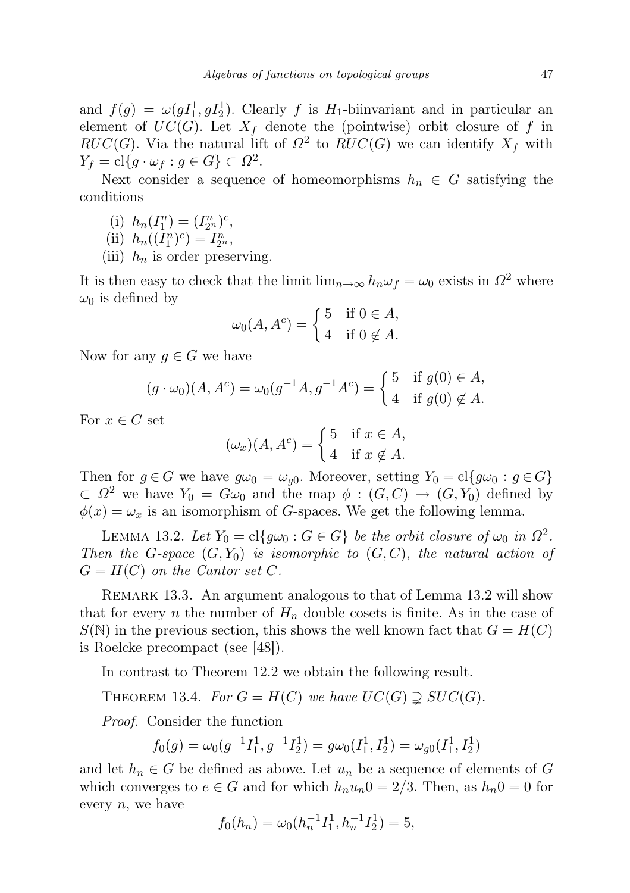and  $f(g) = \omega(gI_1^1, gI_2^1)$ . Clearly f is H<sub>1</sub>-biinvariant and in particular an element of  $UC(G)$ . Let  $X_f$  denote the (pointwise) orbit closure of f in  $RUC(G)$ . Via the natural lift of  $\Omega^2$  to  $RUC(G)$  we can identify  $X_f$  with  $Y_f = \mathrm{cl}\{g \cdot \omega_f : g \in G\} \subset \Omega^2.$ 

Next consider a sequence of homeomorphisms  $h_n \in G$  satisfying the conditions

- (i)  $h_n(I_1^n) = (I_{2^n}^n)^c$ ,
- (ii)  $h_n((I_1^n)^c) = I_{2^n}^n$ ,
- (iii)  $h_n$  is order preserving.

It is then easy to check that the limit  $\lim_{n\to\infty} h_n \omega_f = \omega_0$  exists in  $\Omega^2$  where  $\omega_0$  is defined by

$$
\omega_0(A, A^c) = \begin{cases} 5 & \text{if } 0 \in A, \\ 4 & \text{if } 0 \notin A. \end{cases}
$$

Now for any  $q \in G$  we have

$$
(g \cdot \omega_0)(A, A^c) = \omega_0(g^{-1}A, g^{-1}A^c) = \begin{cases} 5 & \text{if } g(0) \in A, \\ 4 & \text{if } g(0) \notin A. \end{cases}
$$

For  $x \in C$  set

$$
(\omega_x)(A, A^c) = \begin{cases} 5 & \text{if } x \in A, \\ 4 & \text{if } x \notin A. \end{cases}
$$

Then for  $g \in G$  we have  $g\omega_0 = \omega_{g0}$ . Moreover, setting  $Y_0 = \text{cl}\{g\omega_0 : g \in G\}$  $\subset \Omega^2$  we have  $Y_0 = G\omega_0$  and the map  $\phi : (G, C) \to (G, Y_0)$  defined by  $\phi(x) = \omega_x$  is an isomorphism of G-spaces. We get the following lemma.

LEMMA 13.2. Let  $Y_0 = \text{cl}\lbrace g\omega_0 : G \in G \rbrace$  be the orbit closure of  $\omega_0$  in  $\Omega^2$ . Then the G-space  $(G, Y_0)$  is isomorphic to  $(G, C)$ , the natural action of  $G = H(C)$  on the Cantor set C.

REMARK 13.3. An argument analogous to that of Lemma 13.2 will show that for every n the number of  $H_n$  double cosets is finite. As in the case of  $S(N)$  in the previous section, this shows the well known fact that  $G = H(C)$ is Roelcke precompact (see [48]).

In contrast to Theorem 12.2 we obtain the following result.

THEOREM 13.4. For  $G = H(C)$  we have  $UC(G) \supseteq SUC(G)$ .

Proof. Consider the function

$$
f_0(g) = \omega_0(g^{-1}I_1^1, g^{-1}I_2^1) = g\omega_0(I_1^1, I_2^1) = \omega_{g0}(I_1^1, I_2^1)
$$

and let  $h_n \in G$  be defined as above. Let  $u_n$  be a sequence of elements of G which converges to  $e \in G$  and for which  $h_n u_n 0 = 2/3$ . Then, as  $h_n 0 = 0$  for every  $n$ , we have

$$
f_0(h_n) = \omega_0(h_n^{-1}I_1^1, h_n^{-1}I_2^1) = 5,
$$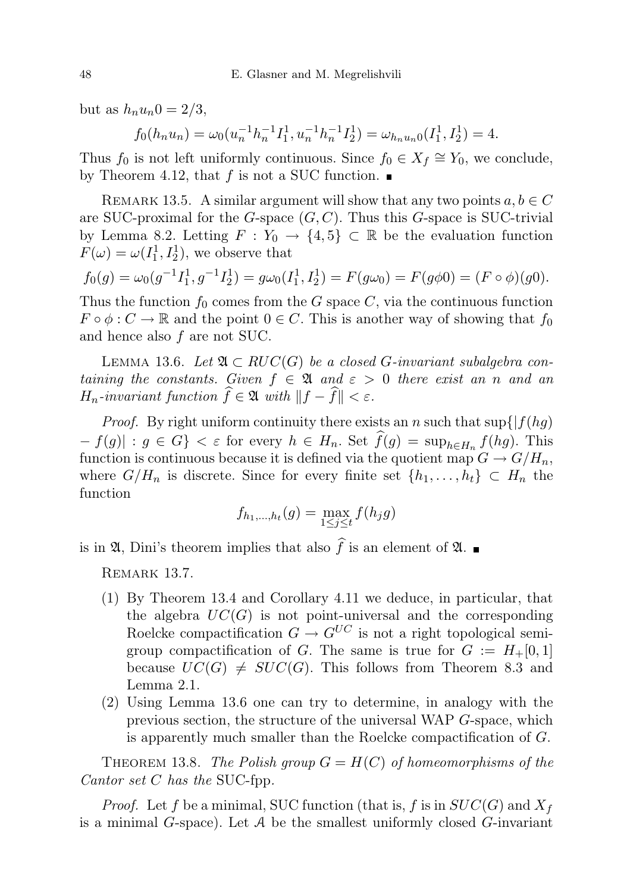but as  $h_n u_n 0 = 2/3$ ,

$$
f_0(h_n u_n) = \omega_0(u_n^{-1} h_n^{-1} I_1^1, u_n^{-1} h_n^{-1} I_2^1) = \omega_{h_n u_n 0}(I_1^1, I_2^1) = 4.
$$

Thus  $f_0$  is not left uniformly continuous. Since  $f_0 \in X_f \cong Y_0$ , we conclude, by Theorem 4.12, that f is not a SUC function.  $\blacksquare$ 

REMARK 13.5. A similar argument will show that any two points  $a, b \in C$ are SUC-proximal for the  $G$ -space  $(G, C)$ . Thus this  $G$ -space is SUC-trivial by Lemma 8.2. Letting  $F: Y_0 \to \{4,5\} \subset \mathbb{R}$  be the evaluation function  $F(\omega) = \omega(I_1^1, I_2^1)$ , we observe that

$$
f_0(g) = \omega_0(g^{-1}I_1^1, g^{-1}I_2^1) = g\omega_0(I_1^1, I_2^1) = F(g\omega_0) = F(g\phi_0) = (F \circ \phi)(g_0).
$$

Thus the function  $f_0$  comes from the G space C, via the continuous function  $F \circ \phi : C \to \mathbb{R}$  and the point  $0 \in C$ . This is another way of showing that  $f_0$ and hence also f are not SUC.

LEMMA 13.6. Let  $\mathfrak{A} \subset RUC(G)$  be a closed G-invariant subalgebra containing the constants. Given  $f \in \mathfrak{A}$  and  $\varepsilon > 0$  there exist an n and an  $H_n$ -invariant function  $\widehat{f} \in \mathfrak{A}$  with  $\|f - \widehat{f}\| < \varepsilon$ .

*Proof.* By right uniform continuity there exists an n such that  $\sup\{|f(hg)|\}$  $-f(g)$  :  $g \in G$   $\langle \varepsilon \in G \rangle$  =  $\sup_{h \in H_n} f(hg)$ . This function is continuous because it is defined via the quotient map  $G \to G/H_n$ , where  $G/H_n$  is discrete. Since for every finite set  $\{h_1, \ldots, h_t\} \subset H_n$  the function

$$
f_{h_1,...,h_t}(g) = \max_{1 \le j \le t} f(h_j g)
$$

is in  $\mathfrak{A}$ , Dini's theorem implies that also  $\widehat{f}$  is an element of  $\mathfrak{A}$ .

REMARK 13.7.

- (1) By Theorem 13.4 and Corollary 4.11 we deduce, in particular, that the algebra  $UC(G)$  is not point-universal and the corresponding Roelcke compactification  $G \to G^{UC}$  is not a right topological semigroup compactification of G. The same is true for  $G := H_+[0,1]$ because  $UC(G) \neq SUC(G)$ . This follows from Theorem 8.3 and Lemma 2.1.
- (2) Using Lemma 13.6 one can try to determine, in analogy with the previous section, the structure of the universal WAP G-space, which is apparently much smaller than the Roelcke compactification of G.

THEOREM 13.8. The Polish group  $G = H(C)$  of homeomorphisms of the Cantor set C has the SUC-fpp.

*Proof.* Let f be a minimal, SUC function (that is, f is in  $SUC(G)$  and  $X_f$ is a minimal  $G$ -space). Let  $A$  be the smallest uniformly closed  $G$ -invariant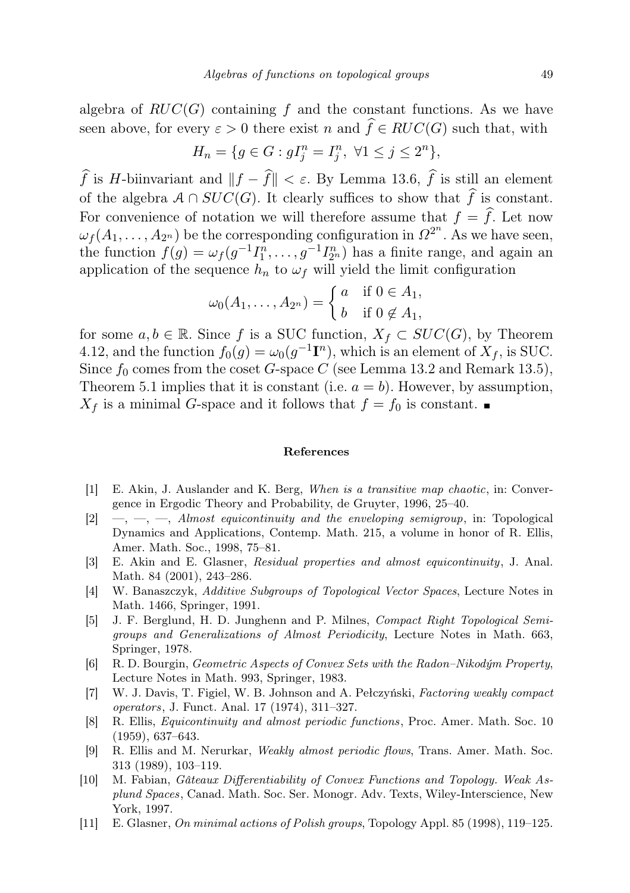algebra of  $RUC(G)$  containing f and the constant functions. As we have seen above, for every  $\varepsilon > 0$  there exist n and  $\hat{f} \in RUC(G)$  such that, with

$$
H_n = \{ g \in G : gI_j^n = I_j^n, \ \forall 1 \le j \le 2^n \},\
$$

 $\widehat{f}$  is H-biinvariant and  $||f - \widehat{f}|| < \varepsilon$ . By Lemma 13.6,  $\widehat{f}$  is still an element of the algebra  $A \cap SUC(G)$ . It clearly suffices to show that  $\hat{f}$  is constant. For convenience of notation we will therefore assume that  $f = \hat{f}$ . Let now  $\omega_f(A_1,\ldots,A_{2^n})$  be the corresponding configuration in  $\Omega^{2^n}$ . As we have seen, the function  $f(g) = \omega_f(g^{-1}I_1^n, \ldots, g^{-1}I_{2^n}^n)$  has a finite range, and again an application of the sequence  $h_n$  to  $\omega_f$  will yield the limit configuration

$$
\omega_0(A_1,\ldots,A_{2^n}) = \begin{cases} a & \text{if } 0 \in A_1, \\ b & \text{if } 0 \notin A_1, \end{cases}
$$

for some  $a, b \in \mathbb{R}$ . Since f is a SUC function,  $X_f \subset SUC(G)$ , by Theorem 4.12, and the function  $f_0(g) = \omega_0(g^{-1}\mathbf{I}^n)$ , which is an element of  $X_f$ , is SUC. Since  $f_0$  comes from the coset G-space C (see Lemma 13.2 and Remark 13.5), Theorem 5.1 implies that it is constant (i.e.  $a = b$ ). However, by assumption,  $X_f$  is a minimal G-space and it follows that  $f = f_0$  is constant.

## References

- [1] E. Akin, J. Auslander and K. Berg, When is a transitive map chaotic, in: Convergence in Ergodic Theory and Probability, de Gruyter, 1996, 25–40.
- $[2] \quad , \quad , \quad , \quad$  Almost equicontinuity and the enveloping semigroup, in: Topological Dynamics and Applications, Contemp. Math. 215, a volume in honor of R. Ellis, Amer. Math. Soc., 1998, 75–81.
- [3] E. Akin and E. Glasner, Residual properties and almost equicontinuity, J. Anal. Math. 84 (2001), 243–286.
- [4] W. Banaszczyk, Additive Subgroups of Topological Vector Spaces, Lecture Notes in Math. 1466, Springer, 1991.
- [5] J. F. Berglund, H. D. Junghenn and P. Milnes, Compact Right Topological Semigroups and Generalizations of Almost Periodicity, Lecture Notes in Math. 663, Springer, 1978.
- [6] R. D. Bourgin, Geometric Aspects of Convex Sets with the Radon–Nikodým Property, Lecture Notes in Math. 993, Springer, 1983.
- [7] W. J. Davis, T. Figiel, W. B. Johnson and A. Pełczyński, Factoring weakly compact operators, J. Funct. Anal. 17 (1974), 311–327.
- [8] R. Ellis, Equicontinuity and almost periodic functions, Proc. Amer. Math. Soc. 10 (1959), 637–643.
- [9] R. Ellis and M. Nerurkar, Weakly almost periodic flows, Trans. Amer. Math. Soc. 313 (1989), 103–119.
- [10] M. Fabian, Gâteaux Differentiability of Convex Functions and Topology. Weak Asplund Spaces, Canad. Math. Soc. Ser. Monogr. Adv. Texts, Wiley-Interscience, New York, 1997.
- [11] E. Glasner, On minimal actions of Polish groups, Topology Appl. 85 (1998), 119–125.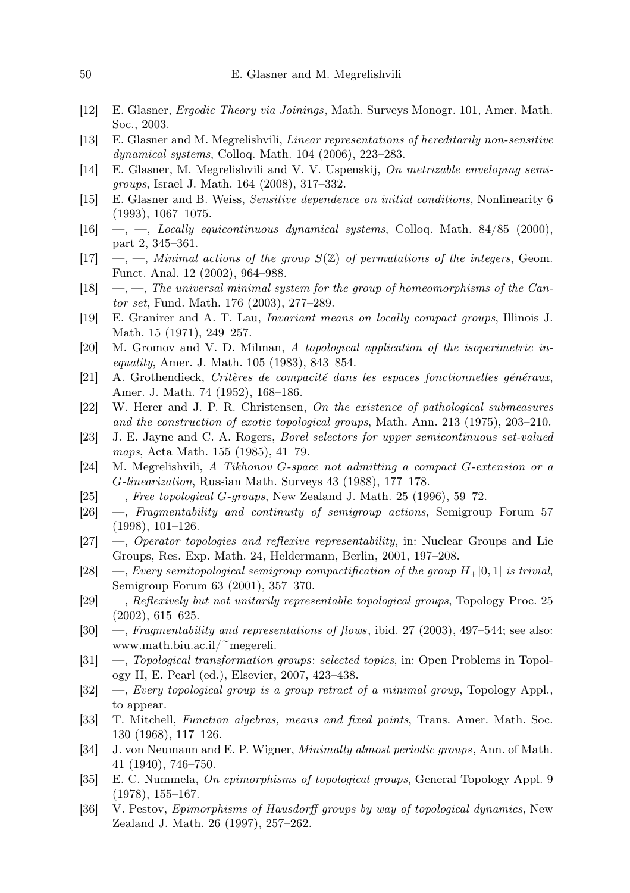- [12] E. Glasner, Ergodic Theory via Joinings, Math. Surveys Monogr. 101, Amer. Math. Soc., 2003.
- [13] E. Glasner and M. Megrelishvili, Linear representations of hereditarily non-sensitive dynamical systems, Colloq. Math. 104 (2006), 223–283.
- [14] E. Glasner, M. Megrelishvili and V. V. Uspenskij, On metrizable enveloping semigroups, Israel J. Math. 164 (2008), 317–332.
- [15] E. Glasner and B. Weiss, Sensitive dependence on initial conditions, Nonlinearity 6 (1993), 1067–1075.
- [16]  $\rightarrow$ ,  $\rightarrow$ , Locally equicontinuous dynamical systems, Colloq. Math. 84/85 (2000), part 2, 345–361.
- $[17] \quad -,-$ , Minimal actions of the group  $S(\mathbb{Z})$  of permutations of the integers, Geom. Funct. Anal. 12 (2002), 964–988.
- $[18] \quad -,-$ , The universal minimal system for the group of homeomorphisms of the Cantor set, Fund. Math. 176 (2003), 277–289.
- [19] E. Granirer and A. T. Lau, Invariant means on locally compact groups, Illinois J. Math. 15 (1971), 249–257.
- [20] M. Gromov and V. D. Milman, A topological application of the isoperimetric inequality, Amer. J. Math. 105 (1983), 843–854.
- [21] A. Grothendieck, Critères de compacité dans les espaces fonctionnelles généraux, Amer. J. Math. 74 (1952), 168–186.
- [22] W. Herer and J. P. R. Christensen, On the existence of pathological submeasures and the construction of exotic topological groups, Math. Ann. 213 (1975), 203–210.
- [23] J. E. Jayne and C. A. Rogers, Borel selectors for upper semicontinuous set-valued maps, Acta Math. 155 (1985), 41–79.
- [24] M. Megrelishvili, A Tikhonov G-space not admitting a compact G-extension or a G-linearization, Russian Math. Surveys 43 (1988), 177–178.
- [25]  $\quad$ , Free topological G-groups, New Zealand J. Math. 25 (1996), 59–72.
- [26] —, Fragmentability and continuity of semigroup actions, Semigroup Forum 57 (1998), 101–126.
- [27] —, Operator topologies and reflexive representability, in: Nuclear Groups and Lie Groups, Res. Exp. Math. 24, Heldermann, Berlin, 2001, 197–208.
- [28] —, Every semitopological semigroup compactification of the group  $H_+[0,1]$  is trivial, Semigroup Forum 63 (2001), 357–370.
- [29] —, Reflexively but not unitarily representable topological groups, Topology Proc. 25 (2002), 615–625.
- [30] —, Fragmentability and representations of flows, ibid. 27 (2003), 497–544; see also: www.math.biu.ac.il/ $\tilde{\text{m}}$ egereli.
- [31] —, Topological transformation groups: selected topics, in: Open Problems in Topology II, E. Pearl (ed.), Elsevier, 2007, 423–438.
- [32] —, Every topological group is a group retract of a minimal group, Topology Appl., to appear.
- [33] T. Mitchell, Function algebras, means and fixed points, Trans. Amer. Math. Soc. 130 (1968), 117–126.
- [34] J. von Neumann and E. P. Wigner, Minimally almost periodic groups, Ann. of Math. 41 (1940), 746–750.
- [35] E. C. Nummela, On epimorphisms of topological groups, General Topology Appl. 9 (1978), 155–167.
- [36] V. Pestov, Epimorphisms of Hausdorff groups by way of topological dynamics, New Zealand J. Math. 26 (1997), 257–262.